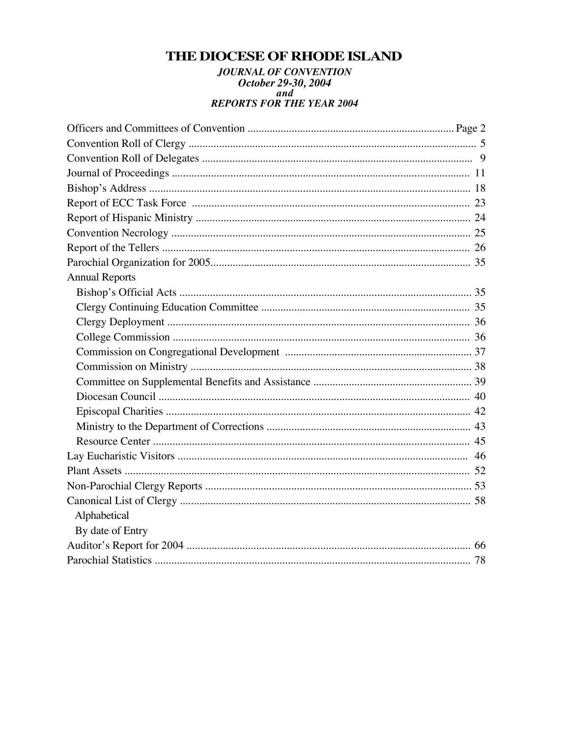## THE DIOCESE OF RHODE ISLAND

# **JOURNAL OF CONVENTION** October 29-30, 2004<br>REPORTS FOR THE YEAR 2004

| <b>Annual Reports</b> |  |
|-----------------------|--|
|                       |  |
|                       |  |
|                       |  |
|                       |  |
|                       |  |
|                       |  |
|                       |  |
|                       |  |
|                       |  |
|                       |  |
|                       |  |
|                       |  |
|                       |  |
|                       |  |
|                       |  |
| Alphabetical          |  |
| By date of Entry      |  |
|                       |  |
|                       |  |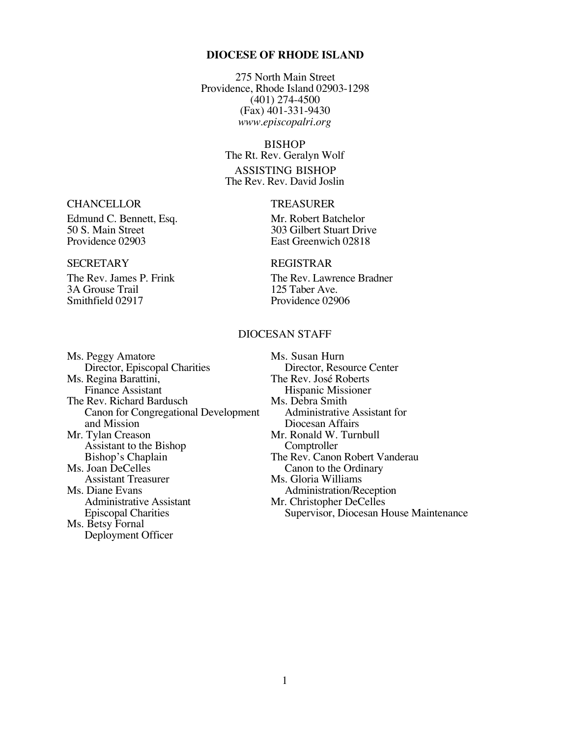#### **DIOCESE OF RHODE ISLAND**

275 North Main Street Providence, Rhode Island 02903-1298 (401) 274-4500 (Fax) 401-331-9430 *www.episcopalri.org*

#### BISHOP

The Rt. Rev. Geralyn Wolf ASSISTING BISHOP The Rev. Rev. David Joslin

East Greenwich 02818

#### SECRETARY REGISTRAR

The Rev. James P. Frink The Rev. Lawrence Bradner<br>
3A Grouse Trail 125 Taber Ave. Providence 02906

#### DIOCESAN STAFF

Ms. Peggy Amatore Ms. Susan Hurn<br>Director, Episcopal Charities Director, Resource Center Director, Episcopal Charities Director, Resource C<br>
Regina Barattini, The Rev. José Roberts Ms. Regina Barattini,<br>Finance Assistant The Rev. Richard Bardusch<br>
Canon for Congregational Development<br>
Administrative Assistant for Canon for Congregational Development and Mission Diocesan Affairs<br>
Mr. Tylan Creason Mr. Ronald W. Turn Assistant to the Bishop<br>Bishop's Chaplain Bishop's Chaplain The Rev. Canon Robert Vanderau<br>Ms. Joan DeCelles Canon to the Ordinary Joan DeCelles Canon to the Ordinary<br>Assistant Treasurer Ms. Gloria Williams Assistant Treasurer Ms. Gloria Williams<br>Ms. Diane Evans Ms. Administration/Re Diane Evans<br>
Administration/Reception<br>
Administration/Reception<br>
Mr. Christopher DeCelles Administrative Assistant Mr. Christopher DeCelles<br>
Episcopal Charities Supervisor, Diocesan H Ms. Betsy Fornal Deployment Officer

Hispanic Missioner<br>Ms. Debra Smith Mr. Ronald W. Turnbull<br>Comptroller Supervisor, Diocesan House Maintenance

## CHANCELLOR TREASURER

Edmund C. Bennett, Esq. Mr. Robert Batchelor<br>
50 S. Main Street 303 Gilbert Stuart Dri 50 S. Main Street 303 Gilbert Stuart Drive<br>Providence 02903 East Greenwich 02818

3A Grouse Trail<br>Smithfield 02917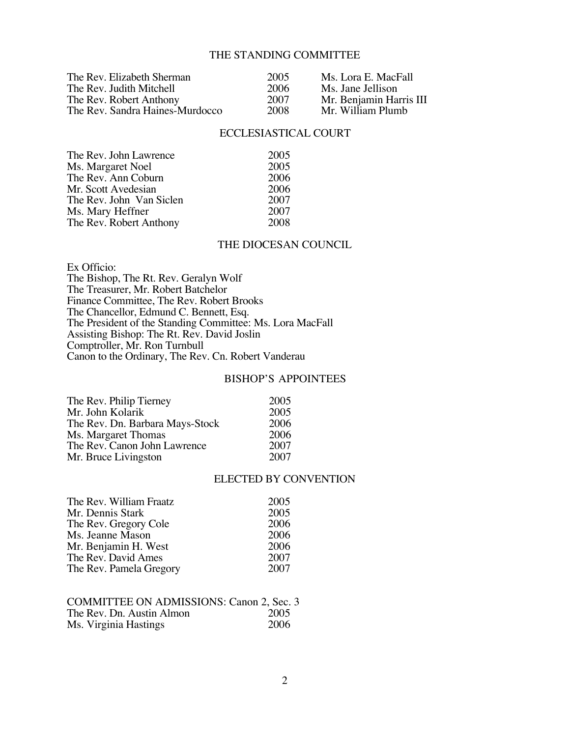#### THE STANDING COMMITTEE

| The Rev. Elizabeth Sherman      | 2005 | Ms. Lora E. MacFall     |
|---------------------------------|------|-------------------------|
| The Rev. Judith Mitchell        | 2006 | Ms. Jane Jellison       |
| The Rev. Robert Anthony         | 2007 | Mr. Benjamin Harris III |
| The Rev. Sandra Haines-Murdocco | 2008 | Mr. William Plumb       |

#### ECCLESIASTICAL COURT

| The Rev. John Lawrence   | 2005 |
|--------------------------|------|
| Ms. Margaret Noel        | 2005 |
| The Rev. Ann Coburn      | 2006 |
| Mr. Scott Avedesian      | 2006 |
| The Rev. John Van Siclen | 2007 |
| Ms. Mary Heffner         | 2007 |
| The Rev. Robert Anthony  | 2008 |

#### THE DIOCESAN COUNCIL

Ex Officio: The Bishop, The Rt. Rev. Geralyn Wolf The Treasurer, Mr. Robert Batchelor Finance Committee, The Rev. Robert Brooks The Chancellor, Edmund C. Bennett, Esq. The President of the Standing Committee: Ms. Lora MacFall Assisting Bishop: The Rt. Rev. David Joslin Comptroller, Mr. Ron Turnbull Canon to the Ordinary, The Rev. Cn. Robert Vanderau

#### BISHOP'S APPOINTEES

| The Rev. Philip Tierney         | 2005 |
|---------------------------------|------|
| Mr. John Kolarik                | 2005 |
| The Rev. Dn. Barbara Mays-Stock | 2006 |
| Ms. Margaret Thomas             | 2006 |
| The Rev. Canon John Lawrence    | 2007 |
| Mr. Bruce Livingston            | 2007 |

#### ELECTED BY CONVENTION

| The Rev. William Fraatz | 2005 |
|-------------------------|------|
| Mr. Dennis Stark        | 2005 |
| The Rev. Gregory Cole   | 2006 |
| Ms. Jeanne Mason        | 2006 |
| Mr. Benjamin H. West    | 2006 |
| The Rev. David Ames     | 2007 |
| The Rev. Pamela Gregory | 2007 |

| <b>COMMITTEE ON ADMISSIONS: Canon 2, Sec. 3</b> |      |
|-------------------------------------------------|------|
| The Rev. Dn. Austin Almon                       | 2005 |
| Ms. Virginia Hastings                           | 2006 |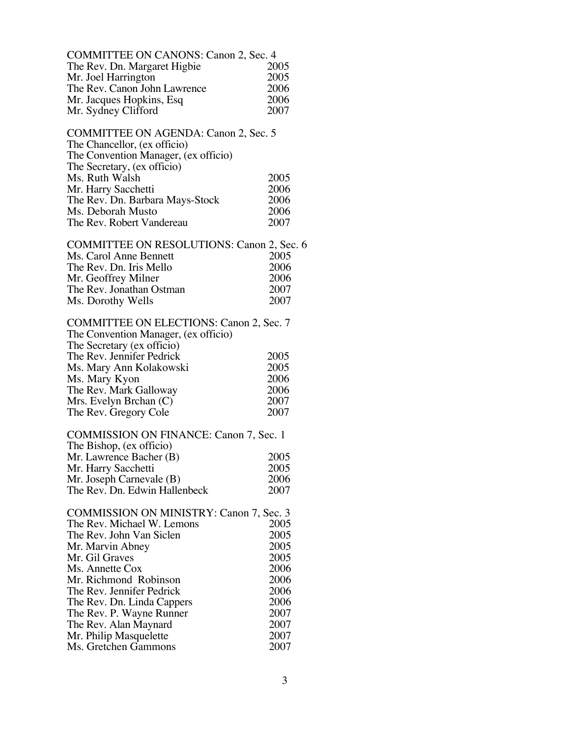| <b>COMMITTEE ON CANONS: Canon 2, Sec. 4</b>      |      |
|--------------------------------------------------|------|
| The Rev. Dn. Margaret Higbie                     | 2005 |
| Mr. Joel Harrington                              | 2005 |
| The Rev. Canon John Lawrence                     | 2006 |
| Mr. Jacques Hopkins, Esq                         | 2006 |
| Mr. Sydney Clifford                              | 2007 |
|                                                  |      |
| COMMITTEE ON AGENDA: Canon 2, Sec. 5             |      |
| The Chancellor, (ex officio)                     |      |
|                                                  |      |
| The Convention Manager, (ex officio)             |      |
| The Secretary, (ex officio)                      |      |
| Ms. Ruth Walsh                                   | 2005 |
| Mr. Harry Sacchetti                              | 2006 |
| The Rev. Dn. Barbara Mays-Stock                  | 2006 |
| Ms. Deborah Musto                                | 2006 |
| The Rev. Robert Vandereau                        | 2007 |
|                                                  |      |
| <b>COMMITTEE ON RESOLUTIONS: Canon 2, Sec. 6</b> |      |
| Ms. Carol Anne Bennett                           | 2005 |
| The Rev. Dn. Iris Mello                          | 2006 |
|                                                  |      |
| Mr. Geoffrey Milner                              | 2006 |
| The Rev. Jonathan Ostman                         | 2007 |
| Ms. Dorothy Wells                                | 2007 |
|                                                  |      |
| <b>COMMITTEE ON ELECTIONS: Canon 2, Sec. 7</b>   |      |
| The Convention Manager, (ex officio)             |      |
| The Secretary (ex officio)                       |      |
| The Rev. Jennifer Pedrick                        | 2005 |
| Ms. Mary Ann Kolakowski                          | 2005 |
| Ms. Mary Kyon                                    | 2006 |
| The Rev. Mark Galloway                           | 2006 |
|                                                  | 2007 |
| Mrs. Evelyn Brchan (C)                           |      |
| The Rev. Gregory Cole                            | 2007 |
|                                                  |      |
| <b>COMMISSION ON FINANCE: Canon 7, Sec. 1</b>    |      |
| The Bishop, (ex officio)                         |      |
| Mr. Lawrence Bacher (B)                          | 2005 |
| Mr. Harry Sacchetti                              | 2005 |
| Mr. Joseph Carnevale (B)                         | 2006 |
| The Rev. Dn. Edwin Hallenbeck                    | 2007 |
|                                                  |      |
| <b>COMMISSION ON MINISTRY: Canon 7, Sec. 3</b>   |      |
| The Rev. Michael W. Lemons                       | 2005 |
| The Rev. John Van Siclen                         | 2005 |
| Mr. Marvin Abney                                 | 2005 |
|                                                  |      |
| Mr. Gil Graves                                   | 2005 |
| Ms. Annette Cox                                  | 2006 |
| Mr. Richmond Robinson                            | 2006 |
| The Rev. Jennifer Pedrick                        | 2006 |
| The Rev. Dn. Linda Cappers                       | 2006 |
| The Rev. P. Wayne Runner                         | 2007 |
| The Rev. Alan Maynard                            | 2007 |
| Mr. Philip Masquelette                           | 2007 |
| Ms. Gretchen Gammons                             | 2007 |
|                                                  |      |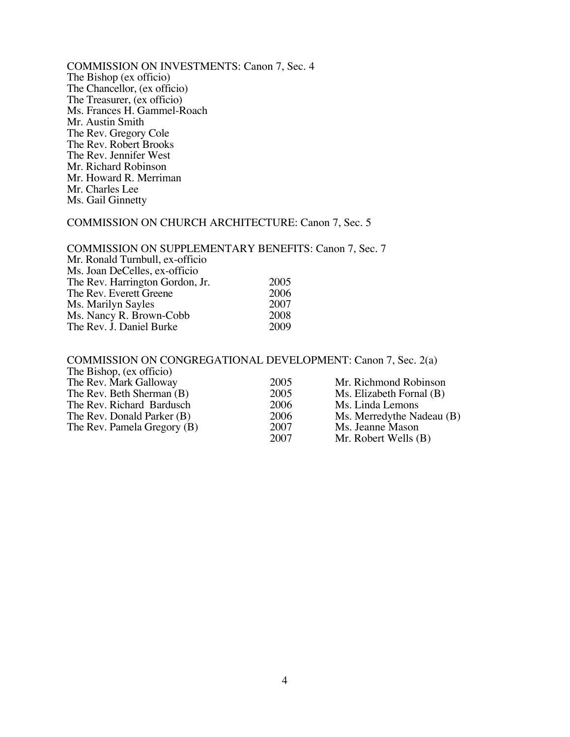COMMISSION ON INVESTMENTS: Canon 7, Sec. 4 The Bishop (ex officio) The Chancellor, (ex officio) The Treasurer, (ex officio) Ms. Frances H. Gammel-Roach Mr. Austin Smith The Rev. Gregory Cole The Rev. Robert Brooks The Rev. Jennifer West Mr. Richard Robinson Mr. Howard R. Merriman Mr. Charles Lee Ms. Gail Ginnetty

#### COMMISSION ON CHURCH ARCHITECTURE: Canon 7, Sec. 5

#### COMMISSION ON SUPPLEMENTARY BENEFITS: Canon 7, Sec. 7 Mr. Ronald Turnbull, ex-officio Ms. Joan DeCelles, ex-officio The Rev. Harrington Gordon, Jr. 2005<br>The Rev. Everett Greene 2006 The Rev. Everett Greene 2006<br>
Ms. Marilyn Savles 2007 Ms. Marilyn Sayles 2007<br>Ms. Nancy R. Brown-Cobb 2008 Ms. Nancy R. Brown-Cobb 2008<br>The Rev. J. Daniel Burke 2009 The Rev. J. Daniel Burke

#### COMMISSION ON CONGREGATIONAL DEVELOPMENT: Canon 7, Sec. 2(a) The Bishop, (ex officio) The Bishop, (CA UTICIO)<br>
The Rev. Mark Galloway 2005 Mr. Richmond Robinson<br>
The Rev. Peth Sherman (B) 2005 Mg. Elizabeth Formal (B)  $M<sub>0</sub>$  Elizabeth Fornal  $(R)$ The Rev. Richard Bardusch 2006 Ms. Linda Lemons

| The Rev. Beth Sherman (B)   | ZUUD. | NIS. Elizabeth Fornal (B) |
|-----------------------------|-------|---------------------------|
| The Rev. Richard Bardusch   | 2006  | Ms. Linda Lemons          |
| The Rev. Donald Parker (B)  | 2006  | Ms. Merredythe Nadeau (B) |
| The Rev. Pamela Gregory (B) | 2007  | Ms. Jeanne Mason          |
|                             | 2007  | Mr. Robert Wells $(B)$    |
|                             |       |                           |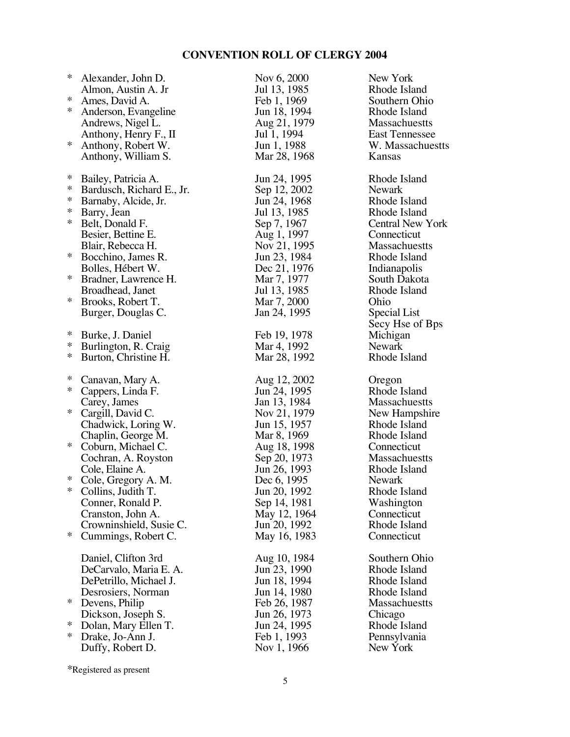| Jul 13, 1985<br>Almon, Austin A. Jr<br>$\ast$<br>Feb 1, 1969<br>Ames, David A. | New York                |
|--------------------------------------------------------------------------------|-------------------------|
|                                                                                | Rhode Island            |
|                                                                                | Southern Ohio           |
| ∗<br>Jun 18, 1994<br>Anderson, Evangeline                                      | Rhode Island            |
| Aug 21, 1979<br>Andrews, Nigel L.                                              | <b>Massachuestts</b>    |
| Jul 1, 1994<br>Anthony, Henry F., II                                           | <b>East Tennessee</b>   |
| $\ast$<br>Jun 1, 1988<br>Anthony, Robert W.                                    | W. Massachuestts        |
| Mar 28, 1968<br>Anthony, William S.                                            | Kansas                  |
|                                                                                |                         |
| ∗<br>Bailey, Patricia A.<br>Jun 24, 1995                                       | Rhode Island            |
| $\ast$<br>Sep 12, 2002<br>Bardusch, Richard E., Jr.                            | <b>Newark</b>           |
| $\ast$<br>Jun 24, 1968<br>Barnaby, Alcide, Jr.                                 | Rhode Island            |
| $\ast$<br>Jul 13, 1985<br>Barry, Jean                                          | Rhode Island            |
| $\ast$<br>Sep 7, 1967<br>Belt, Donald F.                                       | <b>Central New York</b> |
| Aug 1, 1997<br>Besier, Bettine E.                                              | Connecticut             |
| Nov 21, 1995<br>Blair, Rebecca H.                                              | <b>Massachuestts</b>    |
| ∗<br>Bocchino, James R.                                                        | Rhode Island            |
| Jun 23, 1984                                                                   |                         |
| Dec 21, 1976<br>Bolles, Hébert W.<br>∗                                         | Indianapolis            |
| Mar 7, 1977<br>Bradner, Lawrence H.                                            | South Dakota            |
| Jul 13, 1985<br>Broadhead, Janet                                               | Rhode Island            |
| ∗<br>Mar 7, 2000<br>Brooks, Robert T.                                          | Ohio                    |
| Jan 24, 1995<br>Burger, Douglas C.                                             | Special List            |
|                                                                                | Secy Hse of Bps         |
| ∗<br>Burke, J. Daniel<br>Feb 19, 1978                                          | Michigan                |
| ∗<br>Mar 4, 1992<br>Burlington, R. Craig                                       | <b>Newark</b>           |
|                                                                                | Rhode Island            |
| ∗<br>Mar 28, 1992<br>Burton, Christine H.                                      |                         |
|                                                                                |                         |
| ∗<br>Aug 12, 2002<br>Canavan, Mary A.                                          | Oregon                  |
| $\ast$<br>Jun 24, 1995<br>Cappers, Linda F.                                    | Rhode Island            |
| Jan 13, 1984<br>Carey, James                                                   | <b>Massachuestts</b>    |
| $\ast$<br>Cargill, David C.<br>Nov 21, 1979                                    | New Hampshire           |
| Jun 15, 1957<br>Chadwick, Loring W.                                            | Rhode Island            |
| Mar 8, 1969<br>Chaplin, George M.                                              | Rhode Island            |
| $\ast$<br>Aug 18, 1998<br>Coburn, Michael C.                                   | Connecticut             |
| Sep 20, 1973<br>Cochran, A. Royston                                            | <b>Massachuestts</b>    |
| Jun 26, 1993<br>Cole, Elaine A.                                                | Rhode Island            |
| $\ast$<br>Dec 6, 1995<br>Cole, Gregory A. M.                                   | Newark                  |
| * Collins, Judith T.<br>Jun 20, 1992                                           | Rhode Island            |
| Conner, Ronald P.<br>Sep 14, 1981                                              | Washington              |
| Cranston, John A.<br>May 12, 1964                                              | Connecticut             |
| Jun 20, 1992<br>Crowninshield, Susie C.                                        | Rhode Island            |
| $\ast$<br>May 16, 1983<br>Cummings, Robert C.                                  | Connecticut             |
|                                                                                |                         |
| Daniel, Clifton 3rd<br>Aug 10, 1984                                            | Southern Ohio           |
| DeCarvalo, Maria E. A.<br>Jun 23, 1990                                         | Rhode Island            |
| Jun 18, 1994<br>DePetrillo, Michael J.                                         | Rhode Island            |
| Jun 14, 1980<br>Desrosiers, Norman                                             | Rhode Island            |
| $\ast$<br>Devens, Philip<br>Feb 26, 1987                                       | Massachuestts           |
| Jun 26, 1973<br>Dickson, Joseph S.                                             | Chicago                 |
| ∗<br>Jun 24, 1995<br>Dolan, Mary Ellen T.                                      | Rhode Island            |
| $\ast$<br>Feb 1, 1993<br>Drake, Jo-Ann J.                                      | Pennsylvania            |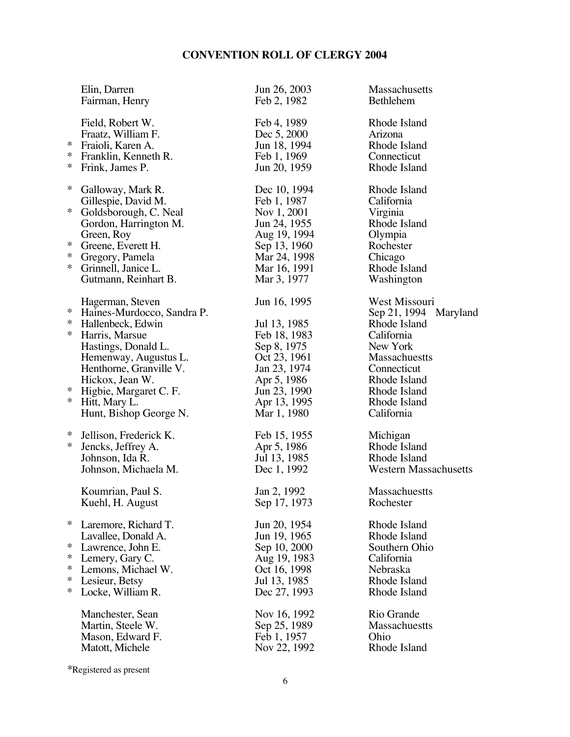| Elin, Darren<br>Fairman, Henry                                                                                                                                                    |                                                                                                          | Jun 26, 2003<br>Feb 2, 1982                                                                                                                               | Massachusetts<br><b>Bethlehem</b>                                                                                                                                                     |
|-----------------------------------------------------------------------------------------------------------------------------------------------------------------------------------|----------------------------------------------------------------------------------------------------------|-----------------------------------------------------------------------------------------------------------------------------------------------------------|---------------------------------------------------------------------------------------------------------------------------------------------------------------------------------------|
| Field, Robert W.<br>Fraatz, William F.<br>∗<br>Fraioli, Karen A.<br>∗<br>Franklin, Kenneth R.<br>∗<br>Frink, James P.                                                             |                                                                                                          | Feb 4, 1989<br>Dec 5, 2000<br>Jun 18, 1994<br>Feb 1, 1969<br>Jun 20, 1959                                                                                 | Rhode Island<br>Arizona<br>Rhode Island<br>Connecticut<br>Rhode Island                                                                                                                |
| ∗<br>Galloway, Mark R.<br>Gillespie, David M.<br>$\ast$<br>Green, Roy<br>∗<br>Greene, Everett H.<br>∗<br>Gregory, Pamela<br>$\ast$<br>Grinnell, Janice L.<br>Gutmann, Reinhart B. | Goldsborough, C. Neal<br>Gordon, Harrington M.                                                           | Dec 10, 1994<br>Feb 1, 1987<br>Nov 1, 2001<br>Jun 24, 1955<br>Aug 19, 1994<br>Sep 13, 1960<br>Mar 24, 1998<br>Mar 16, 1991<br>Mar 3, 1977                 | Rhode Island<br>California<br>Virginia<br>Rhode Island<br>Olympia<br>Rochester<br>Chicago<br>Rhode Island<br>Washington                                                               |
| Hagerman, Steven<br>∗<br>∗<br>Hallenbeck, Edwin<br>∗<br>Harris, Marsue<br>Hastings, Donald L.<br>Hickox, Jean W.<br>∗<br>Higbie, Margaret C. F.<br>∗<br>Hitt, Mary L.             | Haines-Murdocco, Sandra P.<br>Hemenway, Augustus L.<br>Henthorne, Granville V.<br>Hunt, Bishop George N. | Jun 16, 1995<br>Jul 13, 1985<br>Feb 18, 1983<br>Sep 8, 1975<br>Oct 23, 1961<br>Jan 23, 1974<br>Apr 5, 1986<br>Jun 23, 1990<br>Apr 13, 1995<br>Mar 1, 1980 | West Missouri<br>Sep 21, 1994 Maryland<br>Rhode Island<br>California<br>New York<br><b>Massachuestts</b><br>Connecticut<br>Rhode Island<br>Rhode Island<br>Rhode Island<br>California |
| ∗<br>Jellison, Frederick K.<br>∗<br>Jencks, Jeffrey A.<br>Johnson, Ida R.<br>Johnson, Michaela M.                                                                                 |                                                                                                          | Feb 15, 1955<br>Apr 5, 1986<br>Jul 13, 1985<br>Dec 1, 1992                                                                                                | Michigan<br>Rhode Island<br>Rhode Island<br><b>Western Massachusetts</b>                                                                                                              |
| Koumrian, Paul S.<br>Kuehl, H. August                                                                                                                                             |                                                                                                          | Jan 2, 1992<br>Sep 17, 1973                                                                                                                               | Massachuestts<br>Rochester                                                                                                                                                            |
| ∗<br>Laremore, Richard T.<br>Lavallee, Donald A.<br>∗<br>Lawrence, John E.<br>∗<br>Lemery, Gary C.<br>∗<br>Lemons, Michael W.<br>∗<br>Lesieur, Betsy<br>∗<br>Locke, William R.    |                                                                                                          | Jun 20, 1954<br>Jun 19, 1965<br>Sep 10, 2000<br>Aug 19, 1983<br>Oct 16, 1998<br>Jul 13, 1985<br>Dec 27, 1993                                              | Rhode Island<br>Rhode Island<br>Southern Ohio<br>California<br>Nebraska<br>Rhode Island<br>Rhode Island                                                                               |
| Manchester, Sean<br>Martin, Steele W.<br>Mason, Edward F.<br>Matott, Michele                                                                                                      |                                                                                                          | Nov 16, 1992<br>Sep 25, 1989<br>Feb 1, 1957<br>Nov 22, 1992                                                                                               | Rio Grande<br>Massachuestts<br>Ohio<br>Rhode Island                                                                                                                                   |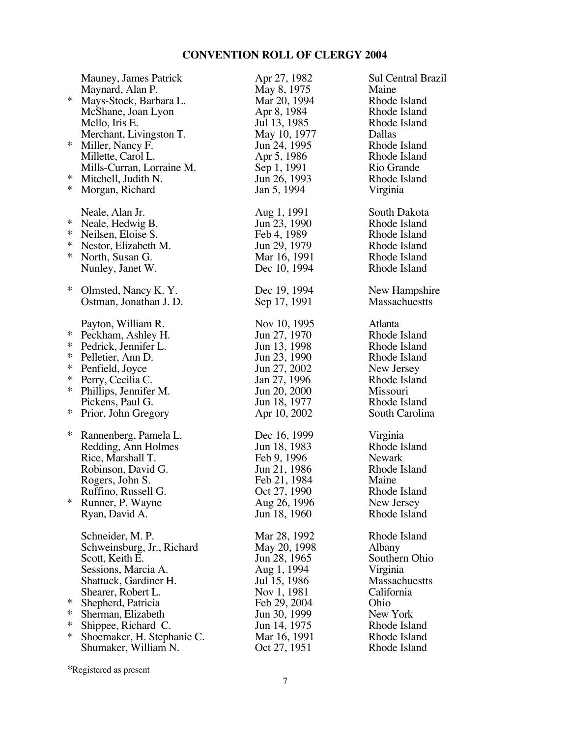|        | Mauney, James Patrick      | Apr 27, 1982 | <b>Sul Central Brazil</b> |
|--------|----------------------------|--------------|---------------------------|
| $\ast$ | Maynard, Alan P.           | May 8, 1975  | Maine                     |
|        | Mays-Stock, Barbara L.     | Mar 20, 1994 | Rhode Island              |
|        | McShane, Joan Lyon         | Apr 8, 1984  | Rhode Island              |
|        | Mello, Iris E.             | Jul 13, 1985 | Rhode Island              |
|        | Merchant, Livingston T.    | May 10, 1977 | Dallas                    |
| $\ast$ | Miller, Nancy F.           | Jun 24, 1995 | Rhode Island              |
|        | Millette, Carol L.         | Apr 5, 1986  | Rhode Island              |
|        | Mills-Curran, Lorraine M.  | Sep 1, 1991  | Rio Grande                |
| *      | Mitchell, Judith N.        | Jun 26, 1993 | Rhode Island              |
| $\ast$ | Morgan, Richard            | Jan 5, 1994  | Virginia                  |
|        | Neale, Alan Jr.            | Aug 1, 1991  | South Dakota              |
| ∗      | Neale, Hedwig B.           | Jun 23, 1990 | Rhode Island              |
| $\ast$ | Neilsen, Eloise S.         | Feb 4, 1989  | Rhode Island              |
| $\ast$ | Nestor, Elizabeth M.       | Jun 29, 1979 | Rhode Island              |
| $\ast$ | North, Susan G.            | Mar 16, 1991 | Rhode Island              |
|        | Nunley, Janet W.           | Dec 10, 1994 | Rhode Island              |
| ∗      | Olmsted, Nancy K.Y.        | Dec 19, 1994 | New Hampshire             |
|        | Ostman, Jonathan J. D.     | Sep 17, 1991 | <b>Massachuestts</b>      |
|        |                            |              |                           |
|        | Payton, William R.         | Nov 10, 1995 | Atlanta                   |
| $\ast$ | Peckham, Ashley H.         | Jun 27, 1970 | Rhode Island              |
| $\ast$ | Pedrick, Jennifer L.       | Jun 13, 1998 | Rhode Island              |
| $\ast$ | Pelletier, Ann D.          | Jun 23, 1990 | Rhode Island              |
| $\ast$ | Penfield, Joyce            | Jun 27, 2002 | New Jersey                |
| $\ast$ | Perry, Cecilia C.          | Jan 27, 1996 | Rhode Island              |
| $\ast$ | Phillips, Jennifer M.      | Jun 20, 2000 | Missouri                  |
|        | Pickens, Paul G.           | Jun 18, 1977 | Rhode Island              |
| $\ast$ | Prior, John Gregory        | Apr 10, 2002 | South Carolina            |
| ∗      | Rannenberg, Pamela L.      | Dec 16, 1999 | Virginia                  |
|        | Redding, Ann Holmes        | Jun 18, 1983 | Rhode Island              |
|        | Rice, Marshall T.          | Feb 9, 1996  | <b>Newark</b>             |
|        | Robinson, David G.         | Jun 21, 1986 | Rhode Island              |
|        | Rogers, John S.            | Feb 21, 1984 | Maine                     |
|        | Ruffino, Russell G.        | Oct 27, 1990 | Rhode Island              |
| $\ast$ | Runner, P. Wayne           | Aug 26, 1996 | New Jersey                |
|        | Ryan, David A.             | Jun 18, 1960 | Rhode Island              |
|        |                            |              |                           |
|        | Schneider, M. P.           | Mar 28, 1992 | Rhode Island              |
|        | Schweinsburg, Jr., Richard | May 20, 1998 | Albany                    |
|        | Scott, Keith E.            | Jun 28, 1965 | Southern Ohio             |
|        | Sessions, Marcia A.        | Aug 1, 1994  | Virginia                  |
|        | Shattuck, Gardiner H.      | Jul 15, 1986 | Massachuestts             |
|        | Shearer, Robert L.         | Nov 1, 1981  | California                |
| ∗      | Shepherd, Patricia         | Feb 29, 2004 | Ohio                      |
| $\ast$ | Sherman, Elizabeth         | Jun 30, 1999 | New York                  |
| $\ast$ | Shippee, Richard C.        | Jun 14, 1975 | Rhode Island              |
| $\ast$ | Shoemaker, H. Stephanie C. | Mar 16, 1991 | Rhode Island              |
|        | Shumaker, William N.       | Oct 27, 1951 | Rhode Island              |
|        |                            |              |                           |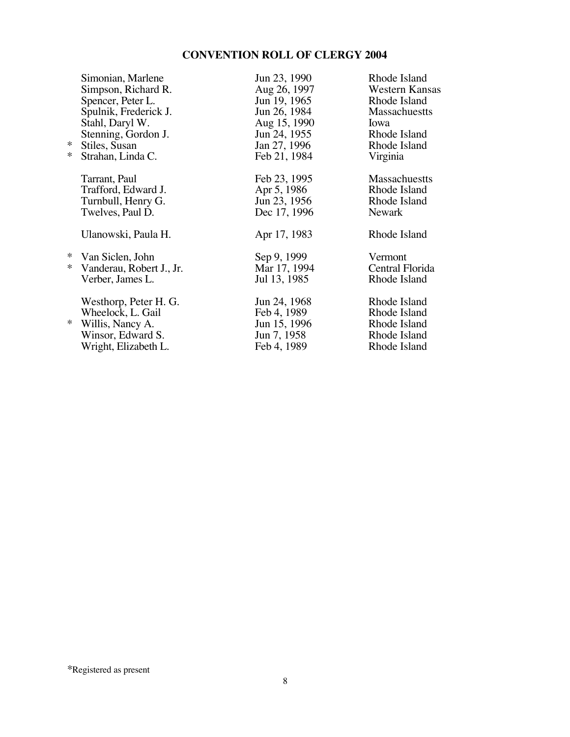| ∗<br>$\ast$      | Simonian, Marlene<br>Simpson, Richard R.<br>Spencer, Peter L.<br>Spulnik, Frederick J.<br>Stahl, Daryl W.<br>Stenning, Gordon J.<br>Stiles, Susan<br>Strahan, Linda C. | Jun 23, 1990<br>Aug 26, 1997<br>Jun 19, 1965<br>Jun 26, 1984<br>Aug 15, 1990<br>Jun 24, 1955<br>Jan 27, 1996<br>Feb 21, 1984 | Rhode Island<br>Western Kansas<br>Rhode Island<br><b>Massachuestts</b><br>Iowa<br>Rhode Island<br>Rhode Island<br>Virginia |
|------------------|------------------------------------------------------------------------------------------------------------------------------------------------------------------------|------------------------------------------------------------------------------------------------------------------------------|----------------------------------------------------------------------------------------------------------------------------|
|                  | Tarrant, Paul<br>Trafford, Edward J.<br>Turnbull, Henry G.<br>Twelves, Paul D.                                                                                         | Feb 23, 1995<br>Apr 5, 1986<br>Jun 23, 1956<br>Dec 17, 1996                                                                  | <b>Massachuestts</b><br>Rhode Island<br>Rhode Island<br><b>Newark</b>                                                      |
|                  | Ulanowski, Paula H.                                                                                                                                                    | Apr 17, 1983                                                                                                                 | Rhode Island                                                                                                               |
| $\ast$<br>$\ast$ | Van Siclen, John<br>Vanderau, Robert J., Jr.<br>Verber, James L.                                                                                                       | Sep 9, 1999<br>Mar 17, 1994<br>Jul 13, 1985                                                                                  | Vermont<br>Central Florida<br>Rhode Island                                                                                 |
| ∗                | Westhorp, Peter H. G.<br>Wheelock, L. Gail<br>Willis, Nancy A.<br>Winsor, Edward S.<br>Wright, Elizabeth L.                                                            | Jun 24, 1968<br>Feb 4, 1989<br>Jun 15, 1996<br>Jun 7, 1958<br>Feb 4, 1989                                                    | Rhode Island<br>Rhode Island<br>Rhode Island<br>Rhode Island<br>Rhode Island                                               |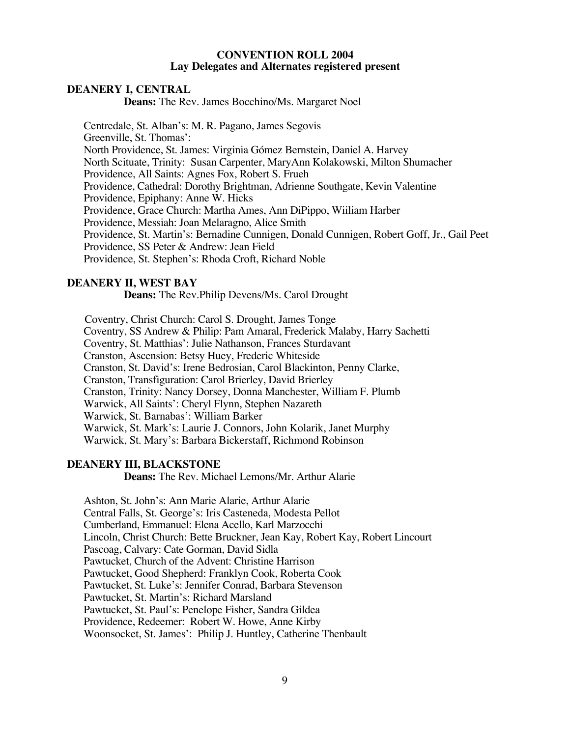#### **CONVENTION ROLL 2004 Lay Delegates and Alternates registered present**

#### **DEANERY I, CENTRAL**

**Deans:** The Rev. James Bocchino/Ms. Margaret Noel

Centredale, St. Alban's: M. R. Pagano, James Segovis Greenville, St. Thomas': North Providence, St. James: Virginia Gómez Bernstein, Daniel A. Harvey North Scituate, Trinity: Susan Carpenter, MaryAnn Kolakowski, Milton Shumacher Providence, All Saints: Agnes Fox, Robert S. Frueh Providence, Cathedral: Dorothy Brightman, Adrienne Southgate, Kevin Valentine Providence, Epiphany: Anne W. Hicks Providence, Grace Church: Martha Ames, Ann DiPippo, Wiiliam Harber Providence, Messiah: Joan Melaragno, Alice Smith Providence, St. Martin's: Bernadine Cunnigen, Donald Cunnigen, Robert Goff, Jr., Gail Peet Providence, SS Peter & Andrew: Jean Field Providence, St. Stephen's: Rhoda Croft, Richard Noble

#### **DEANERY II, WEST BAY**

**Deans:** The Rev.Philip Devens/Ms. Carol Drought

Coventry, Christ Church: Carol S. Drought, James Tonge

Coventry, SS Andrew & Philip: Pam Amaral, Frederick Malaby, Harry Sachetti

Coventry, St. Matthias': Julie Nathanson, Frances Sturdavant

Cranston, Ascension: Betsy Huey, Frederic Whiteside

Cranston, St. David's: Irene Bedrosian, Carol Blackinton, Penny Clarke,

Cranston, Transfiguration: Carol Brierley, David Brierley

Cranston, Trinity: Nancy Dorsey, Donna Manchester, William F. Plumb

Warwick, All Saints': Cheryl Flynn, Stephen Nazareth

Warwick, St. Barnabas': William Barker

Warwick, St. Mark's: Laurie J. Connors, John Kolarik, Janet Murphy

Warwick, St. Mary's: Barbara Bickerstaff, Richmond Robinson

#### **DEANERY III, BLACKSTONE**

**Deans:** The Rev. Michael Lemons/Mr. Arthur Alarie

Ashton, St. John's: Ann Marie Alarie, Arthur Alarie

Central Falls, St. George's: Iris Casteneda, Modesta Pellot

Cumberland, Emmanuel: Elena Acello, Karl Marzocchi

Lincoln, Christ Church: Bette Bruckner, Jean Kay, Robert Kay, Robert Lincourt

Pascoag, Calvary: Cate Gorman, David Sidla

Pawtucket, Church of the Advent: Christine Harrison

Pawtucket, Good Shepherd: Franklyn Cook, Roberta Cook

Pawtucket, St. Luke's: Jennifer Conrad, Barbara Stevenson

Pawtucket, St. Martin's: Richard Marsland

Pawtucket, St. Paul's: Penelope Fisher, Sandra Gildea

Providence, Redeemer: Robert W. Howe, Anne Kirby

Woonsocket, St. James': Philip J. Huntley, Catherine Thenbault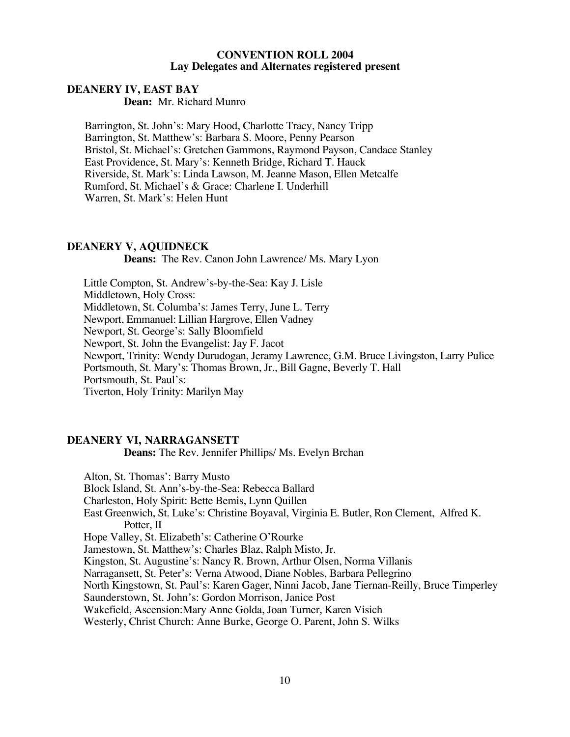#### **CONVENTION ROLL 2004 Lay Delegates and Alternates registered present**

#### **DEANERY IV, EAST BAY**

**Dean:** Mr. Richard Munro

Barrington, St. John's: Mary Hood, Charlotte Tracy, Nancy Tripp Barrington, St. Matthew's: Barbara S. Moore, Penny Pearson Bristol, St. Michael's: Gretchen Gammons, Raymond Payson, Candace Stanley East Providence, St. Mary's: Kenneth Bridge, Richard T. Hauck Riverside, St. Mark's: Linda Lawson, M. Jeanne Mason, Ellen Metcalfe Rumford, St. Michael's & Grace: Charlene I. Underhill Warren, St. Mark's: Helen Hunt

#### **DEANERY V, AQUIDNECK**

**Deans:** The Rev. Canon John Lawrence/ Ms. Mary Lyon

Little Compton, St. Andrew's-by-the-Sea: Kay J. Lisle Middletown, Holy Cross: Middletown, St. Columba's: James Terry, June L. Terry Newport, Emmanuel: Lillian Hargrove, Ellen Vadney Newport, St. George's: Sally Bloomfield Newport, St. John the Evangelist: Jay F. Jacot Newport, Trinity: Wendy Durudogan, Jeramy Lawrence, G.M. Bruce Livingston, Larry Pulice Portsmouth, St. Mary's: Thomas Brown, Jr., Bill Gagne, Beverly T. Hall Portsmouth, St. Paul's: Tiverton, Holy Trinity: Marilyn May

#### **DEANERY VI, NARRAGANSETT**

**Deans:** The Rev. Jennifer Phillips/ Ms. Evelyn Brchan

Alton, St. Thomas': Barry Musto Block Island, St. Ann's-by-the-Sea: Rebecca Ballard Charleston, Holy Spirit: Bette Bemis, Lynn Quillen East Greenwich, St. Luke's: Christine Boyaval, Virginia E. Butler, Ron Clement, Alfred K. Potter, II Hope Valley, St. Elizabeth's: Catherine O'Rourke Jamestown, St. Matthew's: Charles Blaz, Ralph Misto, Jr. Kingston, St. Augustine's: Nancy R. Brown, Arthur Olsen, Norma Villanis Narragansett, St. Peter's: Verna Atwood, Diane Nobles, Barbara Pellegrino North Kingstown, St. Paul's: Karen Gager, Ninni Jacob, Jane Tiernan-Reilly, Bruce Timperley Saunderstown, St. John's: Gordon Morrison, Janice Post Wakefield, Ascension:Mary Anne Golda, Joan Turner, Karen Visich Westerly, Christ Church: Anne Burke, George O. Parent, John S. Wilks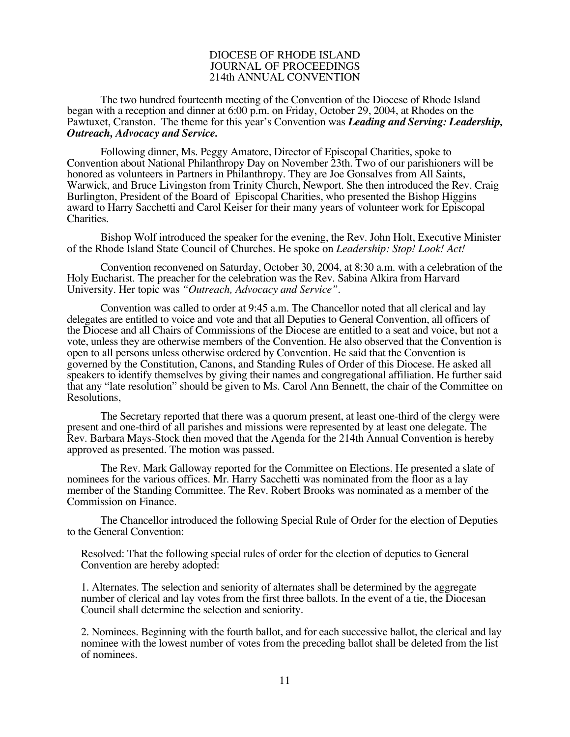#### DIOCESE OF RHODE ISLAND JOURNAL OF PROCEEDINGS 214th ANNUAL CONVENTION

The two hundred fourteenth meeting of the Convention of the Diocese of Rhode Island began with a reception and dinner at 6:00 p.m. on Friday, October 29, 2004, at Rhodes on the Pawtuxet, Cranston. The theme for this year's Convention was *Leading and Serving: Leadership, Outreach, Advocacy and Service.* 

Following dinner, Ms. Peggy Amatore, Director of Episcopal Charities, spoke to Convention about National Philanthropy Day on November 23th. Two of our parishioners will be honored as volunteers in Partners in Philanthropy. They are Joe Gonsalves from All Saints, Warwick, and Bruce Livingston from Trinity Church, Newport. She then introduced the Rev. Craig Burlington, President of the Board of Episcopal Charities, who presented the Bishop Higgins award to Harry Sacchetti and Carol Keiser for their many years of volunteer work for Episcopal Charities.

Bishop Wolf introduced the speaker for the evening, the Rev. John Holt, Executive Minister of the Rhode Island State Council of Churches. He spoke on *Leadership: Stop! Look! Act!*

Convention reconvened on Saturday, October 30, 2004, at 8:30 a.m. with a celebration of the Holy Eucharist. The preacher for the celebration was the Rev. Sabina Alkira from Harvard University. Her topic was *"Outreach, Advocacy and Service"*.

Convention was called to order at 9:45 a.m. The Chancellor noted that all clerical and lay delegates are entitled to voice and vote and that all Deputies to General Convention, all officers of the Diocese and all Chairs of Commissions of the Diocese are entitled to a seat and voice, but not a vote, unless they are otherwise members of the Convention. He also observed that the Convention is open to all persons unless otherwise ordered by Convention. He said that the Convention is governed by the Constitution, Canons, and Standing Rules of Order of this Diocese. He asked all speakers to identify themselves by giving their names and congregational affiliation. He further said that any "late resolution" should be given to Ms. Carol Ann Bennett, the chair of the Committee on Resolutions,

The Secretary reported that there was a quorum present, at least one-third of the clergy were present and one-third of all parishes and missions were represented by at least one delegate. The Rev. Barbara Mays-Stock then moved that the Agenda for the 214th Annual Convention is hereby approved as presented. The motion was passed.

The Rev. Mark Galloway reported for the Committee on Elections. He presented a slate of nominees for the various offices. Mr. Harry Sacchetti was nominated from the floor as a lay member of the Standing Committee. The Rev. Robert Brooks was nominated as a member of the Commission on Finance.

The Chancellor introduced the following Special Rule of Order for the election of Deputies to the General Convention:

Resolved: That the following special rules of order for the election of deputies to General Convention are hereby adopted:

1. Alternates. The selection and seniority of alternates shall be determined by the aggregate number of clerical and lay votes from the first three ballots. In the event of a tie, the Diocesan Council shall determine the selection and seniority.

2. Nominees. Beginning with the fourth ballot, and for each successive ballot, the clerical and lay nominee with the lowest number of votes from the preceding ballot shall be deleted from the list of nominees.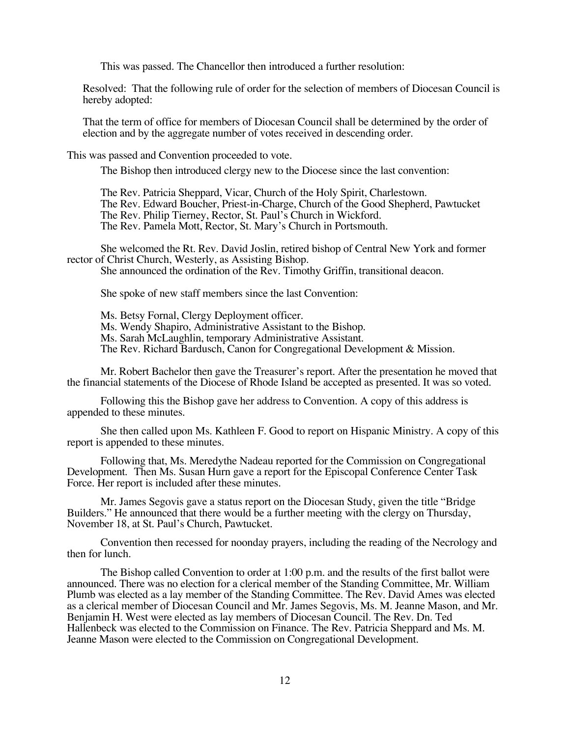This was passed. The Chancellor then introduced a further resolution:

Resolved: That the following rule of order for the selection of members of Diocesan Council is hereby adopted:

That the term of office for members of Diocesan Council shall be determined by the order of election and by the aggregate number of votes received in descending order.

This was passed and Convention proceeded to vote.

The Bishop then introduced clergy new to the Diocese since the last convention:

The Rev. Patricia Sheppard, Vicar, Church of the Holy Spirit, Charlestown. The Rev. Edward Boucher, Priest-in-Charge, Church of the Good Shepherd, Pawtucket The Rev. Philip Tierney, Rector, St. Paul's Church in Wickford. The Rev. Pamela Mott, Rector, St. Mary's Church in Portsmouth.

She welcomed the Rt. Rev. David Joslin, retired bishop of Central New York and former rector of Christ Church, Westerly, as Assisting Bishop.

She announced the ordination of the Rev. Timothy Griffin, transitional deacon.

She spoke of new staff members since the last Convention:

Ms. Betsy Fornal, Clergy Deployment officer. Ms. Wendy Shapiro, Administrative Assistant to the Bishop. Ms. Sarah McLaughlin, temporary Administrative Assistant. The Rev. Richard Bardusch, Canon for Congregational Development & Mission.

Mr. Robert Bachelor then gave the Treasurer's report. After the presentation he moved that the financial statements of the Diocese of Rhode Island be accepted as presented. It was so voted.

Following this the Bishop gave her address to Convention. A copy of this address is appended to these minutes.

She then called upon Ms. Kathleen F. Good to report on Hispanic Ministry. A copy of this report is appended to these minutes.

Following that, Ms. Meredythe Nadeau reported for the Commission on Congregational Development. Then Ms. Susan Hurn gave a report for the Episcopal Conference Center Task Force. Her report is included after these minutes.

Mr. James Segovis gave a status report on the Diocesan Study, given the title "Bridge Builders." He announced that there would be a further meeting with the clergy on Thursday, November 18, at St. Paul's Church, Pawtucket.

Convention then recessed for noonday prayers, including the reading of the Necrology and then for lunch.

The Bishop called Convention to order at 1:00 p.m. and the results of the first ballot were announced. There was no election for a clerical member of the Standing Committee, Mr. William Plumb was elected as a lay member of the Standing Committee. The Rev. David Ames was elected as a clerical member of Diocesan Council and Mr. James Segovis, Ms. M. Jeanne Mason, and Mr. Benjamin H. West were elected as lay members of Diocesan Council. The Rev. Dn. Ted Hallenbeck was elected to the Commission on Finance. The Rev. Patricia Sheppard and Ms. M. Jeanne Mason were elected to the Commission on Congregational Development.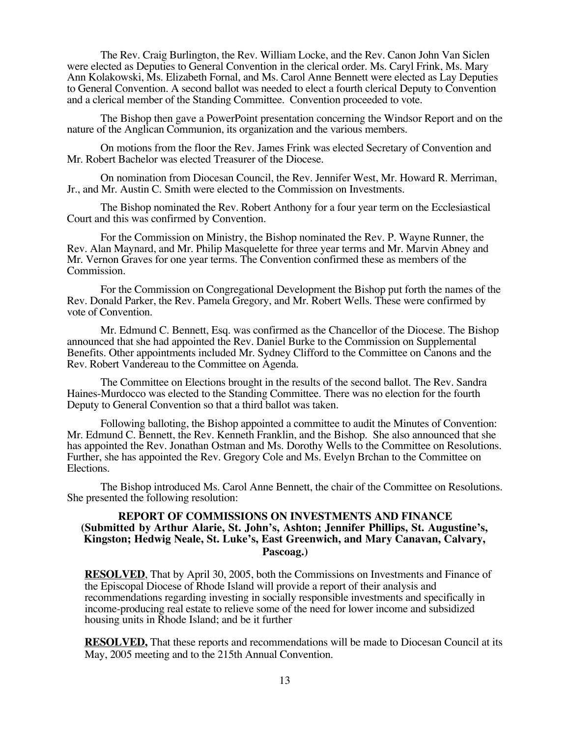The Rev. Craig Burlington, the Rev. William Locke, and the Rev. Canon John Van Siclen were elected as Deputies to General Convention in the clerical order. Ms. Caryl Frink, Ms. Mary Ann Kolakowski, Ms. Elizabeth Fornal, and Ms. Carol Anne Bennett were elected as Lay Deputies to General Convention. A second ballot was needed to elect a fourth clerical Deputy to Convention and a clerical member of the Standing Committee. Convention proceeded to vote.

The Bishop then gave a PowerPoint presentation concerning the Windsor Report and on the nature of the Anglican Communion, its organization and the various members.

On motions from the floor the Rev. James Frink was elected Secretary of Convention and Mr. Robert Bachelor was elected Treasurer of the Diocese.

On nomination from Diocesan Council, the Rev. Jennifer West, Mr. Howard R. Merriman, Jr., and Mr. Austin C. Smith were elected to the Commission on Investments.

The Bishop nominated the Rev. Robert Anthony for a four year term on the Ecclesiastical Court and this was confirmed by Convention.

For the Commission on Ministry, the Bishop nominated the Rev. P. Wayne Runner, the Rev. Alan Maynard, and Mr. Philip Masquelette for three year terms and Mr. Marvin Abney and Mr. Vernon Graves for one year terms. The Convention confirmed these as members of the Commission.

For the Commission on Congregational Development the Bishop put forth the names of the Rev. Donald Parker, the Rev. Pamela Gregory, and Mr. Robert Wells. These were confirmed by vote of Convention.

Mr. Edmund C. Bennett, Esq. was confirmed as the Chancellor of the Diocese. The Bishop announced that she had appointed the Rev. Daniel Burke to the Commission on Supplemental Benefits. Other appointments included Mr. Sydney Clifford to the Committee on Canons and the Rev. Robert Vandereau to the Committee on Agenda.

The Committee on Elections brought in the results of the second ballot. The Rev. Sandra Haines-Murdocco was elected to the Standing Committee. There was no election for the fourth Deputy to General Convention so that a third ballot was taken.

Following balloting, the Bishop appointed a committee to audit the Minutes of Convention: Mr. Edmund C. Bennett, the Rev. Kenneth Franklin, and the Bishop. She also announced that she has appointed the Rev. Jonathan Ostman and Ms. Dorothy Wells to the Committee on Resolutions. Further, she has appointed the Rev. Gregory Cole and Ms. Evelyn Brchan to the Committee on Elections.

The Bishop introduced Ms. Carol Anne Bennett, the chair of the Committee on Resolutions. She presented the following resolution:

#### **REPORT OF COMMISSIONS ON INVESTMENTS AND FINANCE (Submitted by Arthur Alarie, St. John's, Ashton; Jennifer Phillips, St. Augustine's, Kingston; Hedwig Neale, St. Luke's, East Greenwich, and Mary Canavan, Calvary, Pascoag.)**

**RESOLVED**, That by April 30, 2005, both the Commissions on Investments and Finance of the Episcopal Diocese of Rhode Island will provide a report of their analysis and recommendations regarding investing in socially responsible investments and specifically in income-producing real estate to relieve some of the need for lower income and subsidized housing units in Rhode Island; and be it further

**RESOLVED,** That these reports and recommendations will be made to Diocesan Council at its May, 2005 meeting and to the 215th Annual Convention.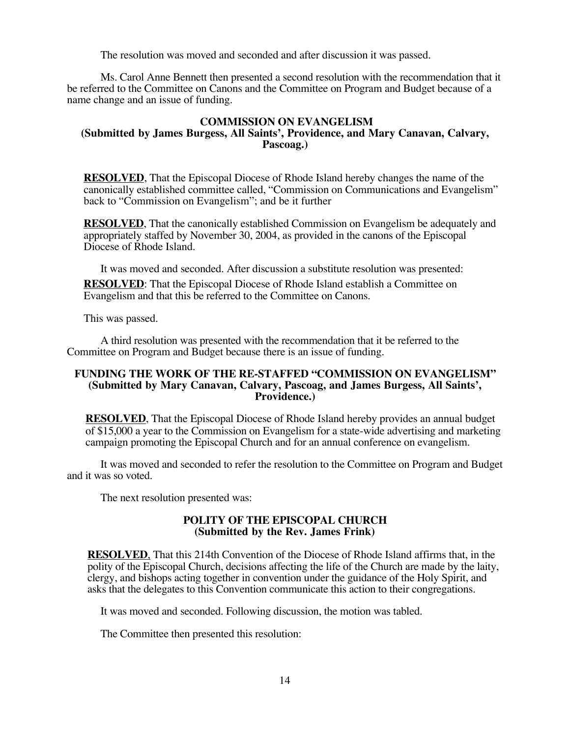The resolution was moved and seconded and after discussion it was passed.

Ms. Carol Anne Bennett then presented a second resolution with the recommendation that it be referred to the Committee on Canons and the Committee on Program and Budget because of a name change and an issue of funding.

#### **COMMISSION ON EVANGELISM (Submitted by James Burgess, All Saints', Providence, and Mary Canavan, Calvary, Pascoag.)**

**RESOLVED**, That the Episcopal Diocese of Rhode Island hereby changes the name of the canonically established committee called, "Commission on Communications and Evangelism" back to "Commission on Evangelism"; and be it further

**RESOLVED**, That the canonically established Commission on Evangelism be adequately and appropriately staffed by November 30, 2004, as provided in the canons of the Episcopal Diocese of Rhode Island.

It was moved and seconded. After discussion a substitute resolution was presented: **RESOLVED**: That the Episcopal Diocese of Rhode Island establish a Committee on Evangelism and that this be referred to the Committee on Canons.

This was passed.

A third resolution was presented with the recommendation that it be referred to the Committee on Program and Budget because there is an issue of funding.

#### **FUNDING THE WORK OF THE RE-STAFFED "COMMISSION ON EVANGELISM" (Submitted by Mary Canavan, Calvary, Pascoag, and James Burgess, All Saints', Providence.)**

**RESOLVED**, That the Episcopal Diocese of Rhode Island hereby provides an annual budget of \$15,000 a year to the Commission on Evangelism for a state-wide advertising and marketing campaign promoting the Episcopal Church and for an annual conference on evangelism.

It was moved and seconded to refer the resolution to the Committee on Program and Budget and it was so voted.

The next resolution presented was:

#### **POLITY OF THE EPISCOPAL CHURCH (Submitted by the Rev. James Frink)**

**RESOLVED**, That this 214th Convention of the Diocese of Rhode Island affirms that, in the polity of the Episcopal Church, decisions affecting the life of the Church are made by the laity, clergy, and bishops acting together in convention under the guidance of the Holy Spirit, and asks that the delegates to this Convention communicate this action to their congregations.

It was moved and seconded. Following discussion, the motion was tabled.

The Committee then presented this resolution: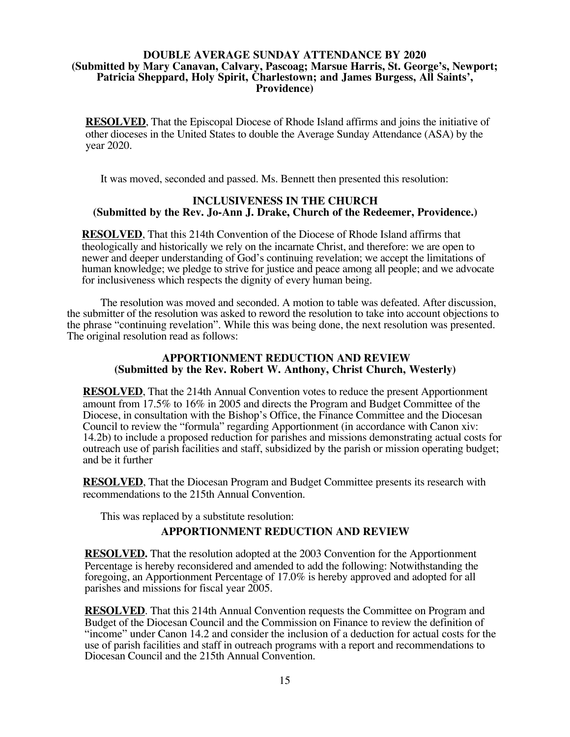#### **DOUBLE AVERAGE SUNDAY ATTENDANCE BY 2020 (Submitted by Mary Canavan, Calvary, Pascoag; Marsue Harris, St. George's, Newport; Patricia Sheppard, Holy Spirit, Charlestown; and James Burgess, All Saints', Providence)**

**RESOLVED**, That the Episcopal Diocese of Rhode Island affirms and joins the initiative of other dioceses in the United States to double the Average Sunday Attendance (ASA) by the year 2020.

It was moved, seconded and passed. Ms. Bennett then presented this resolution:

#### **INCLUSIVENESS IN THE CHURCH (Submitted by the Rev. Jo-Ann J. Drake, Church of the Redeemer, Providence.)**

**RESOLVED**, That this 214th Convention of the Diocese of Rhode Island affirms that theologically and historically we rely on the incarnate Christ, and therefore: we are open to newer and deeper understanding of God's continuing revelation; we accept the limitations of human knowledge; we pledge to strive for justice and peace among all people; and we advocate for inclusiveness which respects the dignity of every human being.

The resolution was moved and seconded. A motion to table was defeated. After discussion, the submitter of the resolution was asked to reword the resolution to take into account objections to the phrase "continuing revelation". While this was being done, the next resolution was presented. The original resolution read as follows:

#### **APPORTIONMENT REDUCTION AND REVIEW (Submitted by the Rev. Robert W. Anthony, Christ Church, Westerly)**

**RESOLVED**, That the 214th Annual Convention votes to reduce the present Apportionment amount from 17.5% to 16% in 2005 and directs the Program and Budget Committee of the Diocese, in consultation with the Bishop's Office, the Finance Committee and the Diocesan Council to review the "formula" regarding Apportionment (in accordance with Canon xiv: 14.2b) to include a proposed reduction for parishes and missions demonstrating actual costs for outreach use of parish facilities and staff, subsidized by the parish or mission operating budget; and be it further

**RESOLVED**, That the Diocesan Program and Budget Committee presents its research with recommendations to the 215th Annual Convention.

This was replaced by a substitute resolution:

#### **APPORTIONMENT REDUCTION AND REVIEW**

**RESOLVED.** That the resolution adopted at the 2003 Convention for the Apportionment Percentage is hereby reconsidered and amended to add the following: Notwithstanding the foregoing, an Apportionment Percentage of 17.0% is hereby approved and adopted for all parishes and missions for fiscal year 2005.

**RESOLVED**. That this 214th Annual Convention requests the Committee on Program and Budget of the Diocesan Council and the Commission on Finance to review the definition of "income" under Canon 14.2 and consider the inclusion of a deduction for actual costs for the use of parish facilities and staff in outreach programs with a report and recommendations to Diocesan Council and the 215th Annual Convention.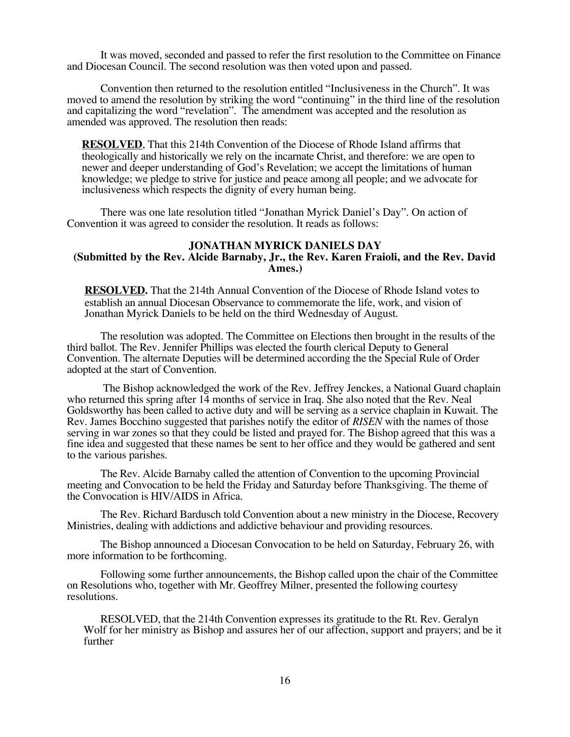It was moved, seconded and passed to refer the first resolution to the Committee on Finance and Diocesan Council. The second resolution was then voted upon and passed.

Convention then returned to the resolution entitled "Inclusiveness in the Church". It was moved to amend the resolution by striking the word "continuing" in the third line of the resolution and capitalizing the word "revelation". The amendment was accepted and the resolution as amended was approved. The resolution then reads:

**RESOLVED**, That this 214th Convention of the Diocese of Rhode Island affirms that theologically and historically we rely on the incarnate Christ, and therefore: we are open to newer and deeper understanding of God's Revelation; we accept the limitations of human knowledge; we pledge to strive for justice and peace among all people; and we advocate for inclusiveness which respects the dignity of every human being.

There was one late resolution titled "Jonathan Myrick Daniel's Day". On action of Convention it was agreed to consider the resolution. It reads as follows:

#### **JONATHAN MYRICK DANIELS DAY (Submitted by the Rev. Alcide Barnaby, Jr., the Rev. Karen Fraioli, and the Rev. David Ames.)**

**RESOLVED.** That the 214th Annual Convention of the Diocese of Rhode Island votes to establish an annual Diocesan Observance to commemorate the life, work, and vision of Jonathan Myrick Daniels to be held on the third Wednesday of August.

The resolution was adopted. The Committee on Elections then brought in the results of the third ballot. The Rev. Jennifer Phillips was elected the fourth clerical Deputy to General Convention. The alternate Deputies will be determined according the the Special Rule of Order adopted at the start of Convention.

 The Bishop acknowledged the work of the Rev. Jeffrey Jenckes, a National Guard chaplain who returned this spring after 14 months of service in Iraq. She also noted that the Rev. Neal Goldsworthy has been called to active duty and will be serving as a service chaplain in Kuwait. The Rev. James Bocchino suggested that parishes notify the editor of *RISEN* with the names of those serving in war zones so that they could be listed and prayed for. The Bishop agreed that this was a fine idea and suggested that these names be sent to her office and they would be gathered and sent to the various parishes.

The Rev. Alcide Barnaby called the attention of Convention to the upcoming Provincial meeting and Convocation to be held the Friday and Saturday before Thanksgiving. The theme of the Convocation is HIV/AIDS in Africa.

The Rev. Richard Bardusch told Convention about a new ministry in the Diocese, Recovery Ministries, dealing with addictions and addictive behaviour and providing resources.

The Bishop announced a Diocesan Convocation to be held on Saturday, February 26, with more information to be forthcoming.

Following some further announcements, the Bishop called upon the chair of the Committee on Resolutions who, together with Mr. Geoffrey Milner, presented the following courtesy resolutions.

RESOLVED, that the 214th Convention expresses its gratitude to the Rt. Rev. Geralyn Wolf for her ministry as Bishop and assures her of our affection, support and prayers; and be it further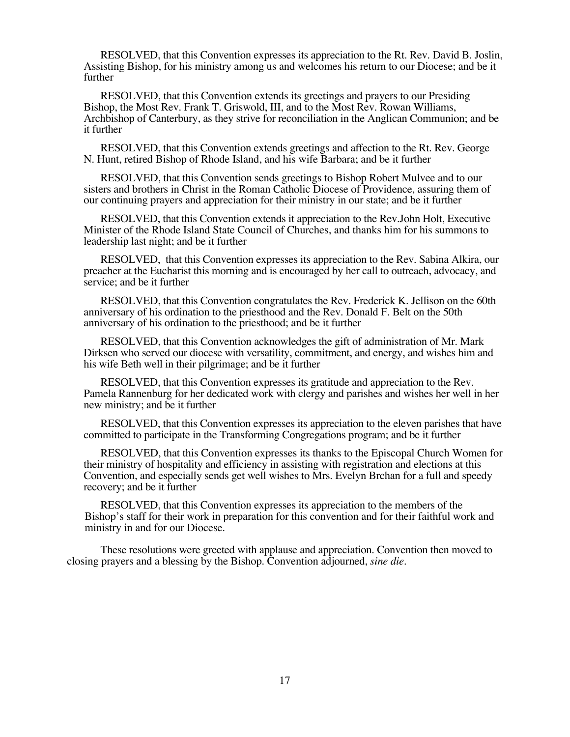RESOLVED, that this Convention expresses its appreciation to the Rt. Rev. David B. Joslin, Assisting Bishop, for his ministry among us and welcomes his return to our Diocese; and be it further

RESOLVED, that this Convention extends its greetings and prayers to our Presiding Bishop, the Most Rev. Frank T. Griswold, III, and to the Most Rev. Rowan Williams, Archbishop of Canterbury, as they strive for reconciliation in the Anglican Communion; and be it further

RESOLVED, that this Convention extends greetings and affection to the Rt. Rev. George N. Hunt, retired Bishop of Rhode Island, and his wife Barbara; and be it further

RESOLVED, that this Convention sends greetings to Bishop Robert Mulvee and to our sisters and brothers in Christ in the Roman Catholic Diocese of Providence, assuring them of our continuing prayers and appreciation for their ministry in our state; and be it further

RESOLVED, that this Convention extends it appreciation to the Rev.John Holt, Executive Minister of the Rhode Island State Council of Churches, and thanks him for his summons to leadership last night; and be it further

RESOLVED, that this Convention expresses its appreciation to the Rev. Sabina Alkira, our preacher at the Eucharist this morning and is encouraged by her call to outreach, advocacy, and service; and be it further

RESOLVED, that this Convention congratulates the Rev. Frederick K. Jellison on the 60th anniversary of his ordination to the priesthood and the Rev. Donald F. Belt on the 50th anniversary of his ordination to the priesthood; and be it further

RESOLVED, that this Convention acknowledges the gift of administration of Mr. Mark Dirksen who served our diocese with versatility, commitment, and energy, and wishes him and his wife Beth well in their pilgrimage; and be it further

RESOLVED, that this Convention expresses its gratitude and appreciation to the Rev. Pamela Rannenburg for her dedicated work with clergy and parishes and wishes her well in her new ministry; and be it further

RESOLVED, that this Convention expresses its appreciation to the eleven parishes that have committed to participate in the Transforming Congregations program; and be it further

RESOLVED, that this Convention expresses its thanks to the Episcopal Church Women for their ministry of hospitality and efficiency in assisting with registration and elections at this Convention, and especially sends get well wishes to Mrs. Evelyn Brchan for a full and speedy recovery; and be it further

RESOLVED, that this Convention expresses its appreciation to the members of the Bishop's staff for their work in preparation for this convention and for their faithful work and ministry in and for our Diocese.

These resolutions were greeted with applause and appreciation. Convention then moved to closing prayers and a blessing by the Bishop. Convention adjourned, *sine die*.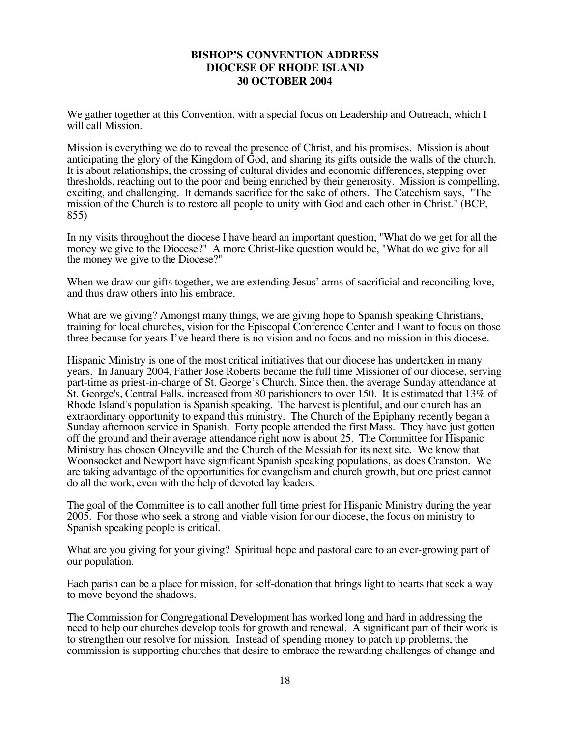#### **BISHOP'S CONVENTION ADDRESS DIOCESE OF RHODE ISLAND 30 OCTOBER 2004**

We gather together at this Convention, with a special focus on Leadership and Outreach, which I will call Mission.

Mission is everything we do to reveal the presence of Christ, and his promises. Mission is about anticipating the glory of the Kingdom of God, and sharing its gifts outside the walls of the church. It is about relationships, the crossing of cultural divides and economic differences, stepping over thresholds, reaching out to the poor and being enriched by their generosity. Mission is compelling, exciting, and challenging. It demands sacrifice for the sake of others. The Catechism says, "The mission of the Church is to restore all people to unity with God and each other in Christ." (BCP, 855)

In my visits throughout the diocese I have heard an important question, "What do we get for all the money we give to the Diocese?" A more Christ-like question would be, "What do we give for all the money we give to the Diocese?"

When we draw our gifts together, we are extending Jesus' arms of sacrificial and reconciling love, and thus draw others into his embrace.

What are we giving? Amongst many things, we are giving hope to Spanish speaking Christians, training for local churches, vision for the Episcopal Conference Center and I want to focus on those three because for years I've heard there is no vision and no focus and no mission in this diocese.

Hispanic Ministry is one of the most critical initiatives that our diocese has undertaken in many years. In January 2004, Father Jose Roberts became the full time Missioner of our diocese, serving part-time as priest-in-charge of St. George's Church. Since then, the average Sunday attendance at St. George's, Central Falls, increased from 80 parishioners to over 150. It is estimated that 13% of Rhode Island's population is Spanish speaking. The harvest is plentiful, and our church has an extraordinary opportunity to expand this ministry. The Church of the Epiphany recently began a Sunday afternoon service in Spanish. Forty people attended the first Mass. They have just gotten off the ground and their average attendance right now is about 25. The Committee for Hispanic Ministry has chosen Olneyville and the Church of the Messiah for its next site. We know that Woonsocket and Newport have significant Spanish speaking populations, as does Cranston. We are taking advantage of the opportunities for evangelism and church growth, but one priest cannot do all the work, even with the help of devoted lay leaders.

The goal of the Committee is to call another full time priest for Hispanic Ministry during the year 2005. For those who seek a strong and viable vision for our diocese, the focus on ministry to Spanish speaking people is critical.

What are you giving for your giving? Spiritual hope and pastoral care to an ever-growing part of our population.

Each parish can be a place for mission, for self-donation that brings light to hearts that seek a way to move beyond the shadows.

The Commission for Congregational Development has worked long and hard in addressing the need to help our churches develop tools for growth and renewal. A significant part of their work is to strengthen our resolve for mission. Instead of spending money to patch up problems, the commission is supporting churches that desire to embrace the rewarding challenges of change and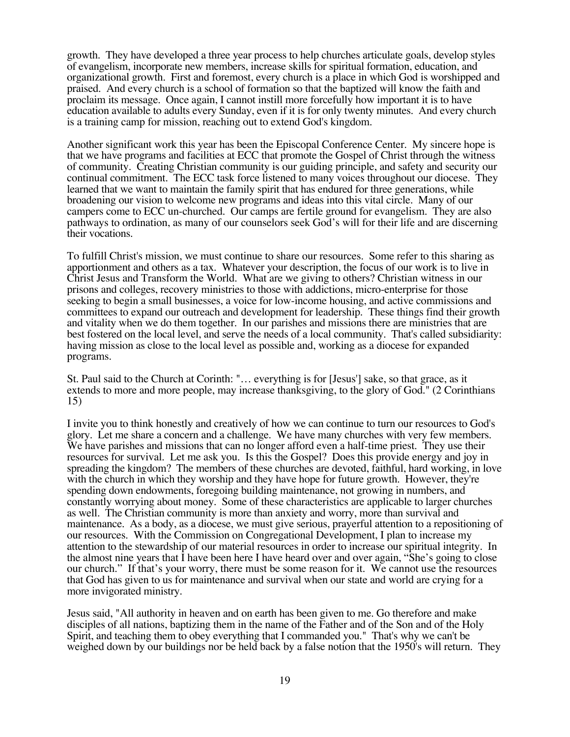growth. They have developed a three year process to help churches articulate goals, develop styles of evangelism, incorporate new members, increase skills for spiritual formation, education, and organizational growth. First and foremost, every church is a place in which God is worshipped and praised. And every church is a school of formation so that the baptized will know the faith and proclaim its message. Once again, I cannot instill more forcefully how important it is to have education available to adults every Sunday, even if it is for only twenty minutes. And every church is a training camp for mission, reaching out to extend God's kingdom.

Another significant work this year has been the Episcopal Conference Center. My sincere hope is that we have programs and facilities at ECC that promote the Gospel of Christ through the witness of community. Creating Christian community is our guiding principle, and safety and security our continual commitment. The ECC task force listened to many voices throughout our diocese. They learned that we want to maintain the family spirit that has endured for three generations, while broadening our vision to welcome new programs and ideas into this vital circle. Many of our campers come to ECC un-churched. Our camps are fertile ground for evangelism. They are also pathways to ordination, as many of our counselors seek God's will for their life and are discerning their vocations.

To fulfill Christ's mission, we must continue to share our resources. Some refer to this sharing as apportionment and others as a tax. Whatever your description, the focus of our work is to live in Christ Jesus and Transform the World. What are we giving to others? Christian witness in our prisons and colleges, recovery ministries to those with addictions, micro-enterprise for those seeking to begin a small businesses, a voice for low-income housing, and active commissions and committees to expand our outreach and development for leadership. These things find their growth and vitality when we do them together. In our parishes and missions there are ministries that are best fostered on the local level, and serve the needs of a local community. That's called subsidiarity: having mission as close to the local level as possible and, working as a diocese for expanded programs.

St. Paul said to the Church at Corinth: "… everything is for [Jesus'] sake, so that grace, as it extends to more and more people, may increase thanksgiving, to the glory of God." (2 Corinthians 15)

I invite you to think honestly and creatively of how we can continue to turn our resources to God's glory. Let me share a concern and a challenge. We have many churches with very few members. We have parishes and missions that can no longer afford even a half-time priest. They use their resources for survival. Let me ask you. Is this the Gospel? Does this provide energy and joy in spreading the kingdom? The members of these churches are devoted, faithful, hard working, in love with the church in which they worship and they have hope for future growth. However, they're spending down endowments, foregoing building maintenance, not growing in numbers, and constantly worrying about money. Some of these characteristics are applicable to larger churches as well. The Christian community is more than anxiety and worry, more than survival and maintenance. As a body, as a diocese, we must give serious, prayerful attention to a repositioning of our resources. With the Commission on Congregational Development, I plan to increase my attention to the stewardship of our material resources in order to increase our spiritual integrity. In the almost nine years that I have been here I have heard over and over again, "She's going to close our church." If that's your worry, there must be some reason for it. We cannot use the resources that God has given to us for maintenance and survival when our state and world are crying for a more invigorated ministry.

Jesus said, "All authority in heaven and on earth has been given to me. Go therefore and make disciples of all nations, baptizing them in the name of the Father and of the Son and of the Holy Spirit, and teaching them to obey everything that I commanded you." That's why we can't be weighed down by our buildings nor be held back by a false notion that the 1950's will return. They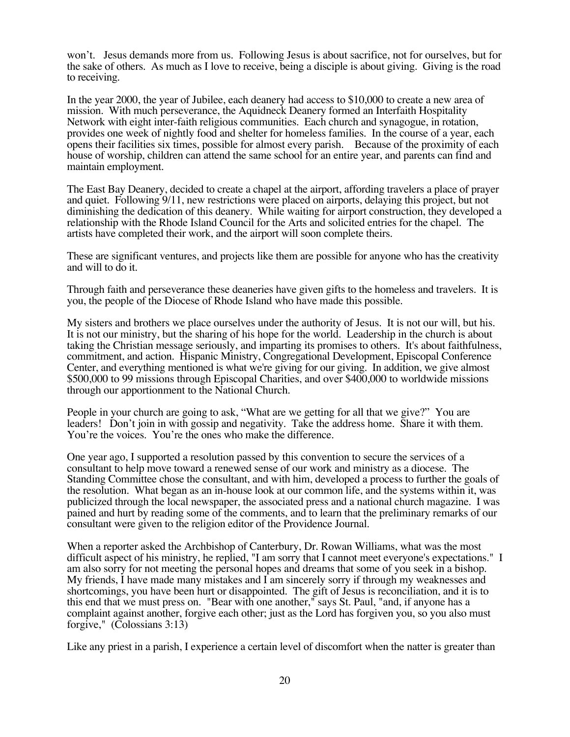won't. Jesus demands more from us. Following Jesus is about sacrifice, not for ourselves, but for the sake of others. As much as I love to receive, being a disciple is about giving. Giving is the road to receiving.

In the year 2000, the year of Jubilee, each deanery had access to \$10,000 to create a new area of mission. With much perseverance, the Aquidneck Deanery formed an Interfaith Hospitality Network with eight inter-faith religious communities. Each church and synagogue, in rotation, provides one week of nightly food and shelter for homeless families. In the course of a year, each opens their facilities six times, possible for almost every parish. Because of the proximity of each house of worship, children can attend the same school for an entire year, and parents can find and maintain employment.

The East Bay Deanery, decided to create a chapel at the airport, affording travelers a place of prayer and quiet. Following 9/11, new restrictions were placed on airports, delaying this project, but not diminishing the dedication of this deanery. While waiting for airport construction, they developed a relationship with the Rhode Island Council for the Arts and solicited entries for the chapel. The artists have completed their work, and the airport will soon complete theirs.

These are significant ventures, and projects like them are possible for anyone who has the creativity and will to do it.

Through faith and perseverance these deaneries have given gifts to the homeless and travelers. It is you, the people of the Diocese of Rhode Island who have made this possible.

My sisters and brothers we place ourselves under the authority of Jesus. It is not our will, but his. It is not our ministry, but the sharing of his hope for the world. Leadership in the church is about taking the Christian message seriously, and imparting its promises to others. It's about faithfulness, commitment, and action. Hispanic Ministry, Congregational Development, Episcopal Conference Center, and everything mentioned is what we're giving for our giving. In addition, we give almost \$500,000 to 99 missions through Episcopal Charities, and over \$400,000 to worldwide missions through our apportionment to the National Church.

People in your church are going to ask, "What are we getting for all that we give?" You are leaders! Don't join in with gossip and negativity. Take the address home. Share it with them. You're the voices. You're the ones who make the difference.

One year ago, I supported a resolution passed by this convention to secure the services of a consultant to help move toward a renewed sense of our work and ministry as a diocese. The Standing Committee chose the consultant, and with him, developed a process to further the goals of the resolution. What began as an in-house look at our common life, and the systems within it, was publicized through the local newspaper, the associated press and a national church magazine. I was pained and hurt by reading some of the comments, and to learn that the preliminary remarks of our consultant were given to the religion editor of the Providence Journal.

When a reporter asked the Archbishop of Canterbury, Dr. Rowan Williams, what was the most difficult aspect of his ministry, he replied, "I am sorry that I cannot meet everyone's expectations." I am also sorry for not meeting the personal hopes and dreams that some of you seek in a bishop. My friends, I have made many mistakes and I am sincerely sorry if through my weaknesses and shortcomings, you have been hurt or disappointed. The gift of Jesus is reconciliation, and it is to this end that we must press on. "Bear with one another," says St. Paul, "and, if anyone has a complaint against another, forgive each other; just as the Lord has forgiven you, so you also must forgive," (Colossians 3:13)

Like any priest in a parish, I experience a certain level of discomfort when the natter is greater than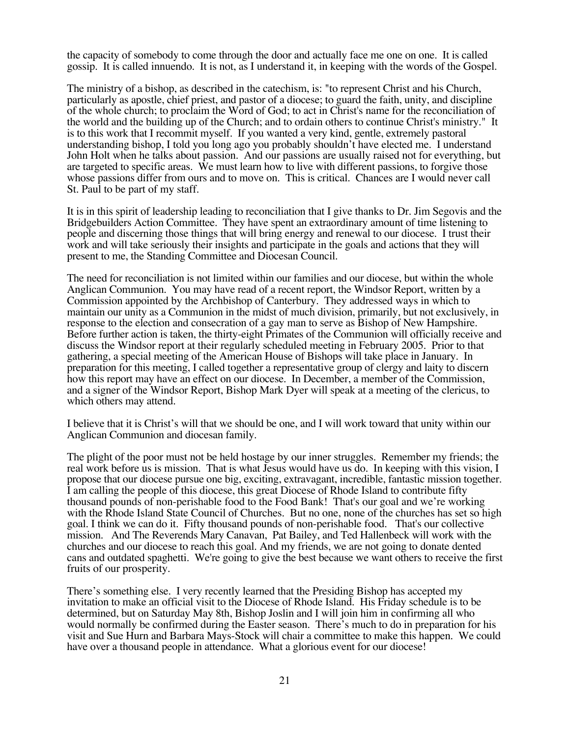the capacity of somebody to come through the door and actually face me one on one. It is called gossip. It is called innuendo. It is not, as I understand it, in keeping with the words of the Gospel.

The ministry of a bishop, as described in the catechism, is: "to represent Christ and his Church, particularly as apostle, chief priest, and pastor of a diocese; to guard the faith, unity, and discipline of the whole church; to proclaim the Word of God; to act in Christ's name for the reconciliation of the world and the building up of the Church; and to ordain others to continue Christ's ministry." It is to this work that I recommit myself. If you wanted a very kind, gentle, extremely pastoral understanding bishop, I told you long ago you probably shouldn't have elected me. I understand John Holt when he talks about passion. And our passions are usually raised not for everything, but are targeted to specific areas. We must learn how to live with different passions, to forgive those whose passions differ from ours and to move on. This is critical. Chances are I would never call St. Paul to be part of my staff.

It is in this spirit of leadership leading to reconciliation that I give thanks to Dr. Jim Segovis and the Bridgebuilders Action Committee. They have spent an extraordinary amount of time listening to people and discerning those things that will bring energy and renewal to our diocese. I trust their work and will take seriously their insights and participate in the goals and actions that they will present to me, the Standing Committee and Diocesan Council.

The need for reconciliation is not limited within our families and our diocese, but within the whole Anglican Communion. You may have read of a recent report, the Windsor Report, written by a Commission appointed by the Archbishop of Canterbury. They addressed ways in which to maintain our unity as a Communion in the midst of much division, primarily, but not exclusively, in response to the election and consecration of a gay man to serve as Bishop of New Hampshire. Before further action is taken, the thirty-eight Primates of the Communion will officially receive and discuss the Windsor report at their regularly scheduled meeting in February 2005. Prior to that gathering, a special meeting of the American House of Bishops will take place in January. In preparation for this meeting, I called together a representative group of clergy and laity to discern how this report may have an effect on our diocese. In December, a member of the Commission, and a signer of the Windsor Report, Bishop Mark Dyer will speak at a meeting of the clericus, to which others may attend.

I believe that it is Christ's will that we should be one, and I will work toward that unity within our Anglican Communion and diocesan family.

The plight of the poor must not be held hostage by our inner struggles. Remember my friends; the real work before us is mission. That is what Jesus would have us do. In keeping with this vision, I propose that our diocese pursue one big, exciting, extravagant, incredible, fantastic mission together. I am calling the people of this diocese, this great Diocese of Rhode Island to contribute fifty thousand pounds of non-perishable food to the Food Bank! That's our goal and we're working with the Rhode Island State Council of Churches. But no one, none of the churches has set so high goal. I think we can do it. Fifty thousand pounds of non-perishable food. That's our collective mission. And The Reverends Mary Canavan, Pat Bailey, and Ted Hallenbeck will work with the churches and our diocese to reach this goal. And my friends, we are not going to donate dented cans and outdated spaghetti. We're going to give the best because we want others to receive the first fruits of our prosperity.

There's something else. I very recently learned that the Presiding Bishop has accepted my invitation to make an official visit to the Diocese of Rhode Island. His Friday schedule is to be determined, but on Saturday May 8th, Bishop Joslin and I will join him in confirming all who would normally be confirmed during the Easter season. There's much to do in preparation for his visit and Sue Hurn and Barbara Mays-Stock will chair a committee to make this happen. We could have over a thousand people in attendance. What a glorious event for our diocese!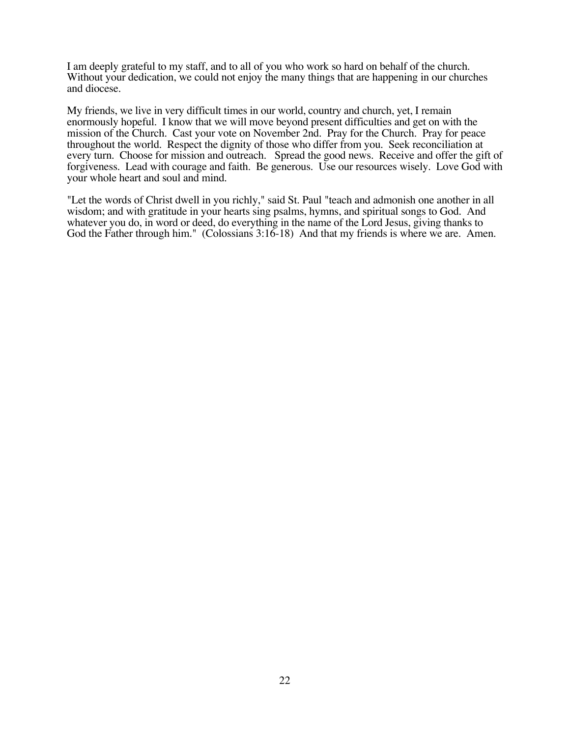I am deeply grateful to my staff, and to all of you who work so hard on behalf of the church. Without your dedication, we could not enjoy the many things that are happening in our churches and diocese.

My friends, we live in very difficult times in our world, country and church, yet, I remain enormously hopeful. I know that we will move beyond present difficulties and get on with the mission of the Church. Cast your vote on November 2nd. Pray for the Church. Pray for peace throughout the world. Respect the dignity of those who differ from you. Seek reconciliation at every turn. Choose for mission and outreach. Spread the good news. Receive and offer the gift of forgiveness. Lead with courage and faith. Be generous. Use our resources wisely. Love God with your whole heart and soul and mind.

"Let the words of Christ dwell in you richly," said St. Paul "teach and admonish one another in all wisdom; and with gratitude in your hearts sing psalms, hymns, and spiritual songs to God. And whatever you do, in word or deed, do everything in the name of the Lord Jesus, giving thanks to God the Father through him." (Colossians 3:16-18) And that my friends is where we are. Amen.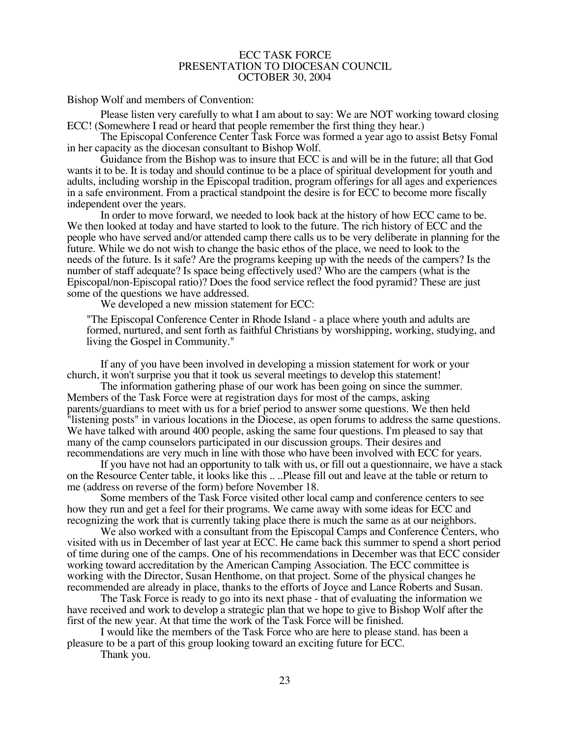#### ECC TASK FORCE PRESENTATION TO DIOCESAN COUNCIL OCTOBER 30, 2004

Bishop Wolf and members of Convention:

Please listen very carefully to what I am about to say: We are NOT working toward closing ECC! (Somewhere I read or heard that people remember the first thing they hear.)

The Episcopal Conference Center Task Force was formed a year ago to assist Betsy Fomal in her capacity as the diocesan consultant to Bishop Wolf.

Guidance from the Bishop was to insure that ECC is and will be in the future; all that God wants it to be. It is today and should continue to be a place of spiritual development for youth and adults, including worship in the Episcopal tradition, program offerings for all ages and experiences in a safe environment. From a practical standpoint the desire is for ECC to become more fiscally independent over the years.

In order to move forward, we needed to look back at the history of how ECC came to be. We then looked at today and have started to look to the future. The rich history of ECC and the people who have served and/or attended camp there calls us to be very deliberate in planning for the future. While we do not wish to change the basic ethos of the place, we need to look to the needs of the future. Is it safe? Are the programs keeping up with the needs of the campers? Is the number of staff adequate? Is space being effectively used? Who are the campers (what is the Episcopal/non-Episcopal ratio)? Does the food service reflect the food pyramid? These are just some of the questions we have addressed.

We developed a new mission statement for ECC:

"The Episcopal Conference Center in Rhode Island - a place where youth and adults are formed, nurtured, and sent forth as faithful Christians by worshipping, working, studying, and living the Gospel in Community."

If any of you have been involved in developing a mission statement for work or your church, it won't surprise you that it took us several meetings to develop this statement!

The information gathering phase of our work has been going on since the summer. Members of the Task Force were at registration days for most of the camps, asking parents/guardians to meet with us for a brief period to answer some questions. We then held "listening posts" in various locations in the Diocese, as open forums to address the same questions. We have talked with around 400 people, asking the same four questions. I'm pleased to say that many of the camp counselors participated in our discussion groups. Their desires and recommendations are very much in line with those who have been involved with ECC for years.

If you have not had an opportunity to talk with us, or fill out a questionnaire, we have a stack on the Resource Center table, it looks like this .. ..Please fill out and leave at the table or return to me (address on reverse of the form) before November 18.

Some members of the Task Force visited other local camp and conference centers to see how they run and get a feel for their programs. We came away with some ideas for ECC and recognizing the work that is currently taking place there is much the same as at our neighbors.

We also worked with a consultant from the Episcopal Camps and Conference Centers, who visited with us in December of last year at ECC. He came back this summer to spend a short period of time during one of the camps. One of his recommendations in December was that ECC consider working toward accreditation by the American Camping Association. The ECC committee is working with the Director, Susan Henthome, on that project. Some of the physical changes he recommended are already in place, thanks to the efforts of Joyce and Lance Roberts and Susan.

The Task Force is ready to go into its next phase - that of evaluating the information we have received and work to develop a strategic plan that we hope to give to Bishop Wolf after the first of the new year. At that time the work of the Task Force will be finished.

I would like the members of the Task Force who are here to please stand. has been a pleasure to be a part of this group looking toward an exciting future for ECC.

Thank you.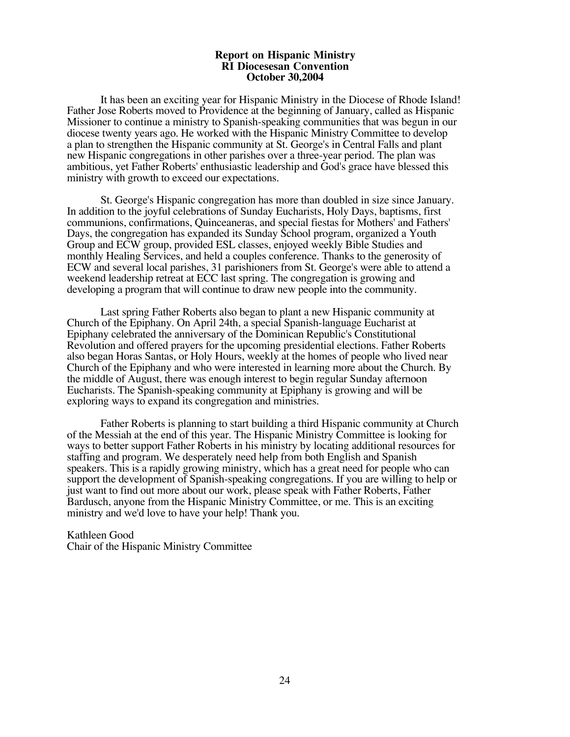#### **Report on Hispanic Ministry RI Diocesesan Convention October 30,2004**

It has been an exciting year for Hispanic Ministry in the Diocese of Rhode Island! Father Jose Roberts moved to Providence at the beginning of January, called as Hispanic Missioner to continue a ministry to Spanish-speaking communities that was begun in our diocese twenty years ago. He worked with the Hispanic Ministry Committee to develop a plan to strengthen the Hispanic community at St. George's in Central Falls and plant new Hispanic congregations in other parishes over a three-year period. The plan was ambitious, yet Father Roberts' enthusiastic leadership and God's grace have blessed this ministry with growth to exceed our expectations.

St. George's Hispanic congregation has more than doubled in size since January. In addition to the joyful celebrations of Sunday Eucharists, Holy Days, baptisms, first communions, confirmations, Quinceaneras, and special fiestas for Mothers' and Fathers' Days, the congregation has expanded its Sunday School program, organized a Youth Group and ECW group, provided ESL classes, enjoyed weekly Bible Studies and monthly Healing Services, and held a couples conference. Thanks to the generosity of ECW and several local parishes, 31 parishioners from St. George's were able to attend a weekend leadership retreat at ECC last spring. The congregation is growing and developing a program that will continue to draw new people into the community.

Last spring Father Roberts also began to plant a new Hispanic community at Church of the Epiphany. On April 24th, a special Spanish-language Eucharist at Epiphany celebrated the anniversary of the Dominican Republic's Constitutional Revolution and offered prayers for the upcoming presidential elections. Father Roberts also began Horas Santas, or Holy Hours, weekly at the homes of people who lived near Church of the Epiphany and who were interested in learning more about the Church. By the middle of August, there was enough interest to begin regular Sunday afternoon Eucharists. The Spanish-speaking community at Epiphany is growing and will be exploring ways to expand its congregation and ministries.

Father Roberts is planning to start building a third Hispanic community at Church of the Messiah at the end of this year. The Hispanic Ministry Committee is looking for ways to better support Father Roberts in his ministry by locating additional resources for staffing and program. We desperately need help from both English and Spanish speakers. This is a rapidly growing ministry, which has a great need for people who can support the development of Spanish-speaking congregations. If you are willing to help or just want to find out more about our work, please speak with Father Roberts, Father Bardusch, anyone from the Hispanic Ministry Committee, or me. This is an exciting ministry and we'd love to have your help! Thank you.

Kathleen Good Chair of the Hispanic Ministry Committee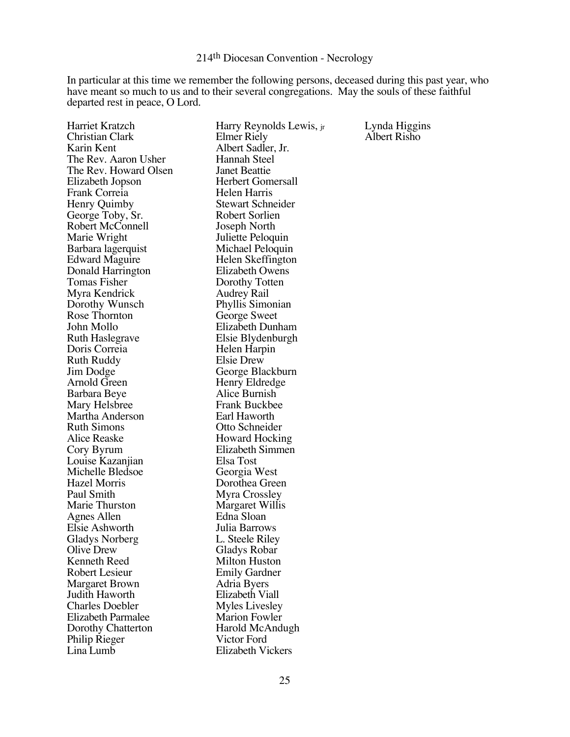#### 214th Diocesan Convention - Necrology

In particular at this time we remember the following persons, deceased during this past year, who have meant so much to us and to their several congregations. May the souls of these faithful departed rest in peace, O Lord.

| Harriet Kratzch        | Harry Reynolds Lewis, jr | Lynda Higgins |
|------------------------|--------------------------|---------------|
| Christian Clark        | Elmer Riely              | Albert Risho  |
| Karin Kent             | Albert Sadler, Jr.       |               |
| The Rev. Aaron Usher   | Hannah Steel             |               |
| The Rev. Howard Olsen  | <b>Janet Beattie</b>     |               |
| Elizabeth Jopson       | <b>Herbert Gomersall</b> |               |
| Frank Correia          | Helen Harris             |               |
| Henry Quimby           | <b>Stewart Schneider</b> |               |
| George Toby, Sr.       | Robert Sorlien           |               |
| Robert McConnell       | Joseph North             |               |
| Marie Wright           | Juliette Peloquin        |               |
| Barbara lagerquist     | Michael Peloquin         |               |
| <b>Edward Maguire</b>  | Helen Skeffington        |               |
| Donald Harrington      | Elizabeth Owens          |               |
| Tomas Fisher           | Dorothy Totten           |               |
| Myra Kendrick          | Audrey Rail              |               |
| Dorothy Wunsch         | Phyllis Simonian         |               |
| Rose Thornton          | George Sweet             |               |
| John Mollo             | Elizabeth Dunham         |               |
| Ruth Haslegrave        | Elsie Blydenburgh        |               |
| Doris Correia          | Helen Harpin             |               |
| Ruth Ruddy             | Elsie Drew               |               |
| Jim Dodge              | George Blackburn         |               |
| Arnold Green           | Henry Eldredge           |               |
| Barbara Beye           | Alice Burnish            |               |
| Mary Helsbree          | <b>Frank Buckbee</b>     |               |
| Martha Anderson        | Earl Haworth             |               |
| <b>Ruth Simons</b>     | Otto Schneider           |               |
| Alice Reaske           | Howard Hocking           |               |
| Cory Byrum             | Elizabeth Simmen         |               |
| Louise Kazanjian       | Elsa Tost                |               |
| Michelle Bledsoe       | Georgia West             |               |
| Hazel Morris           | Dorothea Green           |               |
| Paul Smith             | Myra Crossley            |               |
| Marie Thurston         | Margaret Willis          |               |
| Agnes Allen            | Edna Sloan               |               |
| Elsie Ashworth         | Julia Barrows            |               |
| <b>Gladys Norberg</b>  | L. Steele Riley          |               |
| Olive Drew             | <b>Gladys Robar</b>      |               |
| Kenneth Reed           | <b>Milton Huston</b>     |               |
| Robert Lesieur         | <b>Emily Gardner</b>     |               |
| <b>Margaret Brown</b>  | Adria Byers              |               |
| Judith Haworth         | Elizabeth Viall          |               |
| <b>Charles Doebler</b> | <b>Myles Livesley</b>    |               |
| Elizabeth Parmalee     | <b>Marion Fowler</b>     |               |
| Dorothy Chatterton     | Harold McAndugh          |               |
| Philip Rieger          | Victor Ford              |               |
| Lina Lumb              | <b>Elizabeth Vickers</b> |               |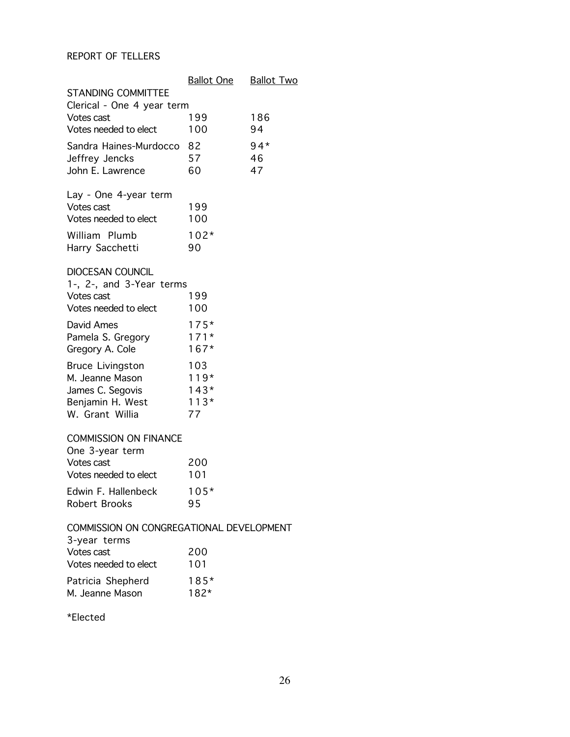#### REPORT OF TELLERS

|                                                                                                       | <b>Ballot One</b>                       | <b>Ballot Two</b> |
|-------------------------------------------------------------------------------------------------------|-----------------------------------------|-------------------|
| <b>STANDING COMMITTEE</b><br>Clerical - One 4 year term                                               |                                         |                   |
| Votes cast<br>Votes needed to elect                                                                   | 199<br>100                              | 186<br>94         |
| Sandra Haines-Murdocco<br>Jeffrey Jencks<br>John E. Lawrence                                          | 82<br>57<br>60                          | $94*$<br>46<br>47 |
| Lay - One 4-year term<br>Votes cast<br>Votes needed to elect<br>William Plumb<br>Harry Sacchetti      | 199<br>100<br>$102*$<br>90              |                   |
| <b>DIOCESAN COUNCIL</b><br>1-, 2-, and 3-Year terms<br>Votes cast<br>Votes needed to elect            | 199<br>100                              |                   |
| David Ames<br>Pamela S. Gregory<br>Gregory A. Cole                                                    | $175*$<br>$171*$<br>$167*$              |                   |
| <b>Bruce Livingston</b><br>M. Jeanne Mason<br>James C. Segovis<br>Benjamin H. West<br>W. Grant Willia | 103<br>$119*$<br>$143*$<br>$113*$<br>77 |                   |
| <b>COMMISSION ON FINANCE</b><br>One 3-year term                                                       |                                         |                   |
| Votes cast<br>Votes needed to elect                                                                   | 200<br>101                              |                   |
| Edwin F. Hallenbeck<br>Robert Brooks                                                                  | $105*$<br>95                            |                   |
| COMMISSION ON CONGREGATIONAL DEVELOPMENT<br>3-year terms                                              |                                         |                   |
| Votes cast<br>Votes needed to elect                                                                   | 200<br>101                              |                   |
| Patricia Shepherd<br>M. Jeanne Mason                                                                  | $185*$<br>$182*$                        |                   |
|                                                                                                       |                                         |                   |

\*Elected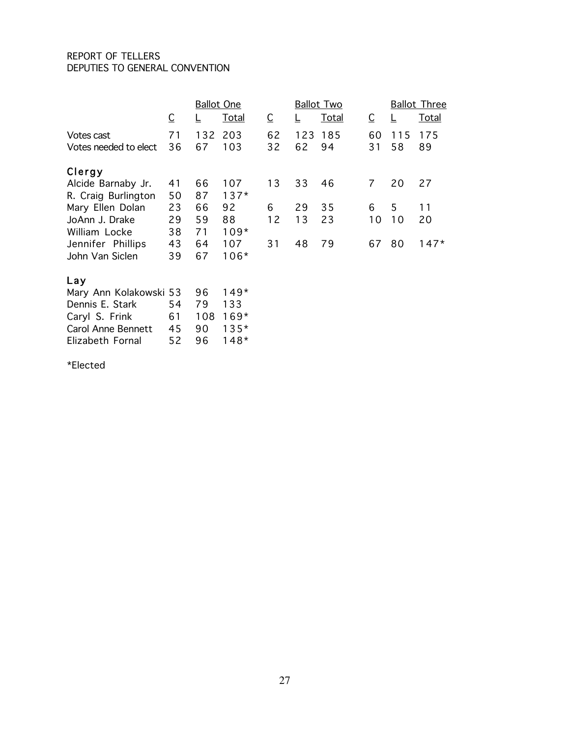#### REPORT OF TELLERS DEPUTIES TO GENERAL CONVENTION

|                           |                         | <b>Ballot One</b> |              |    |     | <b>Ballot Two</b> |                         |     | <b>Ballot Three</b> |
|---------------------------|-------------------------|-------------------|--------------|----|-----|-------------------|-------------------------|-----|---------------------|
|                           | $\overline{\mathsf{C}}$ | L                 | <u>Total</u> | C  |     | <b>Total</b>      | $\overline{\mathsf{C}}$ | ╚   | <b>Total</b>        |
| Votes cast                | 71                      | 132               | 203          | 62 | 123 | 185               | 60                      | 115 | 175                 |
| Votes needed to elect     | 36                      | 67                | 103          | 32 | 62  | 94                | 31                      | 58  | 89                  |
| Clergy                    |                         |                   |              |    |     |                   |                         |     |                     |
| Alcide Barnaby Jr.        | 41                      | 66                | 107          | 13 | 33  | 46                | $\overline{7}$          | 20  | 27                  |
| R. Craig Burlington       | 50                      | 87                | $137*$       |    |     |                   |                         |     |                     |
| Mary Ellen Dolan          | 23                      | 66                | 92           | 6  | 29  | 35                | 6                       | 5   | 11                  |
| JoAnn J. Drake            | 29                      | 59                | 88           | 12 | 13  | 23                | 10                      | 10  | 20                  |
| William Locke             | 38                      | 71                | $109*$       |    |     |                   |                         |     |                     |
| Jennifer Phillips         | 43                      | 64                | 107          | 31 | 48  | 79                | 67                      | 80  | $147*$              |
| John Van Siclen           | 39                      | 67                | $106*$       |    |     |                   |                         |     |                     |
| Lay                       |                         |                   |              |    |     |                   |                         |     |                     |
| Mary Ann Kolakowski 53    |                         | 96                | $149*$       |    |     |                   |                         |     |                     |
| Dennis E. Stark           | 54                      | 79                | 133          |    |     |                   |                         |     |                     |
| Caryl S. Frink            | 61                      | 108               | $169*$       |    |     |                   |                         |     |                     |
| <b>Carol Anne Bennett</b> | 45                      | 90                | $135*$       |    |     |                   |                         |     |                     |
| Elizabeth Fornal          | 52                      | 96                | $148*$       |    |     |                   |                         |     |                     |

\*Elected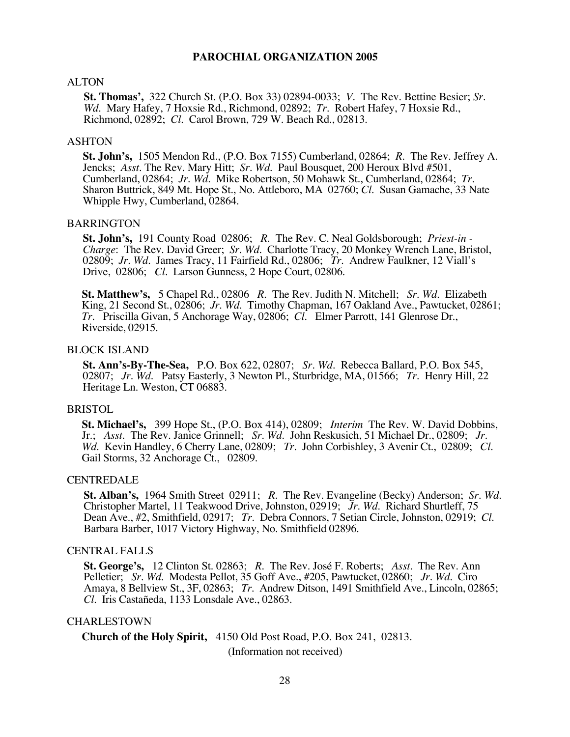#### ALTON

**St. Thomas',** 322 Church St. (P.O. Box 33) 02894-0033; *V.* The Rev. Bettine Besier; *Sr. Wd.* Mary Hafey, 7 Hoxsie Rd., Richmond, 02892; *Tr*. Robert Hafey, 7 Hoxsie Rd., Richmond, 02892; *Cl.* Carol Brown, 729 W. Beach Rd., 02813.

#### ASHTON

**St. John's,** 1505 Mendon Rd., (P.O. Box 7155) Cumberland, 02864; *R.* The Rev. Jeffrey A. Jencks; *Asst.* The Rev. Mary Hitt; *Sr. Wd.* Paul Bousquet, 200 Heroux Blvd #501, Cumberland, 02864; *Jr. Wd.* Mike Robertson, 50 Mohawk St., Cumberland, 02864; *Tr.* Sharon Buttrick, 849 Mt. Hope St., No. Attleboro, MA 02760; *Cl.* Susan Gamache, 33 Nate Whipple Hwy, Cumberland, 02864.

#### BARRINGTON

**St. John's,** 191 County Road 02806; *R.* The Rev. C. Neal Goldsborough; *Priest-in - Charge*: The Rev. David Greer; *Sr. Wd.* Charlotte Tracy, 20 Monkey Wrench Lane, Bristol, 02809; *Jr. Wd.* James Tracy, 11 Fairfield Rd., 02806; *Tr.* Andrew Faulkner, 12 Viall's Drive, 02806; *Cl.* Larson Gunness, 2 Hope Court, 02806.

**St. Matthew's,** 5 Chapel Rd., 02806 *R.* The Rev. Judith N. Mitchell; *Sr. Wd*. Elizabeth King, 21 Second St., 02806; *Jr. Wd*. Timothy Chapman, 167 Oakland Ave., Pawtucket, 02861; *Tr.* Priscilla Givan, 5 Anchorage Way, 02806; *Cl*. Elmer Parrott, 141 Glenrose Dr., Riverside, 02915.

#### BLOCK ISLAND

**St. Ann's-By-The-Sea,** P.O. Box 622, 02807; *Sr. Wd.* Rebecca Ballard, P.O. Box 545, 02807; *Jr. Wd*. Patsy Easterly, 3 Newton Pl., Sturbridge, MA, 01566; *Tr.* Henry Hill, 22 Heritage Ln. Weston, CT 06883.

#### BRISTOL

**St. Michael's,** 399 Hope St., (P.O. Box 414), 02809; *Interim* The Rev. W. David Dobbins, Jr.; *Asst*. The Rev. Janice Grinnell; *Sr. Wd*. John Reskusich, 51 Michael Dr., 02809; *Jr. Wd.* Kevin Handley, 6 Cherry Lane, 02809; *Tr*. John Corbishley, 3 Avenir Ct., 02809; *Cl*. Gail Storms, 32 Anchorage Ct., 02809.

#### **CENTREDALE**

**St. Alban's,** 1964 Smith Street 02911; *R.* The Rev. Evangeline (Becky) Anderson; *Sr. Wd.* Christopher Martel, 11 Teakwood Drive, Johnston, 02919; *Jr. Wd.* Richard Shurtleff, 75 Dean Ave., #2, Smithfield, 02917; *Tr*. Debra Connors, 7 Setian Circle, Johnston, 02919; *Cl*. Barbara Barber, 1017 Victory Highway, No. Smithfield 02896.

#### CENTRAL FALLS

**St. George's,** 12 Clinton St. 02863; *R*. The Rev. José F. Roberts; *Asst*. The Rev. Ann Pelletier; *Sr. Wd.* Modesta Pellot, 35 Goff Ave., #205, Pawtucket, 02860; *Jr. Wd*. Ciro Amaya, 8 Bellview St., 3F, 02863; *Tr*. Andrew Ditson, 1491 Smithfield Ave., Lincoln, 02865; *Cl*. Iris Castañeda, 1133 Lonsdale Ave., 02863.

#### CHARLESTOWN

**Church of the Holy Spirit,** 4150 Old Post Road, P.O. Box 241, 02813.

(Information not received)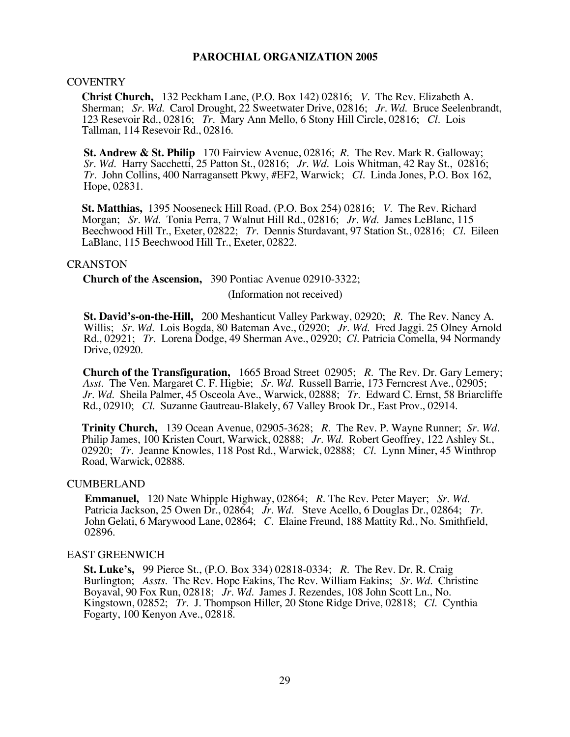#### COVENTRY

**Christ Church,** 132 Peckham Lane, (P.O. Box 142) 02816; *V.* The Rev. Elizabeth A. Sherman; *Sr. Wd.* Carol Drought, 22 Sweetwater Drive, 02816; *Jr. Wd.* Bruce Seelenbrandt, 123 Resevoir Rd., 02816; *Tr*. Mary Ann Mello, 6 Stony Hill Circle, 02816; *Cl*. Lois Tallman, 114 Resevoir Rd., 02816.

**St. Andrew & St. Philip** 170 Fairview Avenue, 02816; *R*. The Rev. Mark R. Galloway; *Sr. Wd*. Harry Sacchetti, 25 Patton St., 02816; *Jr*. *Wd.* Lois Whitman, 42 Ray St., 02816; *Tr*. John Collins, 400 Narragansett Pkwy, #EF2, Warwick; *Cl*. Linda Jones, P.O. Box 162, Hope, 02831.

**St. Matthias,** 1395 Nooseneck Hill Road, (P.O. Box 254) 02816; *V.* The Rev. Richard Morgan; *Sr. Wd.* Tonia Perra, 7 Walnut Hill Rd., 02816; *Jr. Wd.* James LeBlanc, 115 Beechwood Hill Tr., Exeter, 02822; *Tr*. Dennis Sturdavant, 97 Station St., 02816; *Cl*. Eileen LaBlanc, 115 Beechwood Hill Tr., Exeter, 02822.

#### CRANSTON

**Church of the Ascension,** 390 Pontiac Avenue 02910-3322;

(Information not received)

**St. David's-on-the-Hill,** 200 Meshanticut Valley Parkway, 02920; *R*. The Rev. Nancy A. Willis; *Sr. Wd*. Lois Bogda, 80 Bateman Ave., 02920; *Jr. Wd.* Fred Jaggi. 25 Olney Arnold Rd., 02921; *Tr*. Lorena Dodge, 49 Sherman Ave., 02920; *Cl*. Patricia Comella, 94 Normandy Drive, 02920.

**Church of the Transfiguration,** 1665 Broad Street 02905; *R.* The Rev. Dr. Gary Lemery; *Asst*. The Ven. Margaret C. F. Higbie; *Sr. Wd*. Russell Barrie, 173 Ferncrest Ave., 02905; *Jr. Wd.* Sheila Palmer, 45 Osceola Ave., Warwick, 02888; *Tr.* Edward C. Ernst, 58 Briarcliffe Rd., 02910; *Cl*. Suzanne Gautreau-Blakely, 67 Valley Brook Dr., East Prov., 02914.

**Trinity Church,** 139 Ocean Avenue, 02905-3628; *R.* The Rev. P. Wayne Runner; *Sr. Wd.* Philip James, 100 Kristen Court, Warwick, 02888; *Jr. Wd.* Robert Geoffrey, 122 Ashley St., 02920; *Tr.* Jeanne Knowles, 118 Post Rd., Warwick, 02888; *Cl*. Lynn Miner, 45 Winthrop Road, Warwick, 02888.

#### CUMBERLAND

**Emmanuel,** 120 Nate Whipple Highway, 02864; *R*. The Rev. Peter Mayer; *Sr. Wd.* Patricia Jackson, 25 Owen Dr., 02864; *Jr. Wd*. Steve Acello, 6 Douglas Dr., 02864; *Tr.* John Gelati, 6 Marywood Lane, 02864; *C*. Elaine Freund, 188 Mattity Rd., No. Smithfield, 02896.

#### EAST GREENWICH

**St. Luke's,** 99 Pierce St., (P.O. Box 334) 02818-0334; *R.* The Rev. Dr. R. Craig Burlington; *Assts*. The Rev. Hope Eakins, The Rev. William Eakins; *Sr. Wd.* Christine Boyaval, 90 Fox Run, 02818; *Jr. Wd*. James J. Rezendes, 108 John Scott Ln., No. Kingstown, 02852; *Tr*. J. Thompson Hiller, 20 Stone Ridge Drive, 02818; *Cl*. Cynthia Fogarty, 100 Kenyon Ave., 02818.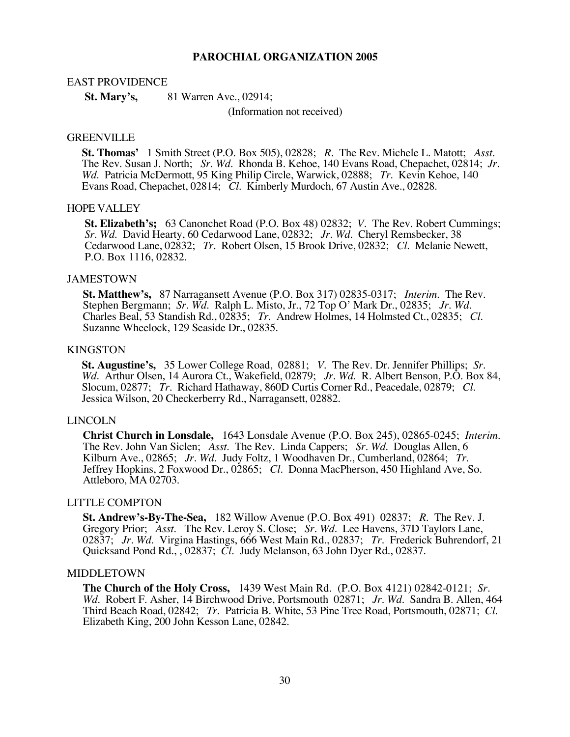#### EAST PROVIDENCE

**St. Mary's,** 81 Warren Ave., 02914;

(Information not received)

#### GREENVILLE

**St. Thomas'** 1 Smith Street (P.O. Box 505), 02828; *R.* The Rev. Michele L. Matott; *Asst*. The Rev. Susan J. North; *Sr. Wd.* Rhonda B. Kehoe, 140 Evans Road, Chepachet, 02814; *Jr. Wd.* Patricia McDermott, 95 King Philip Circle, Warwick, 02888; *Tr*. Kevin Kehoe, 140 Evans Road, Chepachet, 02814; *Cl*. Kimberly Murdoch, 67 Austin Ave., 02828.

#### HOPE VALLEY

**St. Elizabeth's;** 63 Canonchet Road (P.O. Box 48) 02832; *V.* The Rev. Robert Cummings; *Sr. Wd.* David Hearty, 60 Cedarwood Lane, 02832; *Jr. Wd*. Cheryl Remsbecker, 38 Cedarwood Lane, 02832; *Tr*. Robert Olsen, 15 Brook Drive, 02832; *Cl*. Melanie Newett, P.O. Box 1116, 02832.

#### JAMESTOWN

**St. Matthew's,** 87 Narragansett Avenue (P.O. Box 317) 02835-0317; *Interim*. The Rev. Charles Beal, 53 Standish Rd., 02835; Tr. Andrew Holmes, 14 Holmsted Ct., 02835; Cl. Suzanne Wheelock, 129 Seaside Dr., 02835.

#### KINGSTON

**St. Augustine's,** 35 Lower College Road, 02881; *V.* The Rev. Dr. Jennifer Phillips; *Sr. Wd.* Arthur Olsen, 14 Aurora Ct., Wakefield, 02879; *Jr. Wd.* R. Albert Benson, P.O. Box 84, Slocum, 02877; *Tr*. Richard Hathaway, 860D Curtis Corner Rd., Peacedale, 02879; *Cl*. Jessica Wilson, 20 Checkerberry Rd., Narragansett, 02882.

#### LINCOLN

**Christ Church in Lonsdale,** 1643 Lonsdale Avenue (P.O. Box 245), 02865-0245; *Interim*. The Rev. John Van Siclen; *Asst*. The Rev. Linda Cappers; *Sr. Wd.* Douglas Allen, 6 Jeffrey Hopkins, 2 Foxwood Dr., 02865; *Cl.* Donna MacPherson, 450 Highland Ave, So. Attleboro, MA 02703.

#### LITTLE COMPTON

**St. Andrew's-By-The-Sea,** 182 Willow Avenue (P.O. Box 491) 02837; *R*. The Rev. J. Gregory Prior; *Asst*. The Rev. Leroy S. Close; *Sr. Wd*. Lee Havens, 37D Taylors Lane, 02837; *Jr. Wd.* Virgina Hastings, 666 West Main Rd., 02837; *Tr*. Frederick Buhrendorf, 21 Quicksand Pond Rd., , 02837; *Cl.* Judy Melanson, 63 John Dyer Rd., 02837.

#### MIDDLETOWN

**The Church of the Holy Cross,** 1439 West Main Rd. (P.O. Box 4121) 02842-0121; *Sr. Wd.* Robert F. Asher, 14 Birchwood Drive, Portsmouth 02871; *Jr. Wd*. Sandra B. Allen, 464 Third Beach Road, 02842; *Tr*. Patricia B. White, 53 Pine Tree Road, Portsmouth, 02871; *Cl*. Elizabeth King, 200 John Kesson Lane, 02842.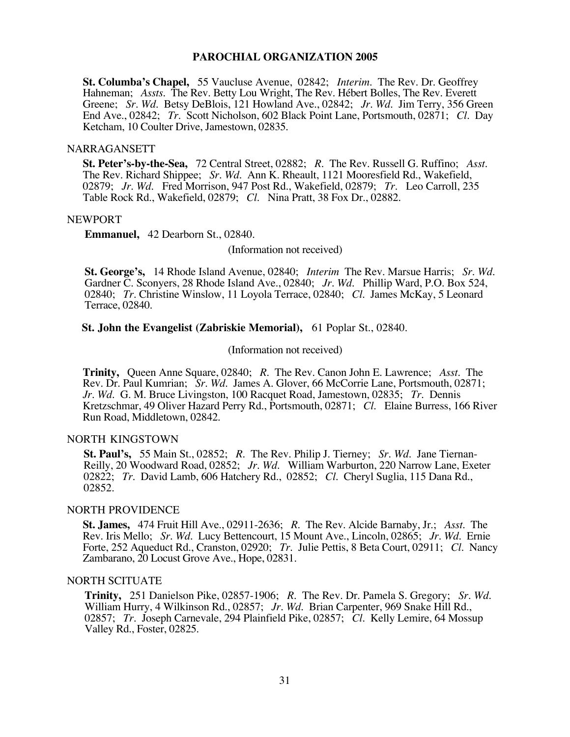**St. Columba's Chapel,** 55 Vaucluse Avenue, 02842; *Interim*. The Rev. Dr. Geoffrey Hahneman; *Assts*. The Rev. Betty Lou Wright, The Rev. Hébert Bolles, The Rev. Everett Greene; *Sr. Wd.* Betsy DeBlois, 121 Howland Ave., 02842; *Jr. Wd*. Jim Terry, 356 Green End Ave., 02842; *Tr*. Scott Nicholson, 602 Black Point Lane, Portsmouth, 02871; *Cl*. Day Ketcham, 10 Coulter Drive, Jamestown, 02835.

#### NARRAGANSETT

**St. Peter's-by-the-Sea,** 72 Central Street, 02882; *R.* The Rev. Russell G. Ruffino; *Asst*. The Rev. Richard Shippee; *Sr. Wd*. Ann K. Rheault, 1121 Mooresfield Rd., Wakefield, 02879; *Jr. Wd*. Fred Morrison, 947 Post Rd., Wakefield, 02879; *Tr*. Leo Carroll, 235 Table Rock Rd., Wakefield, 02879; *Cl*. Nina Pratt, 38 Fox Dr., 02882.

#### NEWPORT

**Emmanuel,** 42 Dearborn St., 02840.

(Information not received)

**St. George's,** 14 Rhode Island Avenue, 02840; *Interim* The Rev. Marsue Harris; *Sr. Wd.*  Gardner C. Sconyers, 28 Rhode Island Ave., 02840; *Jr. Wd*. Phillip Ward, P.O. Box 524, 02840; *Tr*. Christine Winslow, 11 Loyola Terrace, 02840; *Cl*. James McKay, 5 Leonard Terrace, 02840.

**St. John the Evangelist (Zabriskie Memorial),** 61 Poplar St., 02840.

(Information not received)

**Trinity,** Queen Anne Square, 02840; *R*. The Rev. Canon John E. Lawrence; *Asst*. The Rev. Dr. Paul Kumrian; *Sr. Wd*. James A. Glover, 66 McCorrie Lane, Portsmouth, 02871; *Jr. Wd*. G. M. Bruce Livingston, 100 Racquet Road, Jamestown, 02835; *Tr*. Dennis Kretzschmar, 49 Oliver Hazard Perry Rd., Portsmouth, 02871; *Cl*. Elaine Burress, 166 River Run Road, Middletown, 02842.

#### NORTH KINGSTOWN

**St. Paul's,** 55 Main St., 02852; *R*. The Rev. Philip J. Tierney; *Sr. Wd.* Jane Tiernan-Reilly, 20 Woodward Road, 02852; *Jr. Wd.* William Warburton, 220 Narrow Lane, Exeter 02822; *Tr*. David Lamb, 606 Hatchery Rd., 02852; *Cl*. Cheryl Suglia, 115 Dana Rd., 02852.

#### NORTH PROVIDENCE

**St. James,** 474 Fruit Hill Ave., 02911-2636; *R.* The Rev. Alcide Barnaby, Jr.; *Asst*. The Rev. Iris Mello; *Sr. Wd.* Lucy Bettencourt, 15 Mount Ave., Lincoln, 02865; *Jr. Wd.* Ernie Forte, 252 Aqueduct Rd., Cranston, 02920; *Tr*. Julie Pettis, 8 Beta Court, 02911; *Cl*. Nancy Zambarano, 20 Locust Grove Ave., Hope, 02831.

#### NORTH SCITUATE

**Trinity,** 251 Danielson Pike, 02857-1906; *R*. The Rev. Dr. Pamela S. Gregory; *Sr. Wd.*  William Hurry, 4 Wilkinson Rd., 02857; *Jr. Wd.* Brian Carpenter, 969 Snake Hill Rd., 02857; *Tr.* Joseph Carnevale, 294 Plainfield Pike, 02857; *Cl*. Kelly Lemire, 64 Mossup Valley Rd., Foster, 02825.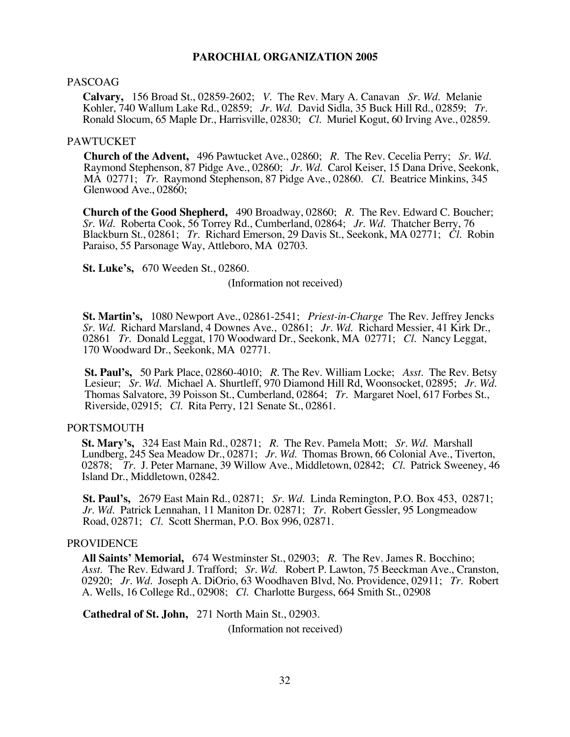#### PASCOAG

**Calvary,** 156 Broad St., 02859-2602; *V*. The Rev. Mary A. Canavan *Sr. Wd*. Melanie Kohler, 740 Wallum Lake Rd., 02859; *Jr. Wd*. David Sidla, 35 Buck Hill Rd., 02859; *Tr*. Ronald Slocum, 65 Maple Dr., Harrisville, 02830; *Cl*. Muriel Kogut, 60 Irving Ave., 02859.

#### PAWTUCKET

**Church of the Advent,** 496 Pawtucket Ave., 02860; *R*. The Rev. Cecelia Perry; *Sr. Wd.* Raymond Stephenson, 87 Pidge Ave., 02860; *Jr. Wd.* Carol Keiser, 15 Dana Drive, Seekonk, MA 02771; *Tr*. Raymond Stephenson, 87 Pidge Ave., 02860. *Cl.* Beatrice Minkins, 345 Glenwood Ave., 02860;

**Church of the Good Shepherd,** 490 Broadway, 02860; *R*. The Rev. Edward C. Boucher; *Sr. Wd*. Roberta Cook, 56 Torrey Rd., Cumberland, 02864; *Jr. Wd.* Thatcher Berry, 76 Blackburn St., 02861; *Tr.* Richard Emerson, 29 Davis St., Seekonk, MA 02771; *Cl*. Robin Paraiso, 55 Parsonage Way, Attleboro, MA 02703.

**St. Luke's,** 670 Weeden St., 02860.

(Information not received)

**St. Martin's,** 1080 Newport Ave., 02861-2541; *Priest-in-Charge* The Rev. Jeffrey Jencks *Sr. Wd.* Richard Marsland, 4 Downes Ave., 02861; *Jr*. *Wd*. Richard Messier, 41 Kirk Dr., 02861 *Tr*. Donald Leggat, 170 Woodward Dr., Seekonk, MA 02771; *Cl*. Nancy Leggat, 170 Woodward Dr., Seekonk, MA 02771.

**St. Paul's,** 50 Park Place, 02860-4010; *R*. The Rev. William Locke; *Asst*. The Rev. Betsy Lesieur; *Sr. Wd*. Michael A. Shurtleff, 970 Diamond Hill Rd, Woonsocket, 02895; *Jr. Wd.* Thomas Salvatore, 39 Poisson St., Cumberland, 02864; *Tr*. Margaret Noel, 617 Forbes St., Riverside, 02915; *Cl*. Rita Perry, 121 Senate St., 02861.

#### PORTSMOUTH

**St. Mary's,** 324 East Main Rd., 02871; *R*. The Rev. Pamela Mott; *Sr. Wd.* Marshall Lundberg, 245 Sea Meadow Dr., 02871; *Jr. Wd*. Thomas Brown, 66 Colonial Ave., Tiverton, 02878; *Tr*. J. Peter Marnane, 39 Willow Ave., Middletown, 02842; *Cl*. Patrick Sweeney, 46 Island Dr., Middletown, 02842.

**St. Paul's,** 2679 East Main Rd., 02871; *Sr. Wd*. Linda Remington, P.O. Box 453, 02871; *Jr. Wd*. Patrick Lennahan, 11 Maniton Dr. 02871; *Tr*. Robert Gessler, 95 Longmeadow Road, 02871; *Cl*. Scott Sherman, P.O. Box 996, 02871.

#### **PROVIDENCE**

**All Saints' Memorial,** 674 Westminster St., 02903; *R.* The Rev. James R. Bocchino; *Asst*. The Rev. Edward J. Trafford; *Sr. Wd*. Robert P. Lawton, 75 Beeckman Ave., Cranston, 02920; *Jr. Wd*. Joseph A. DiOrio, 63 Woodhaven Blvd, No. Providence, 02911; *Tr*. Robert A. Wells, 16 College Rd., 02908; *Cl*. Charlotte Burgess, 664 Smith St., 02908

**Cathedral of St. John,** 271 North Main St., 02903.

(Information not received)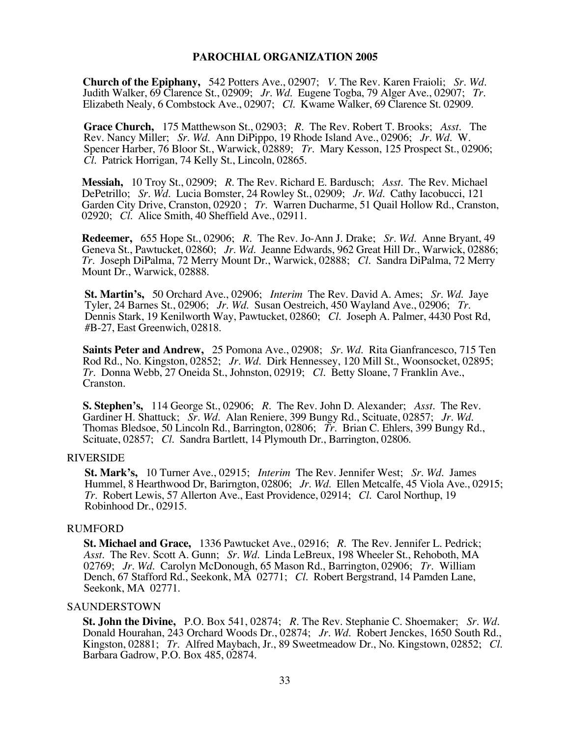**Church of the Epiphany,** 542 Potters Ave., 02907; *V*. The Rev. Karen Fraioli; *Sr. Wd.* Judith Walker, 69 Clarence St., 02909; *Jr. Wd.* Eugene Togba, 79 Alger Ave., 02907; *Tr.* Elizabeth Nealy, 6 Combstock Ave., 02907;

**Grace Church,** 175 Matthewson St., 02903; *R.* The Rev. Robert T. Brooks; *Asst*. The Rev. Nancy Miller; *Sr. Wd*. Ann DiPippo, 19 Rhode Island Ave., 02906; *Jr. Wd*. W. Spencer Harber, 76 Bloor St., Warwick, 02889; *Tr*. Mary Kesson, 125 Prospect St., 02906; *Cl*. Patrick Horrigan, 74 Kelly St., Lincoln, 02865.

**Messiah,** 10 Troy St., 02909; *R*. The Rev. Richard E. Bardusch; *Asst*. The Rev. Michael DePetrillo; *Sr. Wd.* Lucia Bomster, 24 Rowley St., 02909; *Jr. Wd*. Cathy Iacobucci, 121 Garden City Drive, Cranston, 02920 ; *Tr*. Warren Ducharme, 51 Quail Hollow Rd., Cranston, 02920; *Cl*. Alice Smith, 40 Sheffield Ave., 02911.

**Redeemer,** 655 Hope St., 02906; *R.* The Rev. Jo-Ann J. Drake; *Sr. Wd*. Anne Bryant, 49 Geneva St., Pawtucket, 02860; *Jr. Wd.* Jeanne Edwards, 962 Great Hill Dr., Warwick, 02886; *Tr.* Joseph DiPalma, 72 Merry Mount Dr., Warwick, 02888; *Cl.* Sandra DiPalma, 72 Merry Mount Dr., Warwick, 02888.

**St. Martin's,** 50 Orchard Ave., 02906; *Interim* The Rev. David A. Ames; *Sr. Wd.* Jaye Dennis Stark, 19 Kenilworth Way, Pawtucket, 02860; *Cl.* Joseph A. Palmer, 4430 Post Rd, #B-27, East Greenwich, 02818.

**Saints Peter and Andrew,** 25 Pomona Ave., 02908; *Sr. Wd*. Rita Gianfrancesco, 715 Ten Rod Rd., No. Kingston, 02852; *Jr. Wd.* Dirk Hennessey, 120 Mill St., Woonsocket, 02895; *Tr*. Donna Webb, 27 Oneida St., Johnston, 02919; *Cl*. Betty Sloane, 7 Franklin Ave., Cranston.

**S. Stephen's,** 114 George St., 02906; *R*. The Rev. John D. Alexander; *Asst*. The Rev. Gardiner H. Shattuck; *Sr. Wd.* Alan Reniere, 399 Bungy Rd., Scituate, 02857; *Jr. Wd.* Thomas Bledsoe, 50 Lincoln Rd., Barrington, 02806; *Tr.* Brian C. Ehlers, 399 Bungy Rd., Scituate, 02857; *Cl*. Sandra Bartlett, 14 Plymouth Dr., Barrington, 02806.

#### RIVERSIDE

**St. Mark's,** 10 Turner Ave., 02915; *Interim* The Rev. Jennifer West; *Sr. Wd.* James Hummel, 8 Hearthwood Dr, Barirngton, 02806; *Jr. Wd*. Ellen Metcalfe, 45 Viola Ave., 02915; *Tr*. Robert Lewis, 57 Allerton Ave., East Providence, 02914; *Cl*. Carol Northup, 19 Robinhood Dr., 02915.

#### RUMFORD

**St. Michael and Grace,** 1336 Pawtucket Ave., 02916; *R*. The Rev. Jennifer L. Pedrick; *Asst*. The Rev. Scott A. Gunn; *Sr. Wd.* Linda LeBreux, 198 Wheeler St., Rehoboth, MA 02769; *Jr. Wd*. Carolyn McDonough, 65 Mason Rd., Barrington, 02906; *Tr*. William Dench, 67 Stafford Rd., Seekonk, MA 02771; *Cl*. Robert Bergstrand, 14 Pamden Lane, Seekonk, MA 02771.

#### SAUNDERSTOWN

**St. John the Divine,** P.O. Box 541, 02874; *R.* The Rev. Stephanie C. Shoemaker; *Sr. Wd.* Donald Hourahan, 243 Orchard Woods Dr., 02874; *Jr. Wd*. Robert Jenckes, 1650 South Rd., Kingston, 02881; *Tr*. Alfred Maybach, Jr., 89 Sweetmeadow Dr., No. Kingstown, 02852; *Cl*. Barbara Gadrow, P.O. Box 485, 02874.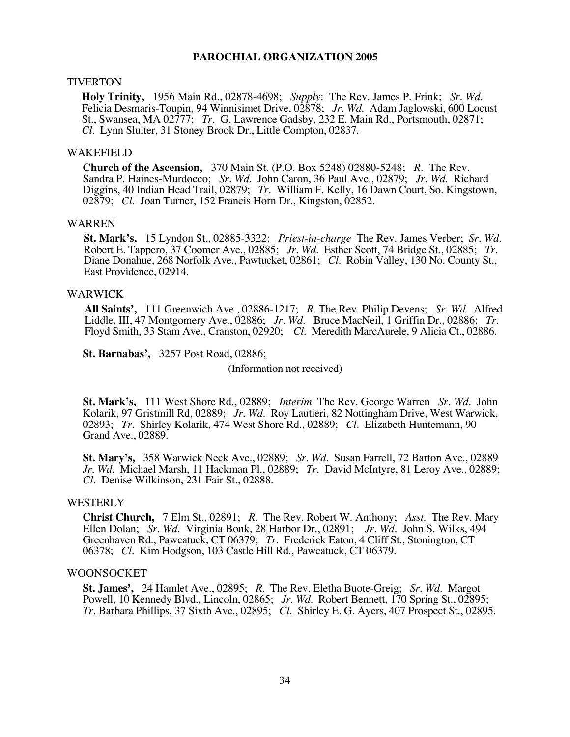#### TIVERTON

**Holy Trinity,** 1956 Main Rd., 02878-4698; *Supply*: The Rev. James P. Frink; *Sr. Wd.*  Felicia Desmaris-Toupin, 94 Winnisimet Drive, 02878; *Jr. Wd.* Adam Jaglowski, 600 Locust St., Swansea, MA 02777; *Tr*. G. Lawrence Gadsby, 232 E. Main Rd., Portsmouth, 02871; *Cl*. Lynn Sluiter, 31 Stoney Brook Dr., Little Compton, 02837.

#### WAKEFIELD

**Church of the Ascension,** 370 Main St. (P.O. Box 5248) 02880-5248; *R.* The Rev. Sandra P. Haines-Murdocco; *Sr. Wd.* John Caron, 36 Paul Ave., 02879; *Jr. Wd.* Richard Diggins, 40 Indian Head Trail, 02879; *Tr.* William F. Kelly, 16 Dawn Court, So. Kingstown, 02879; *Cl*. Joan Turner, 152 Francis Horn Dr., Kingston, 02852.

#### WARREN

**St. Mark's,** 15 Lyndon St., 02885-3322; *Priest-in-charge* The Rev. James Verber; *Sr. Wd.* Robert E. Tappero, 37 Coomer Ave., 02885; *Jr. Wd.* Esther Scott, 74 Bridge St., 02885; *Tr.* Diane Donahue, 268 Norfolk Ave., Pa East Providence, 02914.

#### WARWICK

**All Saints',** 111 Greenwich Ave., 02886-1217; *R.* The Rev. Philip Devens; *Sr. Wd*. Alfred Liddle, III, 47 Montgomery Ave., 02886; *Jr. Wd*. Bruce MacNeil, 1 Griffin Dr., 02886; *Tr*. Floyd Smith, 33 Stam Ave., Cranston, 02920; *Cl*. Meredith MarcAurele, 9 Alicia Ct., 02886.

**St. Barnabas',** 3257 Post Road, 02886;

(Information not received)

**St. Mark's,** 111 West Shore Rd., 02889; *Interim* The Rev. George Warren *Sr. Wd*. John Kolarik, 97 Gristmill Rd, 02889; *Jr. Wd.* Roy Lautieri, 82 Nottingham Drive, West Warwick, 02893; *Tr*. Shirley Kolarik, 474 West Shore Rd., 02889; *Cl*. Elizabeth Huntemann, 90 Grand Ave., 02889.

**St. Mary's,** 358 Warwick Neck Ave., 02889; *Sr. Wd*. Susan Farrell, 72 Barton Ave., 02889 *Jr. Wd*. Michael Marsh, 11 Hackman Pl., 02889; *Tr*. David McIntyre, 81 Leroy Ave., 02889; *Cl*. Denise Wilkinson, 231 Fair St., 02888.

#### **WESTERLY**

**Christ Church,** 7 Elm St., 02891; *R*. The Rev. Robert W. Anthony; *Asst*. The Rev. Mary Ellen Dolan; *Sr. Wd*. Virginia Bonk, 28 Harbor Dr., 02891; *Jr. Wd.* John S. Wilks, 494 Greenhaven Rd., Pawcatuck, CT 06379; *Tr.* Frederick Eaton, 4 Cliff St., Stonington, CT 06378; *Cl*. Kim Hodgson, 103 Castle Hill Rd., Pawcatuck, CT 06379.

#### WOONSOCKET

**St. James',** 24 Hamlet Ave., 02895; *R*. The Rev. Eletha Buote-Greig; *Sr. Wd*. Margot Powell, 10 Kennedy Blvd., Lincoln, 02865; *Jr. Wd*. Robert Bennett, 170 Spring St., 02895; *Tr*. Barbara Phillips, 37 Sixth Ave., 02895; *Cl.* Shirley E. G. Ayers, 407 Prospect St., 02895.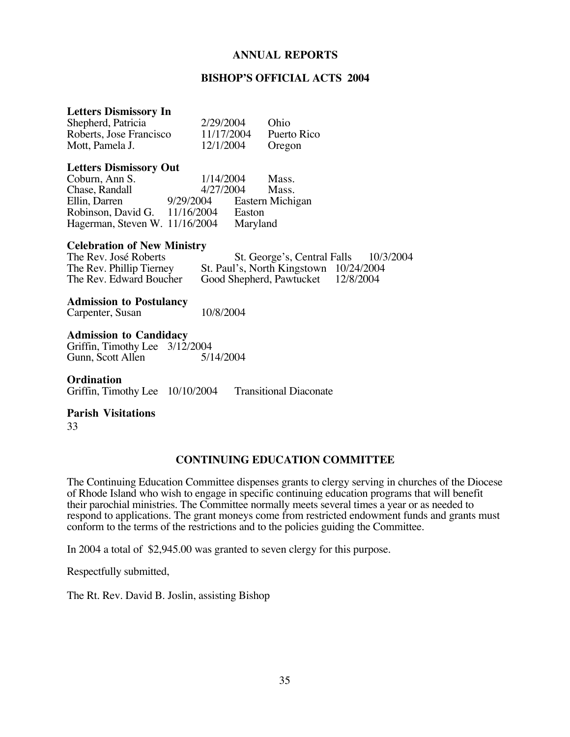#### **BISHOP'S OFFICIAL ACTS 2004**

#### **Letters Dismissory In**

| Shepherd, Patricia      | 2/29/2004  | Ohio        |
|-------------------------|------------|-------------|
| Roberts, Jose Francisco | 11/17/2004 | Puerto Rico |
| Mott, Pamela J.         | 12/1/2004  | Oregon      |

#### **Letters Dismissory Out**

| Coburn, Ann S.                 | 1/14/2004  | Mass.            |
|--------------------------------|------------|------------------|
| Chase, Randall                 | 4/27/2004  | Mass.            |
| Ellin, Darren                  | 9/29/2004  | Eastern Michigan |
| Robinson, David G.             | 11/16/2004 | Easton           |
| Hagerman, Steven W. 11/16/2004 |            | Maryland         |

#### **Celebration of New Ministry**

| The Rev. José Roberts    | St. George's, Central Falls            | 10/3/2004 |
|--------------------------|----------------------------------------|-----------|
| The Rev. Phillip Tierney | St. Paul's, North Kingstown 10/24/2004 |           |
| The Rev. Edward Boucher  | Good Shepherd, Pawtucket 12/8/2004     |           |

**Admission to Postulancy**

Carpenter, Susan 10/8/2004

**Admission to Candidacy** Griffin, Timothy Lee  $3/12/2004$ <br>Gunn, Scott Allen  $5/14/2004$ Gunn, Scott Allen

**Ordination** Griffin, Timothy Lee 10/10/2004 Transitional Diaconate

#### **Parish Visitations**

33

#### **CONTINUING EDUCATION COMMITTEE**

The Continuing Education Committee dispenses grants to clergy serving in churches of the Diocese of Rhode Island who wish to engage in specific continuing education programs that will benefit their parochial ministries. The Committee normally meets several times a year or as needed to respond to applications. The grant moneys come from restricted endowment funds and grants must conform to the terms of the restrictions and to the policies guiding the Committee.

In 2004 a total of \$2,945.00 was granted to seven clergy for this purpose.

Respectfully submitted,

The Rt. Rev. David B. Joslin, assisting Bishop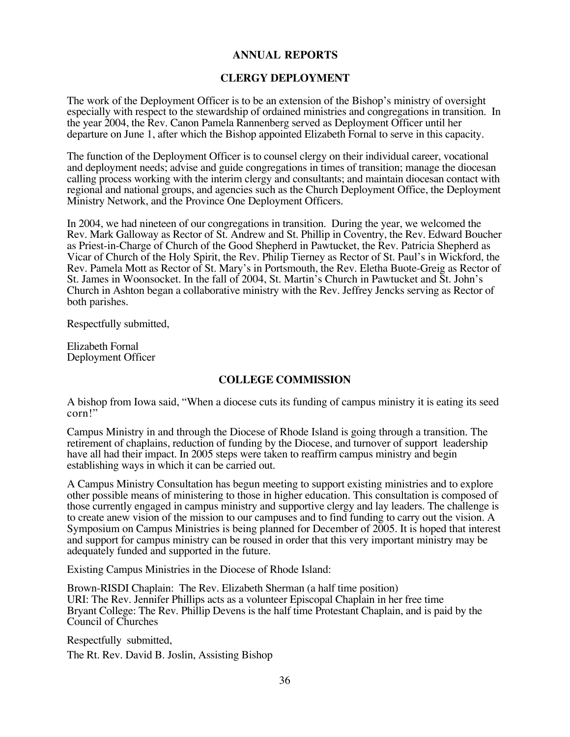#### **CLERGY DEPLOYMENT**

The work of the Deployment Officer is to be an extension of the Bishop's ministry of oversight especially with respect to the stewardship of ordained ministries and congregations in transition. In the year 2004, the Rev. Canon Pamela Rannenberg served as Deployment Officer until her departure on June 1, after which the Bishop appointed Elizabeth Fornal to serve in this capacity.

The function of the Deployment Officer is to counsel clergy on their individual career, vocational and deployment needs; advise and guide congregations in times of transition; manage the diocesan calling process working with the interim clergy and consultants; and maintain diocesan contact with regional and national groups, and agencies such as the Church Deployment Office, the Deployment Ministry Network, and the Province One Deployment Officers.

In 2004, we had nineteen of our congregations in transition. During the year, we welcomed the Rev. Mark Galloway as Rector of St. Andrew and St. Phillip in Coventry, the Rev. Edward Boucher as Priest-in-Charge of Church of the Good Shepherd in Pawtucket, the Rev. Patricia Shepherd as Vicar of Church of the Holy Spirit, the Rev. Philip Tierney as Rector of St. Paul's in Wickford, the Rev. Pamela Mott as Rector of St. Mary's in Portsmouth, the Rev. Eletha Buote-Greig as Rector of St. James in Woonsocket. In the fall of 2004, St. Martin's Church in Pawtucket and St. John's Church in Ashton began a collaborative ministry with the Rev. Jeffrey Jencks serving as Rector of both parishes.

Respectfully submitted,

Elizabeth Fornal Deployment Officer

#### **COLLEGE COMMISSION**

A bishop from Iowa said, "When a diocese cuts its funding of campus ministry it is eating its seed corn!"

Campus Ministry in and through the Diocese of Rhode Island is going through a transition. The retirement of chaplains, reduction of funding by the Diocese, and turnover of support leadership have all had their impact. In 2005 steps were taken to reaffirm campus ministry and begin establishing ways in which it can be carried out.

A Campus Ministry Consultation has begun meeting to support existing ministries and to explore other possible means of ministering to those in higher education. This consultation is composed of those currently engaged in campus ministry and supportive clergy and lay leaders. The challenge is to create anew vision of the mission to our campuses and to find funding to carry out the vision. A Symposium on Campus Ministries is being planned for December of 2005. It is hoped that interest and support for campus ministry can be roused in order that this very important ministry may be adequately funded and supported in the future.

Existing Campus Ministries in the Diocese of Rhode Island:

Brown-RISDI Chaplain: The Rev. Elizabeth Sherman (a half time position) URI: The Rev. Jennifer Phillips acts as a volunteer Episcopal Chaplain in her free time Bryant College: The Rev. Phillip Devens is the half time Protestant Chaplain, and is paid by the Council of Churches

Respectfully submitted, The Rt. Rev. David B. Joslin, Assisting Bishop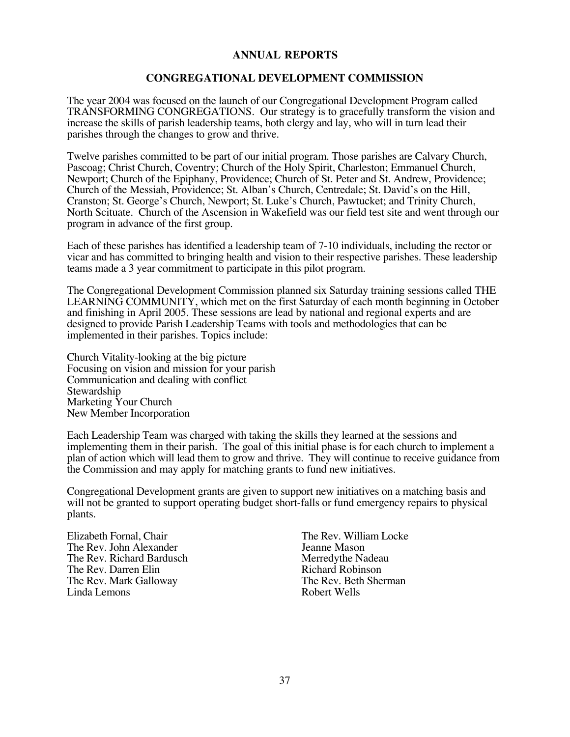#### **CONGREGATIONAL DEVELOPMENT COMMISSION**

The year 2004 was focused on the launch of our Congregational Development Program called TRANSFORMING CONGREGATIONS. Our strategy is to gracefully transform the vision and increase the skills of parish leadership teams, both clergy and lay, who will in turn lead their parishes through the changes to grow and thrive.

Twelve parishes committed to be part of our initial program. Those parishes are Calvary Church, Pascoag; Christ Church, Coventry; Church of the Holy Spirit, Charleston; Emmanuel Church, Newport; Church of the Epiphany, Providence; Church of St. Peter and St. Andrew, Providence; Church of the Messiah, Providence; St. Alban's Church, Centredale; St. David's on the Hill, Cranston; St. George's Church, Newport; St. Luke's Church, Pawtucket; and Trinity Church, North Scituate. Church of the Ascension in Wakefield was our field test site and went through our program in advance of the first group.

Each of these parishes has identified a leadership team of 7-10 individuals, including the rector or vicar and has committed to bringing health and vision to their respective parishes. These leadership teams made a 3 year commitment to participate in this pilot program.

The Congregational Development Commission planned six Saturday training sessions called THE LEARNING COMMUNITY, which met on the first Saturday of each month beginning in October and finishing in April 2005. These sessions are lead by national and regional experts and are designed to provide Parish Leadership Teams with tools and methodologies that can be implemented in their parishes. Topics include:

Church Vitality-looking at the big picture Focusing on vision and mission for your parish Communication and dealing with conflict **Stewardship** Marketing Your Church New Member Incorporation

Each Leadership Team was charged with taking the skills they learned at the sessions and implementing them in their parish. The goal of this initial phase is for each church to implement a plan of action which will lead them to grow and thrive. They will continue to receive guidance from the Commission and may apply for matching grants to fund new initiatives.

Congregational Development grants are given to support new initiatives on a matching basis and will not be granted to support operating budget short-falls or fund emergency repairs to physical plants.

Elizabeth Fornal, Chair The Rev. William Locke<br>The Rev. John Alexander The Rev. William Locke The Rev. John Alexander<br>
The Rev. Richard Bardusch<br>
Merredythe Nadeau The Rev. Richard Bardusch<br>
The Rev. Darren Elin<br>
Richard Robinson The Rev. Darren Elin<br>
The Rev. Mark Galloway The Rev. Beth Sherman The Rev. Mark Galloway The Rev. Beth Sherman The Rev. Beth Sherman Sherman Sherman Sherman Sherman Sherman Sherman Sherman Sherman Sherman Sherman Sherman Sherman Sherman Sherman Sherman Sherman Sherman Sherman Sherman She Linda Lemons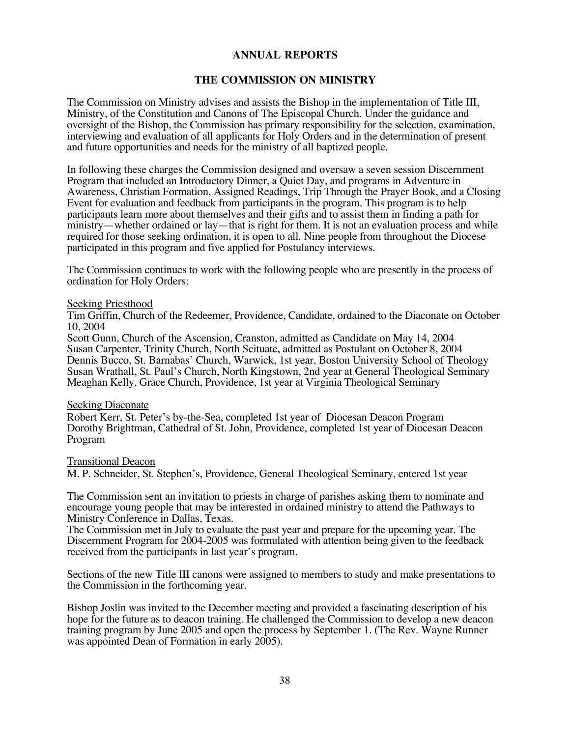#### **THE COMMISSION ON MINISTRY**

The Commission on Ministry advises and assists the Bishop in the implementation of Title III, Ministry, of the Constitution and Canons of The Episcopal Church. Under the guidance and oversight of the Bishop, the Commission has primary responsibility for the selection, examination, interviewing and evaluation of all applicants for Holy Orders and in the determination of present and future opportunities and needs for the ministry of all baptized people.

In following these charges the Commission designed and oversaw a seven session Discernment Program that included an Introductory Dinner, a Quiet Day, and programs in Adventure in Awareness, Christian Formation, Assigned Readings, Trip Through the Prayer Book, and a Closing Event for evaluation and feedback from participants in the program. This program is to help participants learn more about themselves and their gifts and to assist them in finding a path for ministry—whether ordained or lay—that is right for them. It is not an evaluation process and while required for those seeking ordination, it is open to all. Nine people from throughout the Diocese participated in this program and five applied for Postulancy interviews.

The Commission continues to work with the following people who are presently in the process of ordination for Holy Orders:

#### Seeking Priesthood

Tim Griffin, Church of the Redeemer, Providence, Candidate, ordained to the Diaconate on October 10, 2004

Scott Gunn, Church of the Ascension, Cranston, admitted as Candidate on May 14, 2004 Susan Carpenter, Trinity Church, North Scituate, admitted as Postulant on October 8, 2004 Dennis Bucco, St. Barnabas' Church, Warwick, 1st year, Boston University School of Theology Susan Wrathall, St. Paul's Church, North Kingstown, 2nd year at General Theological Seminary Meaghan Kelly, Grace Church, Providence, 1st year at Virginia Theological Seminary

#### Seeking Diaconate

Robert Kerr, St. Peter's by-the-Sea, completed 1st year of Diocesan Deacon Program Dorothy Brightman, Cathedral of St. John, Providence, completed 1st year of Diocesan Deacon Program

#### Transitional Deacon

M. P. Schneider, St. Stephen's, Providence, General Theological Seminary, entered 1st year

The Commission sent an invitation to priests in charge of parishes asking them to nominate and encourage young people that may be interested in ordained ministry to attend the Pathways to Ministry Conference in Dallas, Texas.

The Commission met in July to evaluate the past year and prepare for the upcoming year. The Discernment Program for 2004-2005 was formulated with attention being given to the feedback received from the participants in last year's program.

Sections of the new Title III canons were assigned to members to study and make presentations to the Commission in the forthcoming year.

Bishop Joslin was invited to the December meeting and provided a fascinating description of his hope for the future as to deacon training. He challenged the Commission to develop a new deacon training program by June 2005 and open the process by September 1. (The Rev. Wayne Runner was appointed Dean of Formation in early 2005).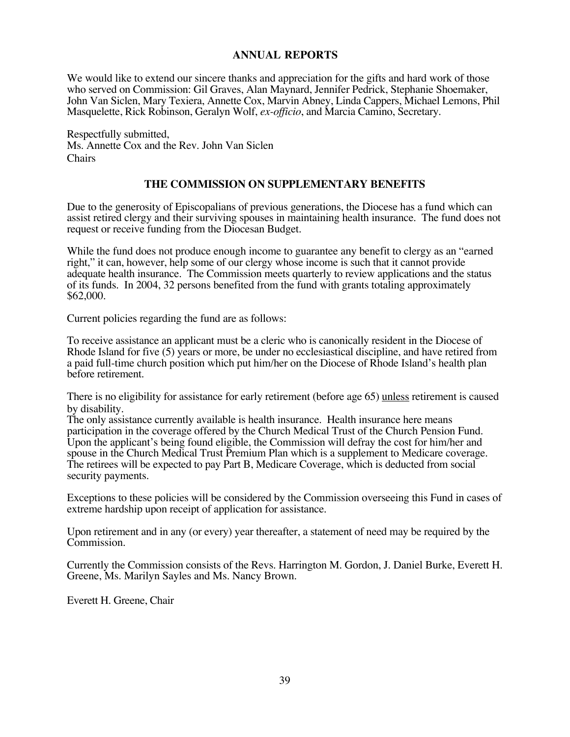We would like to extend our sincere thanks and appreciation for the gifts and hard work of those who served on Commission: Gil Graves, Alan Maynard, Jennifer Pedrick, Stephanie Shoemaker, John Van Siclen, Mary Texiera, Annette Cox, Marvin Abney, Linda Cappers, Michael Lemons, Phil Masquelette, Rick Robinson, Geralyn Wolf, *ex-officio*, and Marcia Camino, Secretary.

Respectfully submitted, Ms. Annette Cox and the Rev. John Van Siclen Chairs

#### **THE COMMISSION ON SUPPLEMENTARY BENEFITS**

Due to the generosity of Episcopalians of previous generations, the Diocese has a fund which can assist retired clergy and their surviving spouses in maintaining health insurance. The fund does not request or receive funding from the Diocesan Budget.

While the fund does not produce enough income to guarantee any benefit to clergy as an "earned" right," it can, however, help some of our clergy whose income is such that it cannot provide adequate health insurance. The Commission meets quarterly to review applications and the status of its funds. In 2004, 32 persons benefited from the fund with grants totaling approximately \$62,000.

Current policies regarding the fund are as follows:

To receive assistance an applicant must be a cleric who is canonically resident in the Diocese of Rhode Island for five (5) years or more, be under no ecclesiastical discipline, and have retired from a paid full-time church position which put him/her on the Diocese of Rhode Island's health plan before retirement.

There is no eligibility for assistance for early retirement (before age 65) unless retirement is caused by disability.

The only assistance currently available is health insurance. Health insurance here means participation in the coverage offered by the Church Medical Trust of the Church Pension Fund. Upon the applicant's being found eligible, the Commission will defray the cost for him/her and spouse in the Church Medical Trust Premium Plan which is a supplement to Medicare coverage. The retirees will be expected to pay Part B, Medicare Coverage, which is deducted from social security payments.

Exceptions to these policies will be considered by the Commission overseeing this Fund in cases of extreme hardship upon receipt of application for assistance.

Upon retirement and in any (or every) year thereafter, a statement of need may be required by the Commission.

Currently the Commission consists of the Revs. Harrington M. Gordon, J. Daniel Burke, Everett H. Greene, Ms. Marilyn Sayles and Ms. Nancy Brown.

Everett H. Greene, Chair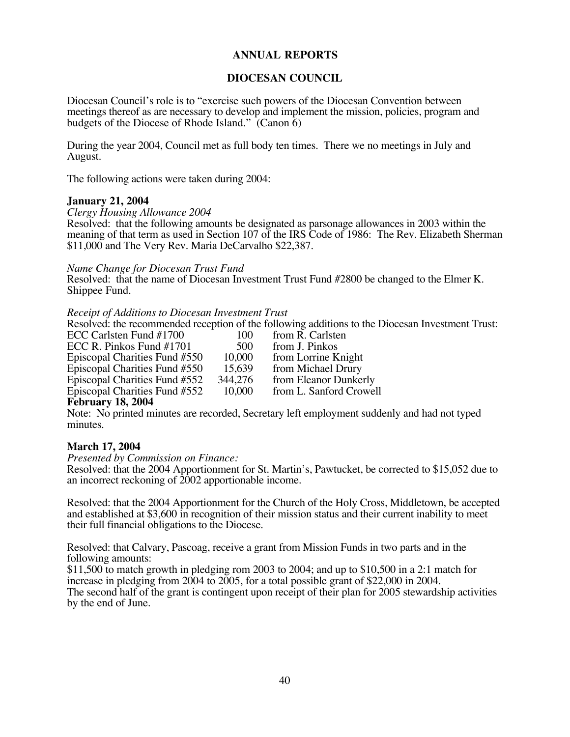#### **DIOCESAN COUNCIL**

Diocesan Council's role is to "exercise such powers of the Diocesan Convention between meetings thereof as are necessary to develop and implement the mission, policies, program and budgets of the Diocese of Rhode Island." (Canon 6)

During the year 2004, Council met as full body ten times. There we no meetings in July and August.

The following actions were taken during 2004:

#### **January 21, 2004**

*Clergy Housing Allowance 2004*

Resolved: that the following amounts be designated as parsonage allowances in 2003 within the meaning of that term as used in Section 107 of the IRS Code of 1986: The Rev. Elizabeth Sherman \$11,000 and The Very Rev. Maria DeCarvalho \$22,387.

#### *Name Change for Diocesan Trust Fund*

Resolved: that the name of Diocesan Investment Trust Fund #2800 be changed to the Elmer K. Shippee Fund.

#### *Receipt of Additions to Diocesan Investment Trust*

Resolved: the recommended reception of the following additions to the Diocesan Investment Trust:

| ECC Carlsten Fund #1700               | 100     | from R. Carlsten        |
|---------------------------------------|---------|-------------------------|
| ECC R. Pinkos Fund #1701              | 500     | from J. Pinkos          |
| Episcopal Charities Fund #550         | 10,000  | from Lorrine Knight     |
| Episcopal Charities Fund #550         | 15,639  | from Michael Drury      |
| Episcopal Charities Fund #552         | 344,276 | from Eleanor Dunkerly   |
| Episcopal Charities Fund #552         | 10,000  | from L. Sanford Crowell |
| $\Gamma_0$ <sub>hmowy</sub> 10 $2004$ |         |                         |

#### **February 18, 2004**

Note: No printed minutes are recorded, Secretary left employment suddenly and had not typed minutes.

#### **March 17, 2004**

*Presented by Commission on Finance:*

Resolved: that the 2004 Apportionment for St. Martin's, Pawtucket, be corrected to \$15,052 due to an incorrect reckoning of 2002 apportionable income.

Resolved: that the 2004 Apportionment for the Church of the Holy Cross, Middletown, be accepted and established at \$3,600 in recognition of their mission status and their current inability to meet their full financial obligations to the Diocese.

Resolved: that Calvary, Pascoag, receive a grant from Mission Funds in two parts and in the following amounts:

\$11,500 to match growth in pledging rom 2003 to 2004; and up to \$10,500 in a 2:1 match for increase in pledging from 2004 to 2005, for a total possible grant of \$22,000 in 2004. The second half of the grant is contingent upon receipt of their plan for 2005 stewardship activities by the end of June.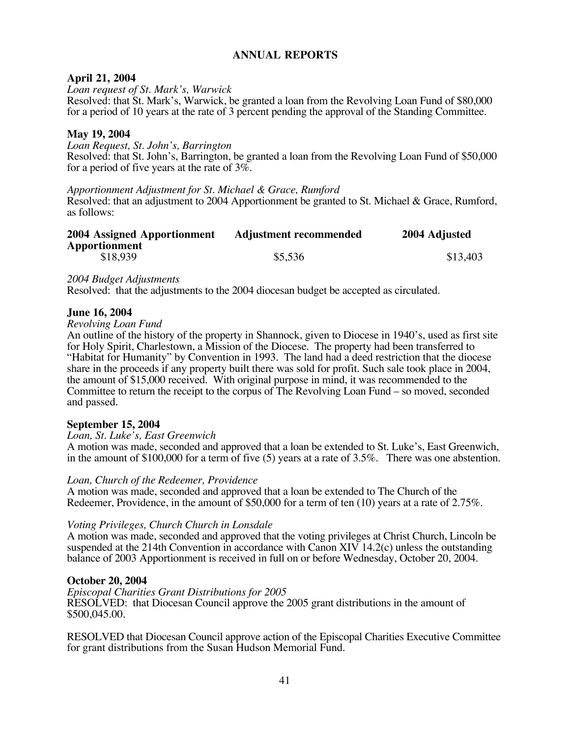#### **April 21, 2004**

*Loan request of St. Mark's, Warwick*

Resolved: that St. Mark's, Warwick, be granted a loan from the Revolving Loan Fund of \$80,000 for a period of 10 years at the rate of 3 percent pending the approval of the Standing Committee.

#### **May 19, 2004**

*Loan Request, St. John's, Barrington* Resolved: that St. John's, Barrington, be granted a loan from the Revolving Loan Fund of \$50,000 for a period of five years at the rate of 3%.

*Apportionment Adjustment for St. Michael & Grace, Rumford*

Resolved: that an adjustment to 2004 Apportionment be granted to St. Michael & Grace, Rumford, as follows:

| 2004 Assigned Apportionment | <b>Adjustment recommended</b> | 2004 Adjusted |
|-----------------------------|-------------------------------|---------------|
| Apportionment               |                               |               |
| \$18,939                    | \$5,536                       | \$13.403      |

*2004 Budget Adjustments*

Resolved: that the adjustments to the 2004 diocesan budget be accepted as circulated.

#### **June 16, 2004**

#### *Revolving Loan Fund*

An outline of the history of the property in Shannock, given to Diocese in 1940's, used as first site for Holy Spirit, Charlestown, a Mission of the Diocese. The property had been transferred to "Habitat for Humanity" by Convention in 1993. The land had a deed restriction that the diocese share in the proceeds if any property built there was sold for profit. Such sale took place in 2004, the amount of \$15,000 received. With original purpose in mind, it was recommended to the Committee to return the receipt to the corpus of The Revolving Loan Fund – so moved, seconded and passed.

#### **September 15, 2004**

#### *Loan, St. Luke's, East Greenwich*

A motion was made, seconded and approved that a loan be extended to St. Luke's, East Greenwich, in the amount of \$100,000 for a term of five (5) years at a rate of 3.5%. There was one abstention.

*Loan, Church of the Redeemer, Providence*

A motion was made, seconded and approved that a loan be extended to The Church of the Redeemer, Providence, in the amount of \$50,000 for a term of ten (10) years at a rate of 2.75%.

#### *Voting Privileges, Church Church in Lonsdale*

A motion was made, seconded and approved that the voting privileges at Christ Church, Lincoln be suspended at the 214th Convention in accordance with Canon XIV 14.2(c) unless the outstanding balance of 2003 Apportionment is received in full on or before Wednesday, October 20, 2004.

#### **October 20, 2004**

*Episcopal Charities Grant Distributions for 2005* RESOLVED: that Diocesan Council approve the 2005 grant distributions in the amount of \$500,045.00.

RESOLVED that Diocesan Council approve action of the Episcopal Charities Executive Committee for grant distributions from the Susan Hudson Memorial Fund.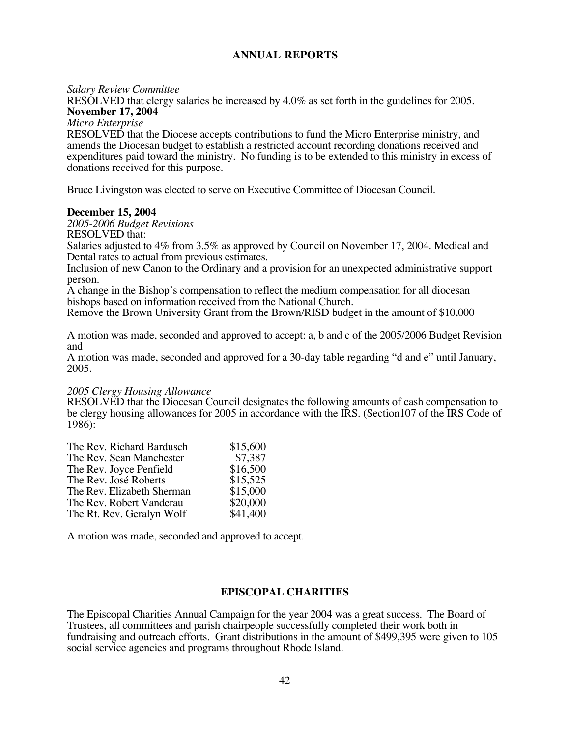#### *Salary Review Committee*

RESOLVED that clergy salaries be increased by 4.0% as set forth in the guidelines for 2005. **November 17, 2004**

*Micro Enterprise*

RESOLVED that the Diocese accepts contributions to fund the Micro Enterprise ministry, and amends the Diocesan budget to establish a restricted account recording donations received and expenditures paid toward the ministry. No funding is to be extended to this ministry in excess of donations received for this purpose.

Bruce Livingston was elected to serve on Executive Committee of Diocesan Council.

#### **December 15, 2004**

*2005-2006 Budget Revisions*

RESOLVED that:

Salaries adjusted to 4% from 3.5% as approved by Council on November 17, 2004. Medical and Dental rates to actual from previous estimates.

Inclusion of new Canon to the Ordinary and a provision for an unexpected administrative support person.

A change in the Bishop's compensation to reflect the medium compensation for all diocesan bishops based on information received from the National Church.

Remove the Brown University Grant from the Brown/RISD budget in the amount of \$10,000

A motion was made, seconded and approved to accept: a, b and c of the 2005/2006 Budget Revision and

A motion was made, seconded and approved for a 30-day table regarding "d and e" until January, 2005.

#### *2005 Clergy Housing Allowance*

RESOLVED that the Diocesan Council designates the following amounts of cash compensation to be clergy housing allowances for 2005 in accordance with the IRS. (Section107 of the IRS Code of 1986):

| The Rev. Richard Bardusch  | \$15,600 |
|----------------------------|----------|
| The Rev. Sean Manchester   | \$7,387  |
| The Rev. Joyce Penfield    | \$16,500 |
| The Rev. José Roberts      | \$15,525 |
| The Rev. Elizabeth Sherman | \$15,000 |
| The Rev. Robert Vanderau   | \$20,000 |
| The Rt. Rev. Geralyn Wolf  | \$41,400 |

A motion was made, seconded and approved to accept.

#### **EPISCOPAL CHARITIES**

The Episcopal Charities Annual Campaign for the year 2004 was a great success. The Board of Trustees, all committees and parish chairpeople successfully completed their work both in fundraising and outreach efforts. Grant distributions in the amount of \$499,395 were given to 105 social service agencies and programs throughout Rhode Island.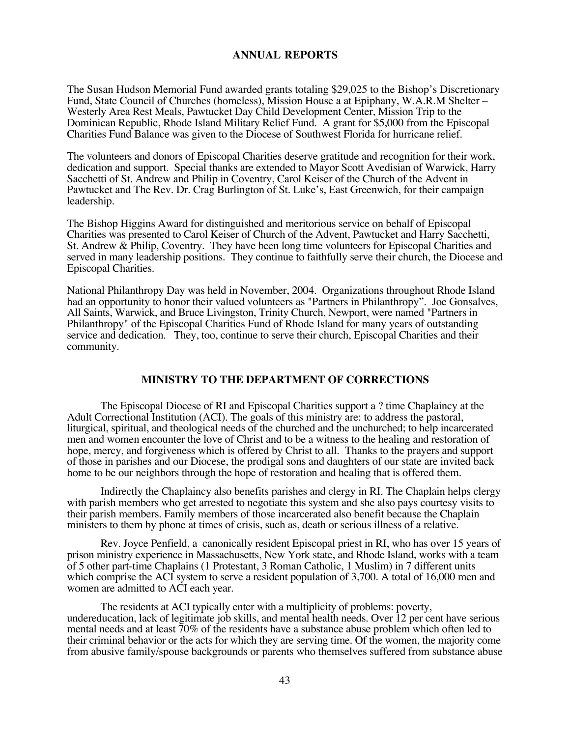The Susan Hudson Memorial Fund awarded grants totaling \$29,025 to the Bishop's Discretionary Fund, State Council of Churches (homeless), Mission House a at Epiphany, W.A.R.M Shelter – Westerly Area Rest Meals, Pawtucket Day Child Development Center, Mission Trip to the Dominican Republic, Rhode Island Military Relief Fund. A grant for \$5,000 from the Episcopal Charities Fund Balance was given to the Diocese of Southwest Florida for hurricane relief.

The volunteers and donors of Episcopal Charities deserve gratitude and recognition for their work, dedication and support. Special thanks are extended to Mayor Scott Avedisian of Warwick, Harry Sacchetti of St. Andrew and Philip in Coventry, Carol Keiser of the Church of the Advent in Pawtucket and The Rev. Dr. Crag Burlington of St. Luke's, East Greenwich, for their campaign leadership.

The Bishop Higgins Award for distinguished and meritorious service on behalf of Episcopal Charities was presented to Carol Keiser of Church of the Advent, Pawtucket and Harry Sacchetti, St. Andrew & Philip, Coventry. They have been long time volunteers for Episcopal Charities and served in many leadership positions. They continue to faithfully serve their church, the Diocese and Episcopal Charities.

National Philanthropy Day was held in November, 2004. Organizations throughout Rhode Island had an opportunity to honor their valued volunteers as "Partners in Philanthropy". Joe Gonsalves, All Saints, Warwick, and Bruce Livingston, Trinity Church, Newport, were named "Partners in Philanthropy" of the Episcopal Charities Fund of Rhode Island for many years of outstanding service and dedication. They, too, continue to serve their church, Episcopal Charities and their community.

#### **MINISTRY TO THE DEPARTMENT OF CORRECTIONS**

The Episcopal Diocese of RI and Episcopal Charities support a ? time Chaplaincy at the Adult Correctional Institution (ACI). The goals of this ministry are: to address the pastoral, liturgical, spiritual, and theological needs of the churched and the unchurched; to help incarcerated men and women encounter the love of Christ and to be a witness to the healing and restoration of hope, mercy, and forgiveness which is offered by Christ to all. Thanks to the prayers and support of those in parishes and our Diocese, the prodigal sons and daughters of our state are invited back home to be our neighbors through the hope of restoration and healing that is offered them.

Indirectly the Chaplaincy also benefits parishes and clergy in RI. The Chaplain helps clergy with parish members who get arrested to negotiate this system and she also pays courtesy visits to their parish members. Family members of those incarcerated also benefit because the Chaplain ministers to them by phone at times of crisis, such as, death or serious illness of a relative.

Rev. Joyce Penfield, a canonically resident Episcopal priest in RI, who has over 15 years of prison ministry experience in Massachusetts, New York state, and Rhode Island, works with a team of 5 other part-time Chaplains (1 Protestant, 3 Roman Catholic, 1 Muslim) in 7 different units which comprise the ACI system to serve a resident population of 3,700. A total of 16,000 men and women are admitted to ACI each year.

The residents at ACI typically enter with a multiplicity of problems: poverty, undereducation, lack of legitimate job skills, and mental health needs. Over 12 per cent have serious mental needs and at least 70% of the residents have a substance abuse problem which often led to their criminal behavior or the acts for which they are serving time. Of the women, the majority come from abusive family/spouse backgrounds or parents who themselves suffered from substance abuse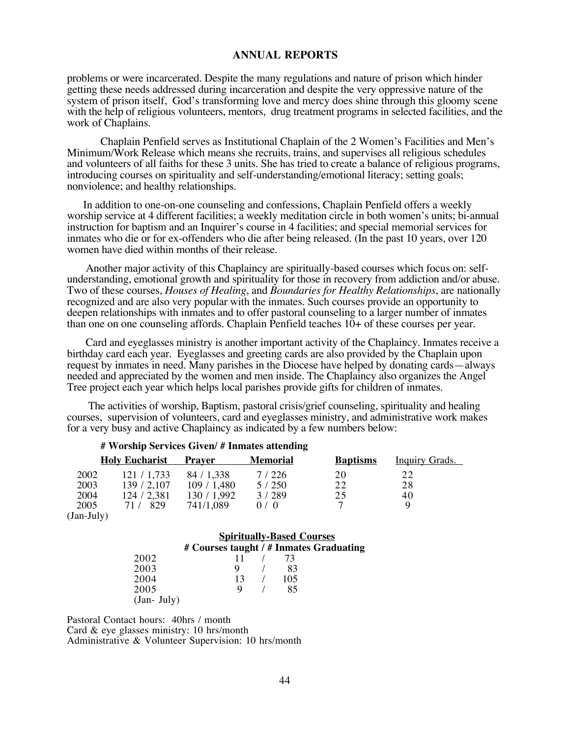problems or were incarcerated. Despite the many regulations and nature of prison which hinder getting these needs addressed during incarceration and despite the very oppressive nature of the system of prison itself, God's transforming love and mercy does shine through this gloomy scene with the help of religious volunteers, mentors, drug treatment programs in selected facilities, and the work of Chaplains.

Chaplain Penfield serves as Institutional Chaplain of the 2 Women's Facilities and Men's Minimum/Work Release which means she recruits, trains, and supervises all religious schedules and volunteers of all faiths for these 3 units. She has tried to create a balance of religious programs, introducing courses on spirituality and self-understanding/emotional literacy; setting goals; nonviolence; and healthy relationships.

 In addition to one-on-one counseling and confessions, Chaplain Penfield offers a weekly worship service at 4 different facilities; a weekly meditation circle in both women's units; bi-annual instruction for baptism and an Inquirer's course in 4 facilities; and special memorial services for inmates who die or for ex-offenders who die after being released. (In the past 10 years, over 120 women have died within months of their release.

 Another major activity of this Chaplaincy are spiritually-based courses which focus on: selfunderstanding, emotional growth and spirituality for those in recovery from addiction and/or abuse. Two of these courses, *Houses of Healing*, and *Boundaries for Healthy Relationships*, are nationally recognized and are also very popular with the inmates. Such courses provide an opportunity to deepen relationships with inmates and to offer pastoral counseling to a larger number of inmates than one on one counseling affords. Chaplain Penfield teaches 10+ of these courses per year.

 Card and eyeglasses ministry is another important activity of the Chaplaincy. Inmates receive a birthday card each year. Eyeglasses and greeting cards are also provided by the Chaplain upon request by inmates in need. Many parishes in the Diocese have helped by donating cards—always needed and appreciated by the women and men inside. The Chaplaincy also organizes the Angel Tree project each year which helps local parishes provide gifts for children of inmates.

 The activities of worship, Baptism, pastoral crisis/grief counseling, spirituality and healing courses, supervision of volunteers, card and eyeglasses ministry, and administrative work makes for a very busy and active Chaplaincy as indicated by a few numbers below:

|      | <b>Holy Eucharist</b> | Praver    | <b>Memorial</b> | <b>Baptisms</b> | <b>Inquiry Grads.</b> |  |
|------|-----------------------|-----------|-----------------|-----------------|-----------------------|--|
| 2002 | 121/1,733             | 84/1,338  | 7/226           | 20              | 22                    |  |
| 2003 | 139/2,107             | 109/1,480 | 5/250           | 22              | 28                    |  |
| 2004 | 124/2,381             | 130/1,992 | 3/289           | 25              | 40                    |  |
| 2005 | 71 / 829              | 741/1.089 | 0/0             |                 |                       |  |
|      |                       |           |                 |                 |                       |  |

**# Worship Services Given/ # Inmates attending** 

(Jan-July)

#### **Spiritually-Based Courses # Courses taught / # Inmates Graduating**

|              | $\pi$ Courses taught / $\pi$ minimites Grauu |    |     |  |
|--------------|----------------------------------------------|----|-----|--|
| 2002         |                                              | 11 | 73  |  |
| 2003         |                                              | Q  | 83  |  |
| 2004         |                                              | 13 | 105 |  |
| 2005         |                                              |    | 85  |  |
| $(Jan-July)$ |                                              |    |     |  |

Pastoral Contact hours: 40hrs / month Card & eye glasses ministry: 10 hrs/month Administrative & Volunteer Supervision: 10 hrs/month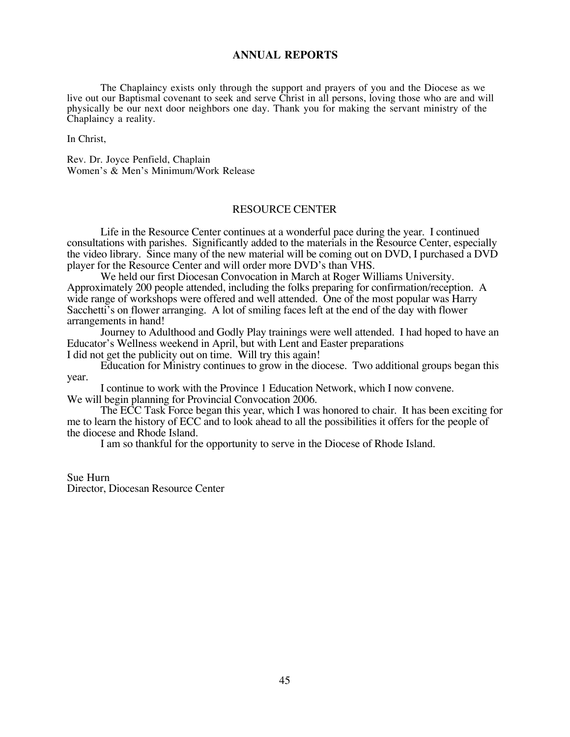The Chaplaincy exists only through the support and prayers of you and the Diocese as we live out our Baptismal covenant to seek and serve Christ in all persons, loving those who are and will physically be our next door neighbors one day. Thank you for making the servant ministry of the Chaplaincy a reality.

In Christ,

Rev. Dr. Joyce Penfield, Chaplain Women's & Men's Minimum/Work Release

#### RESOURCE CENTER

Life in the Resource Center continues at a wonderful pace during the year. I continued consultations with parishes. Significantly added to the materials in the Resource Center, especially the video library. Since many of the new material will be coming out on DVD, I purchased a DVD player for the Resource Center and will order more DVD's than VHS.

We held our first Diocesan Convocation in March at Roger Williams University. Approximately 200 people attended, including the folks preparing for confirmation/reception. A wide range of workshops were offered and well attended. One of the most popular was Harry Sacchetti's on flower arranging. A lot of smiling faces left at the end of the day with flower arrangements in hand!

Journey to Adulthood and Godly Play trainings were well attended. I had hoped to have an Educator's Wellness weekend in April, but with Lent and Easter preparations I did not get the publicity out on time. Will try this again!

Education for Ministry continues to grow in the diocese. Two additional groups began this year.

I continue to work with the Province 1 Education Network, which I now convene. We will begin planning for Provincial Convocation 2006.

The ECC Task Force began this year, which I was honored to chair. It has been exciting for me to learn the history of ECC and to look ahead to all the possibilities it offers for the people of the diocese and Rhode Island.

I am so thankful for the opportunity to serve in the Diocese of Rhode Island.

Sue Hurn Director, Diocesan Resource Center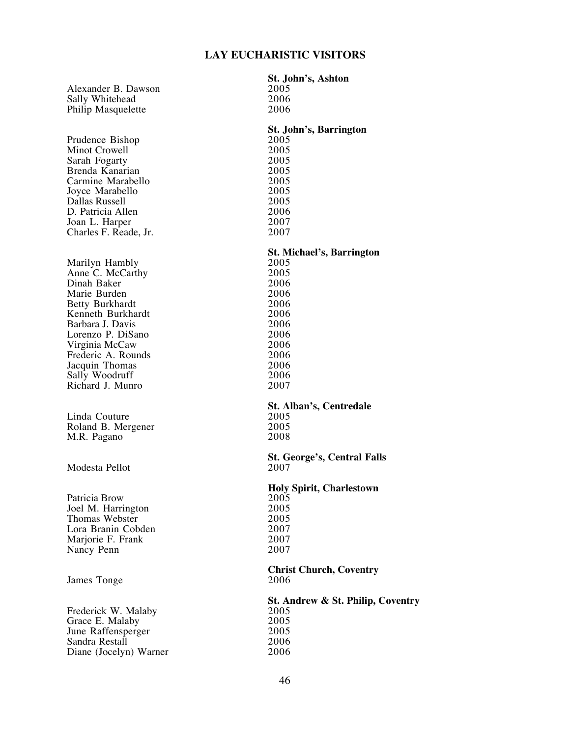| Alexander B. Dawson<br>Sally Whitehead<br>Philip Masquelette                                                                                                                                                                                              | St. John's, Ashton<br>2005<br>2006<br>2006                                                                                               |
|-----------------------------------------------------------------------------------------------------------------------------------------------------------------------------------------------------------------------------------------------------------|------------------------------------------------------------------------------------------------------------------------------------------|
| Prudence Bishop<br>Minot Crowell<br>Sarah Fogarty<br>Brenda Kanarian<br>Carmine Marabello<br>Joyce Marabello<br>Dallas Russell<br>D. Patricia Allen<br>Joan L. Harper<br>Charles F. Reade, Jr.                                                            | <b>St. John's, Barrington</b><br>2005<br>2005<br>2005<br>2005<br>2005<br>2005<br>2005<br>2006<br>2007<br>2007                            |
| Marilyn Hambly<br>Anne C. McCarthy<br>Dinah Baker<br>Marie Burden<br><b>Betty Burkhardt</b><br>Kenneth Burkhardt<br>Barbara J. Davis<br>Lorenzo P. DiSano<br>Virginia McCaw<br>Frederic A. Rounds<br>Jacquin Thomas<br>Sally Woodruff<br>Richard J. Munro | <b>St. Michael's, Barrington</b><br>2005<br>2005<br>2006<br>2006<br>2006<br>2006<br>2006<br>2006<br>2006<br>2006<br>2006<br>2006<br>2007 |
| Linda Couture<br>Roland B. Mergener<br>M.R. Pagano                                                                                                                                                                                                        | <b>St. Alban's, Centredale</b><br>2005<br>2005<br>2008                                                                                   |
| Modesta Pellot                                                                                                                                                                                                                                            | <b>St. George's, Central Falls</b><br>2007                                                                                               |
| Patricia Brow<br>Joel M. Harrington<br>Thomas Webster<br>Lora Branin Cobden<br>Marjorie F. Frank<br>Nancy Penn                                                                                                                                            | <b>Holy Spirit, Charlestown</b><br>2005<br>2005<br>2005<br>2007<br>2007<br>2007                                                          |
| James Tonge                                                                                                                                                                                                                                               | <b>Christ Church, Coventry</b><br>2006                                                                                                   |
| Frederick W. Malaby<br>Grace E. Malaby<br>June Raffensperger<br>Sandra Restall<br>Diane (Jocelyn) Warner                                                                                                                                                  | St. Andrew & St. Philip, Coventry<br>2005<br>2005<br>2005<br>2006<br>2006                                                                |
|                                                                                                                                                                                                                                                           |                                                                                                                                          |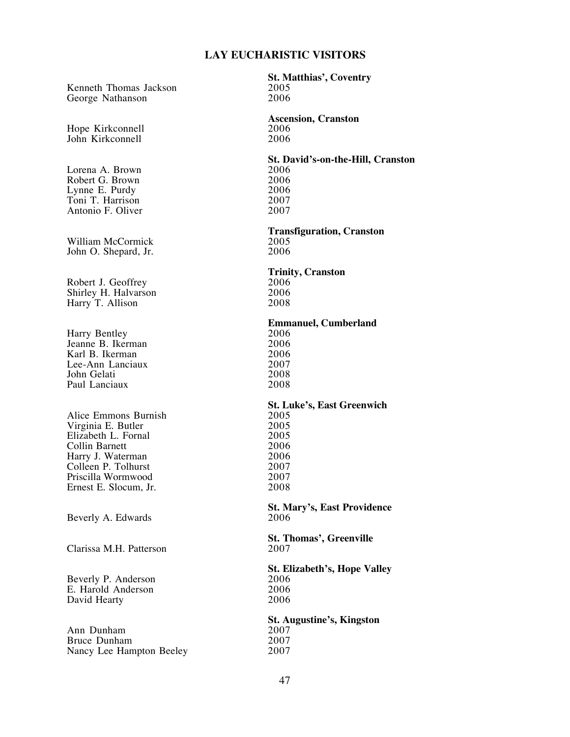Kenneth Thomas Jackson 2005<br>George Nathanson 2006 George Nathanson

Hope Kirkconnell<br>
John Kirkconnell<br>
2006 John Kirkconnell

Lorena A. Brown 2006 Robert G. Brown 2006<br>
Lynne E. Purdy 2006 Lynne E. Purdy 2006<br>
Toni T. Harrison 2007 Toni T. Harrison<br>
Antonio F. Oliver 2007 Antonio F. Oliver

William McCormick 2005<br>
John O. Shepard, Jr. 2006 John O. Shepard, Jr.

Robert J. Geoffrey 2006<br>
Shirley H. Halvarson 2006 Shirley H. Halvarson 2006<br>Harry T. Allison 2008 Harry T. Allison

Harry Bentley 2006<br>
Jeanne B. Ikerman 2006 Jeanne B. Ikerman 2006<br>Karl B. Ikerman 2006 Karl B. Ikerman 2006<br>Lee-Ann Lanciaux 2007 Lee-Ann Lanciaux 2007<br>
John Gelati 2008 John Gelati 2008<br>Paul Lanciaux 2008 Paul Lanciaux

Alice Emmons Burnish 2005<br>
Virginia E. Butler 2005 Virginia E. Butler 2005<br>Elizabeth L. Fornal 2005 Elizabeth L. Fornal 2005<br>Collin Barnett 2006 Collin Barnett<br>
Harry J. Waterman 2006 Harry J. Waterman 2006<br>Colleen P. Tolhurst 2007 Colleen P. Tolhurst 2007<br>Priscilla Wormwood 2007 Priscilla Wormwood 2007<br>
Ernest E. Slocum, Jr. 2008 Ernest E. Slocum, Jr.

Beverly A. Edwards

Clarissa M.H. Patterson

Beverly P. Anderson 2006<br>
E. Harold Anderson 2006 E. Harold Anderson 2006<br>David Hearty 2006 David Hearty

Ann Dunham 2007<br>Bruce Dunham 2007 Bruce Dunham 2007<br>Nancy Lee Hampton Beeley 2007 Nancy Lee Hampton Beeley

**St. Matthias', Coventry**

**Ascension, Cranston**

**St. David's-on-the-Hill, Cranston**

**Transfiguration, Cranston**

**Trinity, Cranston**

**Emmanuel, Cumberland**

**St. Luke's, East Greenwich**

**St. Mary's, East Providence**

**St. Thomas', Greenville**

**St. Elizabeth's, Hope Valley**

**St. Augustine's, Kingston**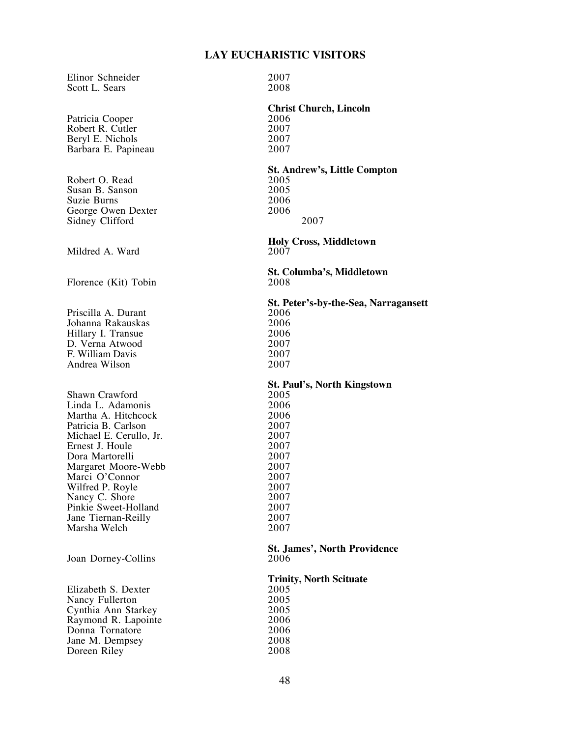Elinor Schneider 2007<br>Scott L. Sears 2008 Scott L. Sears

Patricia Cooper 2006<br>Robert R. Cutler 2007 Robert R. Cutler<br>Beryl E. Nichols 2007 Beryl E. Nichols 2007<br>Barbara E. Papineau 2007 Barbara E. Papineau

Robert O. Read 2005<br>Susan B. Sanson 2005 Susan B. Sanson<br>
Suzie Burns
2006 Suzie Burns 2006<br>George Owen Dexter 2006 George Owen Dexter Sidney Clifford 2007

Mildred A. Ward

Florence (Kit) Tobin

Priscilla A. Durant 2006<br>
Johanna Rakauskas 2006 Johanna Rakauskas 2006 Hillary I. Transue<br>
D. Verna Atwood 2007 D. Verna Atwood 2007 F. William Davis 2007 Andrea Wilson

Shawn Crawford 2005 Linda L. Adamonis 2006 Martha A. Hitchcock 2006<br>Patricia B. Carlson 2007 Patricia B. Carlson 2007<br>
Michael E. Cerullo. Jr. 2007 Michael E. Cerullo, Jr. 2007<br>Ernest J. Houle 2007 Ernest J. Houle 2007<br>
Dora Martorelli 2007 Dora Martorelli<br>
Margaret Moore-Webb 2007 Margaret Moore-Webb 2007<br>
Marci O'Connor 2007 Marci O'Connor<br>
Wilfred P. Royle<br>
2007 Wilfred P. Royle 2007<br>Nancy C. Shore 2007 Nancy C. Shore<br>
Pinkie Sweet-Holland<br>
2007 Pinkie Sweet-Holland<br>
Jane Tiernan-Reilly 2007 Jane Tiernan-Reilly 2007<br>Marsha Welch 2007 Marsha Welch

Joan Dorney-Collins

Elizabeth S. Dexter 2005<br>Nancy Fullerton 2005 Nancy Fullerton 2005<br>
Cynthia Ann Starkey 2005 Cynthia Ann Starkey 2005 Raymond R. Lapointe 2006<br>
Donna Tornatore 2006 Donna Tornatore 2006<br>
Jane M. Dempsey 2008 Jane M. Dempsey 2008<br>Doreen Riley 2008 Doreen Riley

## **Christ Church, Lincoln**

**St. Andrew's, Little Compton**

**Holy Cross, Middletown**

**St. Columba's, Middletown**

**St. Peter's-by-the-Sea, Narragansett**

**St. Paul's, North Kingstown**

**St. James', North Providence**

## **Trinity, North Scituate**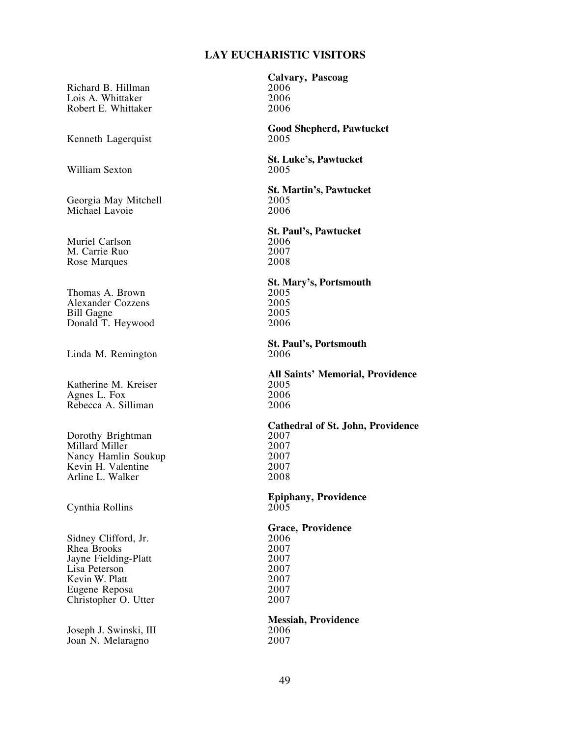Richard B. Hillman 2006<br>
Lois A. Whittaker 2006 Lois A. Whittaker 2006<br>Robert E. Whittaker 2006 Robert E. Whittaker

Kenneth Lagerquist

William Sexton

Georgia May Mitchell **2005**<br>Michael Lavoie 2006 Michael Lavoie

Muriel Carlson<br>
M. Carrie Ruo<br>
2007 M. Carrie Ruo 2007<br>Rose Marques 2008 Rose Marques

Thomas A. Brown 2005<br>Alexander Cozzens 2005 Alexander Cozzens 2005<br>
Bill Gagne 2005 Bill Gagne 2005 Donald T. Heywood

Linda M. Remington

Katherine M. Kreiser 2005<br>Agnes L. Fox 2006 Agnes L. Fox 2006<br>Rebecca A. Silliman 2006 Rebecca A. Silliman

Dorothy Brightman 2007<br>
Millard Miller 2007 Millard Miller 2007<br>
Nancy Hamlin Soukup 2007 Nancy Hamlin Soukup<br>
Kevin H. Valentine 2007 Kevin H. Valentine 2007<br>Arline L. Walker 2008 Arline L. Walker

Cynthia Rollins

Sidney Clifford, Jr. 2006<br>Rhea Brooks 2007 Rhea Brooks 2007<br>Javne Fielding-Platt 2007 Jayne Fielding-Platt 2007<br>Lisa Peterson 2007 Lisa Peterson 2007<br>
Kevin W. Platt 2007 Kevin W. Platt 2007<br>Eugene Reposa 2007 Eugene Reposa 2007<br>Christopher O. Utter 2007 Christopher O. Utter

Joseph J. Swinski, III 3006<br>Joan N. Melaragno 3007 Joan N. Melaragno

**Calvary, Pascoag**

**Good Shepherd, Pawtucket**

**St. Luke's, Pawtucket**

**St. Martin's, Pawtucket**

**St. Paul's, Pawtucket**

**St. Mary's, Portsmouth**

**St. Paul's, Portsmouth**

**All Saints' Memorial, Providence**

**Cathedral of St. John, Providence**

**Epiphany, Providence**

**Grace, Providence**

**Messiah, Providence**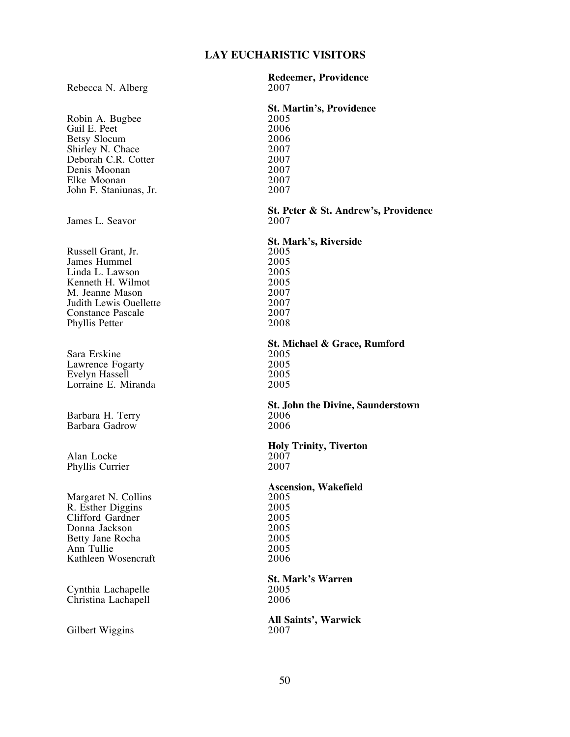#### Rebecca N. Alberg

Robin A. Bugbee 2005<br>
Gail E. Peet 2006 Gail E. Peet 2006<br>Betsy Slocum 2006 Betsy Slocum 2006<br>Shirley N. Chace 2007 Shirley N. Chace 2007<br>Deborah C.R. Cotter 2007 Deborah C.R. Cotter 2007<br>Denis Moonan 2007 Denis Moonan 2007<br>Elke Moonan 2007 Elke Moonan 2007<br>John F. Staniunas, Jr. 2007 John F. Staniunas, Jr.

James L. Seavor

Russell Grant, Jr. 2005<br>James Hummel 2005 James Hummel 2005 Linda L. Lawson 2005 Kenneth H. Wilmot<br>
M. Jeanne Mason<br>
2007 M. Jeanne Mason<br>
Judith Lewis Ouellette 2007 Judith Lewis Ouellette 2007<br>
Constance Pascale 2007 Constance Pascale 2007<br>
Phyllis Petter 2008 Phyllis Petter

Sara Erskine 2005<br>
Lawrence Fogarty 2005 Lawrence Fogarty<br>Evelyn Hassell 2005 Evelyn Hassell<br>
Lorraine E. Miranda 2005 Lorraine E. Miranda

Barbara H. Terry 2006 Barbara Gadrow

Alan Locke 2007<br>
Phyllis Currier 2007 Phyllis Currier

Margaret N. Collins 2005<br>
R. Esther Diggins 2005 R. Esther Diggins 2005<br>Clifford Gardner 2005 Clifford Gardner 2005<br>
Donna Jackson 2005 Donna Jackson 2005 Betty Jane Rocha 2005<br>
Ann Tullie 2005 Ann Tullie 2005<br>Kathleen Wosencraft 2006 Kathleen Wosencraft

Cynthia Lachapelle 2005 Christina Lachapell

Gilbert Wiggins

**Redeemer, Providence**

## **St. Martin's, Providence**

## **St. Peter & St. Andrew's, Providence**

## **St. Mark's, Riverside**

## **St. Michael & Grace, Rumford**

# **St. John the Divine, Saunderstown**

# **Holy Trinity, Tiverton**

## **Ascension, Wakefield**

## **St. Mark's Warren**

## **All Saints', Warwick**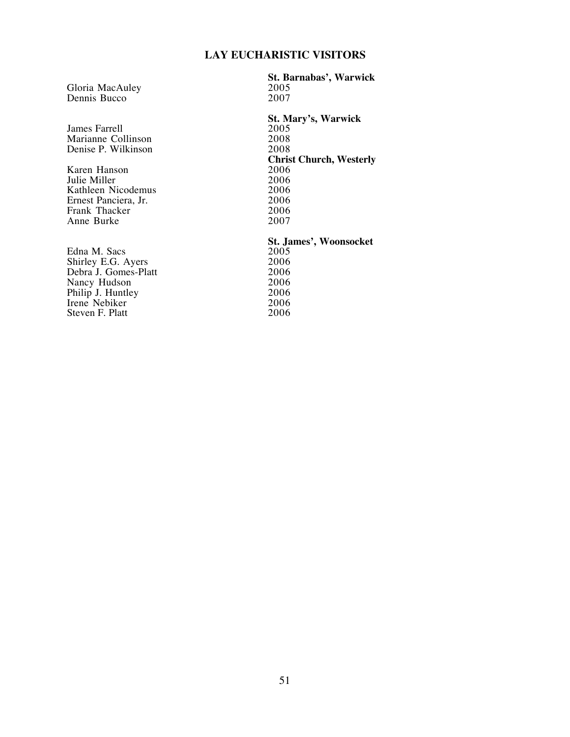Gloria MacAuley 2005<br>
Dennis Bucco 2007 Dennis Bucco

James Farrell 2005<br>
Marianne Collinson 2008 Marianne Collinson<br>
Denise P. Wilkinson<br>
2008 Denise P. Wilkinson

Karen Hanson 2006 Julie Miller 2006<br>Kathleen Nicodemus 2006 Kathleen Nicodemus 2006<br>Ernest Panciera, Jr. 2006 Ernest Panciera, Jr. 2006<br>Frank Thacker 2006 Frank Thacker 2006<br>Anne Burke 2007 Anne Burke

Edna M. Sacs<br>
Shirley E.G. Ayers
2006 Shirley E.G. Ayers 2006<br>Debra J. Gomes-Platt 2006 Debra J. Gomes-Platt 2006<br>
Nancy Hudson 2006 Nancy Hudson 2006 Philip J. Huntley 2006 Irene Nebiker 2006<br>Steven F. Platt 2006 Steven F. Platt

**St. Barnabas', Warwick**

**St. Mary's, Warwick Christ Church, Westerly**

## **St. James', Woonsocket**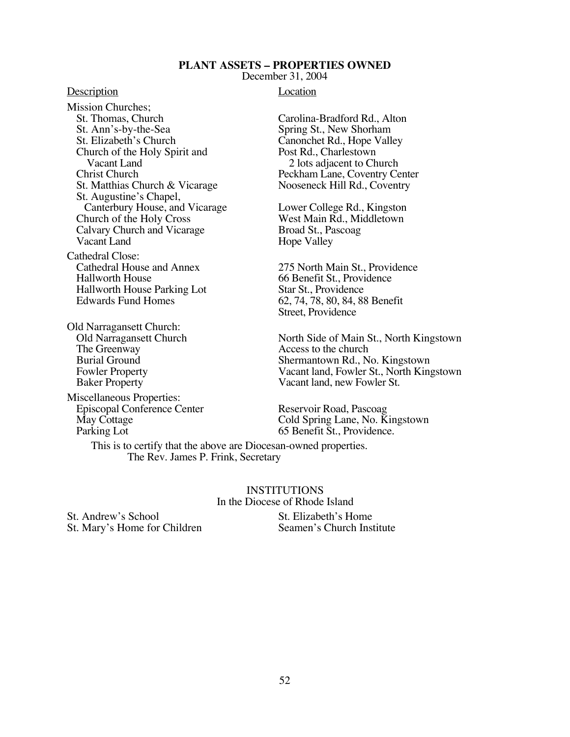#### **PLANT ASSETS – PROPERTIES OWNED**

December 31, 2004

#### Description Location

Mission Churches;<br>St. Thomas, Church St. Thomas, Church Carolina-Bradford Rd., Alton<br>St. Ann's-by-the-Sea Spring St., New Shorham St. Ann's-by-the-Sea Spring St., New Shorham<br>St. Elizabeth's Church Canonchet Rd., Hope Vall Church of the Holy Spirit and Post Rd., Charlestown<br>Vacant Land 2 lots adjacent to Ch Christ Church Peckham Lane, Coventry Center St. Matthias Church & Vicarage Nooseneck Hill Rd., Coventry St. Augustine's Chapel, Canterbury House, and Vicarage Lower College Rd., Kingston Church of the Holy Cross<br>
Calvary Church and Vicarage Broad St., Pascoag Calvary Church and Vicarage<br>Vacant Land

Cathedral Close:<br>Cathedral House and Annex Hallworth House<br>
Hallworth House Parking Lot<br>
Star St., Providence<br>
Star St., Providence Hallworth House Parking Lot. Edwards Fund Homes 62, 74, 78, 80, 84, 88 Benefit

Old Narragansett Church: The Greenway **Access** to the church<br>
Burial Ground **Burial Shermantown Rd.**, N

Miscellaneous Properties: Episcopal Conference Center Reservoir Road, Pascoag Parking Lot 65 Benefit St., Providence.

Canonchet Rd., Hope Valley 2 lots adjacent to Church

Hope Valley

275 North Main St., Providence Street, Providence

Old Narragansett Church North Side of Main St., North Kingstown<br>The Greenway Access to the church Burial Ground<br>
Fowler Property<br>
Shermantown Rd., No. Kingstown<br>
Vacant land, Fowler St., North King Fowler Property<br>
Baker Property<br>
Vacant land, new Fowler St.<br>
Vacant land, new Fowler St. Vacant land, new Fowler St.

May Cottage **Cold Spring Lane, No. Kingstown** 

 This is to certify that the above are Diocesan-owned properties. The Rev. James P. Frink, Secretary

> INSTITUTIONS In the Diocese of Rhode Island

St. Andrew's School St. Elizabeth's Home<br>St. Mary's Home for Children Seamen's Church Institute St. Mary's Home for Children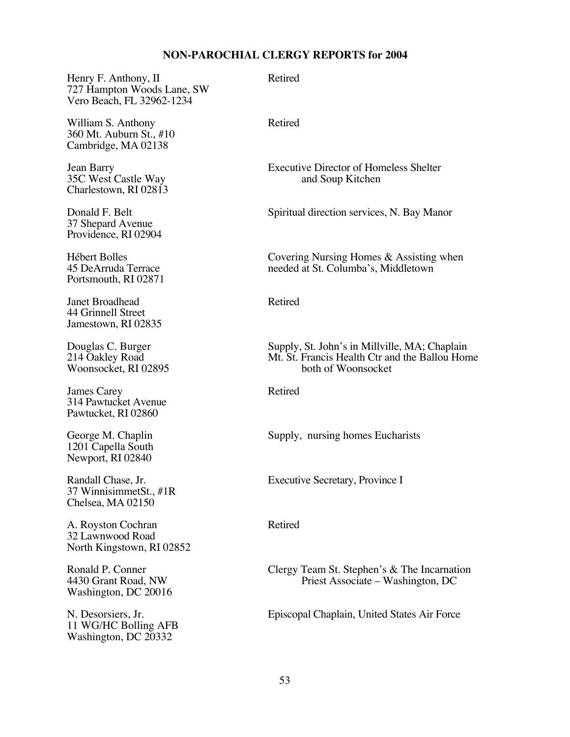Henry F. Anthony, II Retired 727 Hampton Woods Lane, SW Vero Beach, FL 32962-1234

William S. Anthony Retired 360 Mt. Auburn St., #10 Cambridge, MA 02138

35C West Castle Way Charlestown, RI 02813

37 Shepard Avenue Providence, RI 02904

Portsmouth, RI 02871

Janet Broadhead Retired 44 Grinnell Street Jamestown, RI 02835

Woonsocket, RI 02895

James Carey Retired 314 Pawtucket Avenue Pawtucket, RI 02860

1201 Capella South Newport, RI 02840

37 WinnisimmetSt., #1R Chelsea, MA 02150

A. Royston Cochran Retired 32 Lawnwood Road North Kingstown, RI 02852

Washington, DC 20016

11 WG/HC Bolling AFB Washington, DC 20332

Jean Barry Executive Director of Homeless Shelter

Donald F. Belt Spiritual direction services, N. Bay Manor

Hébert Bolles<br>
45 DeArruda Terrace<br>
145 DeArruda Terrace<br>
145 DeArruda Terrace<br>
145 DeArruda Terrace<br>
146 DeArruda Terrace<br>
146 DeArruda Terrace<br>
146 DeArruda Terrace<br>
146 DeArruda Terrace<br>
146 DeArruda Terrace<br>
146 DeArru needed at St. Columba's, Middletown

Douglas C. Burger Supply, St. John's in Millville, MA; Chaplain 214 Oakley Road Mt. St. Francis Health Ctr and the Ballou Hon Mt. St. Francis Health Ctr and the Ballou Home<br>both of Woonsocket

George M. Chaplin Supply, nursing homes Eucharists

Randall Chase, Jr. Executive Secretary, Province I

Ronald P. Conner Clergy Team St. Stephen's & The Incarnation 4430 Grant Road, NW Priest Associate – Washington, DC Priest Associate – Washington, DC

N. Desorsiers, Jr. Episcopal Chaplain, United States Air Force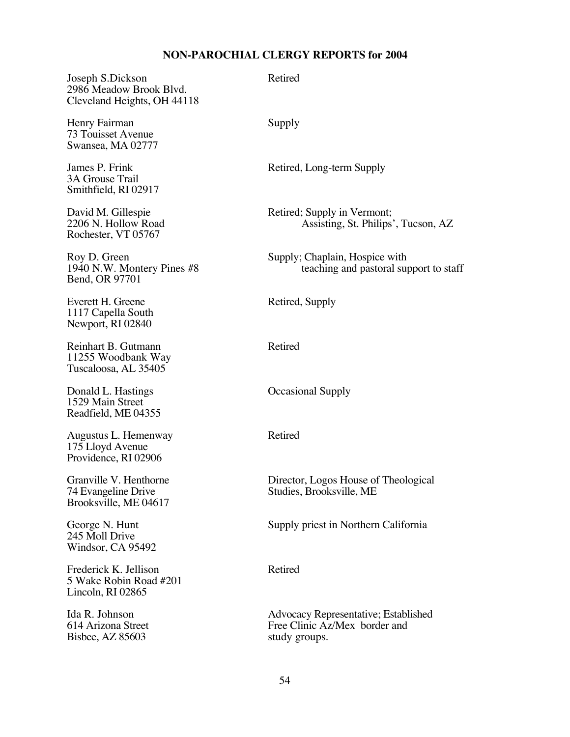Joseph S.Dickson Retired 2986 Meadow Brook Blvd. Cleveland Heights, OH 44118

Henry Fairman Supply 73 Touisset Avenue Swansea, MA 02777

3A Grouse Trail Smithfield, RI 02917

Rochester, VT 05767

Bend, OR 97701

Everett H. Greene Retired, Supply 1117 Capella South Newport, RI 02840

Reinhart B. Gutmann Retired 11255 Woodbank Way Tuscaloosa, AL 35405

Donald L. Hastings **Occasional Supply** 1529 Main Street Readfield, ME 04355

Augustus L. Hemenway Retired 175 Lloyd Avenue Providence, RI 02906

Brooksville, ME 04617

245 Moll Drive Windsor, CA 95492

Frederick K. Jellison Retired 5 Wake Robin Road #201 Lincoln, RI 02865

Bisbee,  $AZ 85603$ 

James P. Frink Retired, Long-term Supply

David M. Gillespie Retired; Supply in Vermont;<br>2206 N. Hollow Road Assisting, St. Philips Assisting, St. Philips', Tucson, AZ

Roy D. Green<br>1940 N.W. Montery Pines #8<br>1940 N.W. Montery Pines #8<br>1940 N.W. Montery Pines #8 teaching and pastoral support to staff

Granville V. Henthorne<br>
74 Evangeline Drive<br>
27 Evangeline Drive<br>
27 Evangeline Drive<br>
28 Evangeline Drive<br>
28 Evangeline Drive<br>
28 Evangeline Drive<br>
28 Evangeline Drive<br>
28 Evangeline Drive<br>
28 Evangeline Drive<br>
28 Evange Studies, Brooksville, ME

George N. Hunt Supply priest in Northern California

Ida R. Johnson<br>614 Arizona Street Free Clinic Az/Mex border and<br>Free Clinic Az/Mex border and Free Clinic Az/Mex border and<br>study groups.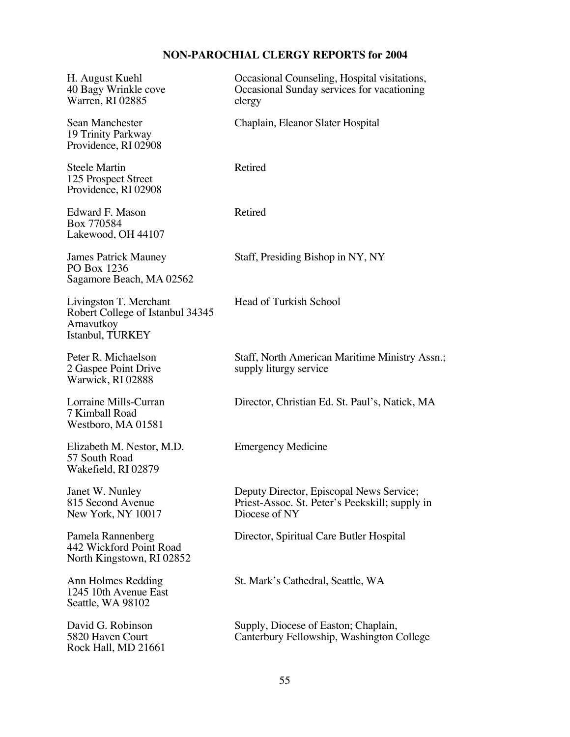| H. August Kuehl<br>40 Bagy Wrinkle cove<br>Warren, RI 02885                                  | Occasional Counseling, Hospital visitations,<br>Occasional Sunday services for vacationing<br>clergy        |
|----------------------------------------------------------------------------------------------|-------------------------------------------------------------------------------------------------------------|
| Sean Manchester<br>19 Trinity Parkway<br>Providence, RI 02908                                | Chaplain, Eleanor Slater Hospital                                                                           |
| <b>Steele Martin</b><br>125 Prospect Street<br>Providence, RI 02908                          | Retired                                                                                                     |
| Edward F. Mason<br>Box 770584<br>Lakewood, OH 44107                                          | Retired                                                                                                     |
| <b>James Patrick Mauney</b><br>PO Box 1236<br>Sagamore Beach, MA 02562                       | Staff, Presiding Bishop in NY, NY                                                                           |
| Livingston T. Merchant<br>Robert College of Istanbul 34345<br>Arnavutkoy<br>Istanbul, TURKEY | Head of Turkish School                                                                                      |
| Peter R. Michaelson<br>2 Gaspee Point Drive<br>Warwick, RI 02888                             | Staff, North American Maritime Ministry Assn.;<br>supply liturgy service                                    |
| Lorraine Mills-Curran<br>7 Kimball Road<br>Westboro, MA 01581                                | Director, Christian Ed. St. Paul's, Natick, MA                                                              |
| Elizabeth M. Nestor, M.D.<br>57 South Road<br>Wakefield, RI 02879                            | <b>Emergency Medicine</b>                                                                                   |
| Janet W. Nunley<br>815 Second Avenue<br>New York, NY 10017                                   | Deputy Director, Episcopal News Service;<br>Priest-Assoc. St. Peter's Peekskill; supply in<br>Diocese of NY |
| Pamela Rannenberg<br>442 Wickford Point Road<br>North Kingstown, RI 02852                    | Director, Spiritual Care Butler Hospital                                                                    |
| Ann Holmes Redding<br>1245 10th Avenue East<br>Seattle, WA 98102                             | St. Mark's Cathedral, Seattle, WA                                                                           |
| David G. Robinson<br>5820 Haven Court<br>Rock Hall, MD 21661                                 | Supply, Diocese of Easton; Chaplain,<br>Canterbury Fellowship, Washington College                           |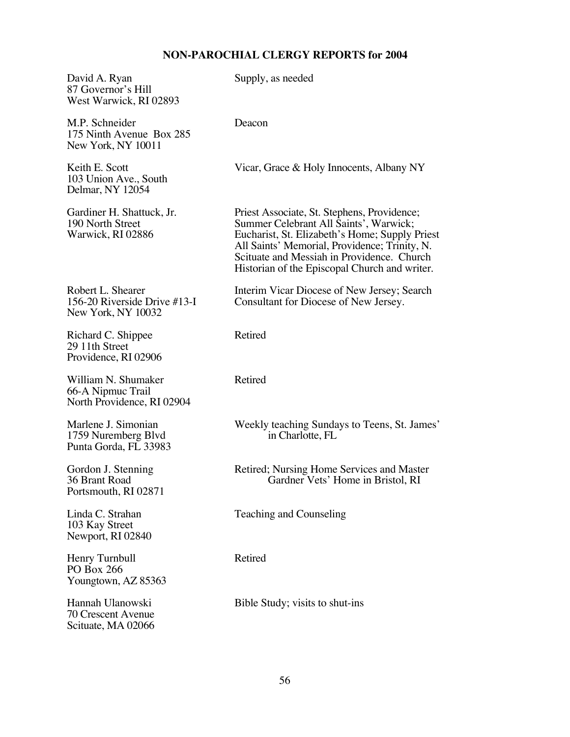| David A. Ryan<br>87 Governor's Hill<br>West Warwick, RI 02893           | Supply, as needed                                                                                                                                                                                                                                                                       |
|-------------------------------------------------------------------------|-----------------------------------------------------------------------------------------------------------------------------------------------------------------------------------------------------------------------------------------------------------------------------------------|
| M.P. Schneider<br>175 Ninth Avenue Box 285<br>New York, NY 10011        | Deacon                                                                                                                                                                                                                                                                                  |
| Keith E. Scott<br>103 Union Ave., South<br>Delmar, NY 12054             | Vicar, Grace & Holy Innocents, Albany NY                                                                                                                                                                                                                                                |
| Gardiner H. Shattuck, Jr.<br>190 North Street<br>Warwick, RI 02886      | Priest Associate, St. Stephens, Providence;<br>Summer Celebrant All Saints', Warwick;<br>Eucharist, St. Elizabeth's Home; Supply Priest<br>All Saints' Memorial, Providence; Trinity, N.<br>Scituate and Messiah in Providence. Church<br>Historian of the Episcopal Church and writer. |
| Robert L. Shearer<br>156-20 Riverside Drive #13-I<br>New York, NY 10032 | Interim Vicar Diocese of New Jersey; Search<br>Consultant for Diocese of New Jersey.                                                                                                                                                                                                    |
| Richard C. Shippee<br>29 11th Street<br>Providence, RI 02906            | Retired                                                                                                                                                                                                                                                                                 |
| William N. Shumaker<br>66-A Nipmuc Trail<br>North Providence, RI 02904  | Retired                                                                                                                                                                                                                                                                                 |
| Marlene J. Simonian<br>1759 Nuremberg Blvd<br>Punta Gorda, FL 33983     | Weekly teaching Sundays to Teens, St. James'<br>in Charlotte, FL                                                                                                                                                                                                                        |
| Gordon J. Stenning<br>36 Brant Road<br>Portsmouth, RI 02871             | Retired; Nursing Home Services and Master<br>Gardner Vets' Home in Bristol, RI                                                                                                                                                                                                          |
| Linda C. Strahan<br>103 Kay Street<br>Newport, RI 02840                 | Teaching and Counseling                                                                                                                                                                                                                                                                 |
| Henry Turnbull<br><b>PO</b> Box 266<br>Youngtown, AZ 85363              | Retired                                                                                                                                                                                                                                                                                 |
| Hannah Ulanowski<br>70 Crescent Avenue<br>Scituate, MA 02066            | Bible Study; visits to shut-ins                                                                                                                                                                                                                                                         |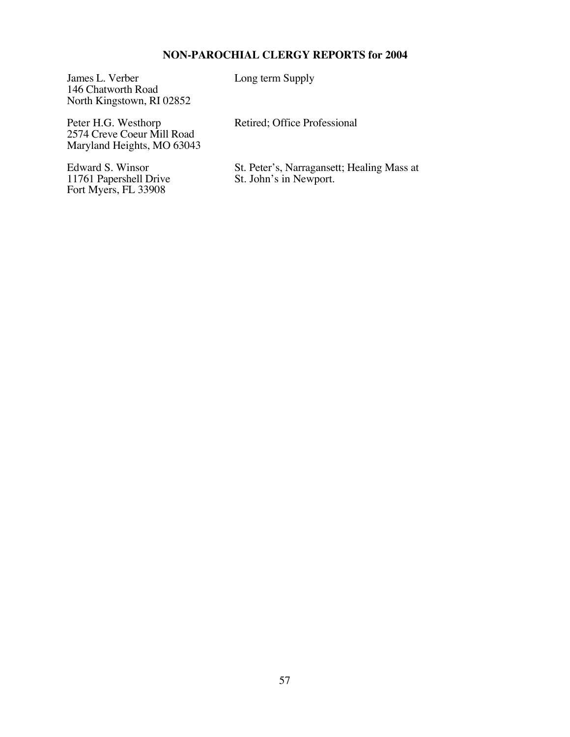James L. Verber Long term Supply 146 Chatworth Road North Kingstown, RI 02852

Peter H.G. Westhorp Retired; Office Professional 2574 Creve Coeur Mill Road Maryland Heights, MO 63043

11761 Papershell Drive St. John's in Newport. Fort Myers, FL 33908

Edward S. Winsor<br>
St. Peter's, Narragansett; Healing Mass at<br>
11761 Papershell Drive<br>
St. John's in Newport.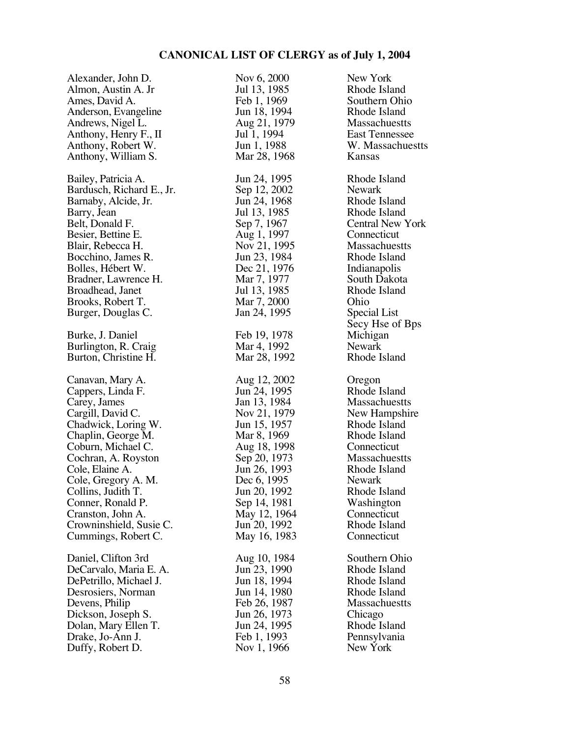| Alexander, John D.                                                                                                                                                                                                                                                                      | Nov 6, 2000                                                                                                                                                                                              | New York                                                                                                                                                                                                                     |
|-----------------------------------------------------------------------------------------------------------------------------------------------------------------------------------------------------------------------------------------------------------------------------------------|----------------------------------------------------------------------------------------------------------------------------------------------------------------------------------------------------------|------------------------------------------------------------------------------------------------------------------------------------------------------------------------------------------------------------------------------|
| Almon, Austin A. Jr                                                                                                                                                                                                                                                                     | Jul 13, 1985                                                                                                                                                                                             | Rhode Island                                                                                                                                                                                                                 |
| Ames, David A.                                                                                                                                                                                                                                                                          | Feb 1, 1969                                                                                                                                                                                              | Southern Ohio                                                                                                                                                                                                                |
| Anderson, Evangeline                                                                                                                                                                                                                                                                    | Jun 18, 1994                                                                                                                                                                                             | Rhode Island                                                                                                                                                                                                                 |
| Andrews, Nigel L.                                                                                                                                                                                                                                                                       | Aug 21, 1979                                                                                                                                                                                             | <b>Massachuestts</b>                                                                                                                                                                                                         |
| Anthony, Henry F., II                                                                                                                                                                                                                                                                   | Jul 1, 1994                                                                                                                                                                                              | <b>East Tennessee</b>                                                                                                                                                                                                        |
| Anthony, Robert W.                                                                                                                                                                                                                                                                      | Jun 1, 1988                                                                                                                                                                                              | W. Massachuestts                                                                                                                                                                                                             |
| Anthony, William S.                                                                                                                                                                                                                                                                     | Mar 28, 1968                                                                                                                                                                                             | Kansas                                                                                                                                                                                                                       |
| Bailey, Patricia A.<br>Bardusch, Richard E., Jr.<br>Barnaby, Alcide, Jr.<br>Barry, Jean<br>Belt, Donald F.<br>Besier, Bettine E.<br>Blair, Rebecca H.<br>Bocchino, James R.<br>Bolles, Hébert W.<br>Bradner, Lawrence H.<br>Broadhead, Janet<br>Brooks, Robert T.<br>Burger, Douglas C. | Jun 24, 1995<br>Sep 12, 2002<br>Jun 24, 1968<br>Jul 13, 1985<br>Sep 7, 1967<br>Aug 1, 1997<br>Nov 21, 1995<br>Jun 23, 1984<br>Dec 21, 1976<br>Mar 7, 1977<br>Jul 13, 1985<br>Mar 7, 2000<br>Jan 24, 1995 | Rhode Island<br><b>Newark</b><br>Rhode Island<br>Rhode Island<br>Central New York<br>Connecticut<br>Massachuestts<br>Rhode Island<br>Indianapolis<br>South Dakota<br>Rhode Island<br>Ohio<br>Special List<br>Secy Hse of Bps |
| Burke, J. Daniel                                                                                                                                                                                                                                                                        | Feb 19, 1978                                                                                                                                                                                             | Michigan                                                                                                                                                                                                                     |
| Burlington, R. Craig                                                                                                                                                                                                                                                                    | Mar 4, 1992                                                                                                                                                                                              | Newark                                                                                                                                                                                                                       |
| Burton, Christine H.                                                                                                                                                                                                                                                                    | Mar 28, 1992                                                                                                                                                                                             | Rhode Island                                                                                                                                                                                                                 |
| Canavan, Mary A.                                                                                                                                                                                                                                                                        | Aug 12, 2002                                                                                                                                                                                             | Oregon                                                                                                                                                                                                                       |
| Cappers, Linda F.                                                                                                                                                                                                                                                                       | Jun 24, 1995                                                                                                                                                                                             | Rhode Island                                                                                                                                                                                                                 |
| Carey, James                                                                                                                                                                                                                                                                            | Jan 13, 1984                                                                                                                                                                                             | Massachuestts                                                                                                                                                                                                                |
| Cargill, David C.                                                                                                                                                                                                                                                                       | Nov 21, 1979                                                                                                                                                                                             | New Hampshire                                                                                                                                                                                                                |
| Chadwick, Loring W.                                                                                                                                                                                                                                                                     | Jun 15, 1957                                                                                                                                                                                             | Rhode Island                                                                                                                                                                                                                 |
| Chaplin, George M.                                                                                                                                                                                                                                                                      | Mar 8, 1969                                                                                                                                                                                              | Rhode Island                                                                                                                                                                                                                 |
| Coburn, Michael C.                                                                                                                                                                                                                                                                      | Aug 18, 1998                                                                                                                                                                                             | Connecticut                                                                                                                                                                                                                  |
| Cochran, A. Royston                                                                                                                                                                                                                                                                     | Sep 20, 1973                                                                                                                                                                                             | Massachuestts                                                                                                                                                                                                                |
| Cole, Elaine A.                                                                                                                                                                                                                                                                         | Jun 26, 1993                                                                                                                                                                                             | Rhode Island                                                                                                                                                                                                                 |
| Cole, Gregory A. M.                                                                                                                                                                                                                                                                     | Dec 6, 1995                                                                                                                                                                                              | <b>Newark</b>                                                                                                                                                                                                                |
| Collins, Judith T.                                                                                                                                                                                                                                                                      | Jun 20, 1992                                                                                                                                                                                             | Rhode Island                                                                                                                                                                                                                 |
| Conner, Ronald P.                                                                                                                                                                                                                                                                       | Sep 14, 1981                                                                                                                                                                                             | Washington                                                                                                                                                                                                                   |
| Cranston, John A.                                                                                                                                                                                                                                                                       | May 12, 1964                                                                                                                                                                                             | Connecticut                                                                                                                                                                                                                  |
| Crowninshield, Susie C.                                                                                                                                                                                                                                                                 | Jun 20, 1992                                                                                                                                                                                             | Rhode Island                                                                                                                                                                                                                 |
| Cummings, Robert C.                                                                                                                                                                                                                                                                     | May 16, 1983                                                                                                                                                                                             | Connecticut                                                                                                                                                                                                                  |
| Daniel, Clifton 3rd                                                                                                                                                                                                                                                                     | Aug 10, 1984                                                                                                                                                                                             | Southern Ohio                                                                                                                                                                                                                |
| DeCarvalo, Maria E. A.                                                                                                                                                                                                                                                                  | Jun 23, 1990                                                                                                                                                                                             | Rhode Island                                                                                                                                                                                                                 |
| DePetrillo, Michael J.                                                                                                                                                                                                                                                                  | Jun 18, 1994                                                                                                                                                                                             | Rhode Island                                                                                                                                                                                                                 |
| Desrosiers, Norman                                                                                                                                                                                                                                                                      | Jun 14, 1980                                                                                                                                                                                             | Rhode Island                                                                                                                                                                                                                 |
| Devens, Philip                                                                                                                                                                                                                                                                          | Feb 26, 1987                                                                                                                                                                                             | <b>Massachuestts</b>                                                                                                                                                                                                         |
| Dickson, Joseph S.                                                                                                                                                                                                                                                                      | Jun 26, 1973                                                                                                                                                                                             | Chicago                                                                                                                                                                                                                      |
| Dolan, Mary Ellen T.                                                                                                                                                                                                                                                                    | Jun 24, 1995                                                                                                                                                                                             | Rhode Island                                                                                                                                                                                                                 |
| Drake, Jo-Ann J.                                                                                                                                                                                                                                                                        | Feb 1, 1993                                                                                                                                                                                              | Pennsylvania                                                                                                                                                                                                                 |
| Duffy, Robert D.                                                                                                                                                                                                                                                                        | Nov 1, 1966                                                                                                                                                                                              | New York                                                                                                                                                                                                                     |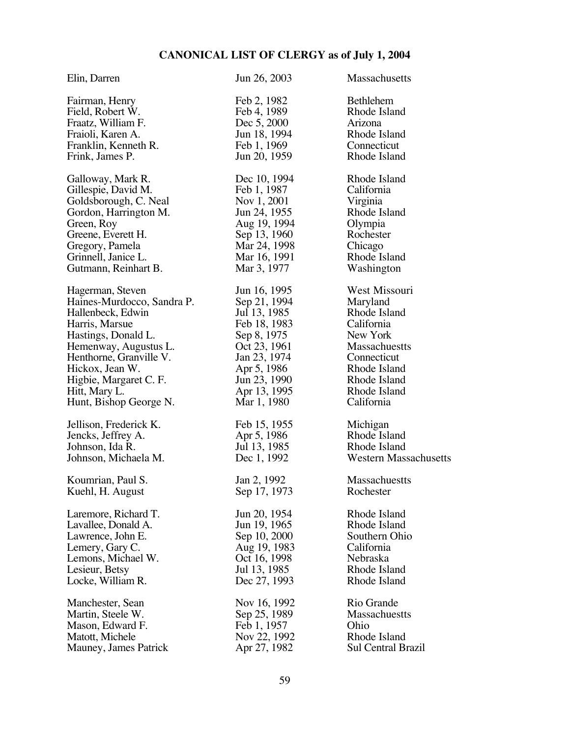| Elin, Darren               | Jun 26, 2003 | Massachusetts         |
|----------------------------|--------------|-----------------------|
| Fairman, Henry             | Feb 2, 1982  | <b>Bethlehem</b>      |
| Field, Robert W.           | Feb 4, 1989  | Rhode Island          |
| Fraatz, William F.         | Dec 5, 2000  | Arizona               |
| Fraioli, Karen A.          | Jun 18, 1994 | Rhode Island          |
| Franklin, Kenneth R.       | Feb 1, 1969  | Connecticut           |
| Frink, James P.            | Jun 20, 1959 | Rhode Island          |
| Galloway, Mark R.          | Dec 10, 1994 | Rhode Island          |
| Gillespie, David M.        | Feb 1, 1987  | California            |
| Goldsborough, C. Neal      | Nov 1, 2001  | Virginia              |
| Gordon, Harrington M.      | Jun 24, 1955 | Rhode Island          |
| Green, Roy                 | Aug 19, 1994 | Olympia               |
| Greene, Everett H.         | Sep 13, 1960 | Rochester             |
| Gregory, Pamela            | Mar 24, 1998 | Chicago               |
| Grinnell, Janice L.        | Mar 16, 1991 | Rhode Island          |
| Gutmann, Reinhart B.       | Mar 3, 1977  | Washington            |
| Hagerman, Steven           | Jun 16, 1995 | West Missouri         |
| Haines-Murdocco, Sandra P. | Sep 21, 1994 | Maryland              |
| Hallenbeck, Edwin          | Jul 13, 1985 | Rhode Island          |
| Harris, Marsue             | Feb 18, 1983 | California            |
| Hastings, Donald L.        | Sep 8, 1975  | New York              |
| Hemenway, Augustus L.      | Oct 23, 1961 | <b>Massachuestts</b>  |
| Henthorne, Granville V.    | Jan 23, 1974 | Connecticut           |
| Hickox, Jean W.            | Apr 5, 1986  | Rhode Island          |
| Higbie, Margaret C. F.     | Jun 23, 1990 | Rhode Island          |
| Hitt, Mary L.              | Apr 13, 1995 | Rhode Island          |
| Hunt, Bishop George N.     | Mar 1, 1980  | California            |
| Jellison, Frederick K.     | Feb 15, 1955 | Michigan              |
| Jencks, Jeffrey A.         | Apr 5, 1986  | Rhode Island          |
| Johnson, Ida R.            | Jul 13, 1985 | Rhode Island          |
| Johnson, Michaela M.       | Dec 1, 1992  | Western Massachusetts |
| Koumrian, Paul S.          | Jan 2, 1992  | <b>Massachuestts</b>  |
| Kuehl, H. August           | Sep 17, 1973 | Rochester             |
| Laremore, Richard T.       | Jun 20, 1954 | Rhode Island          |
| Lavallee, Donald A.        | Jun 19, 1965 | Rhode Island          |
| Lawrence, John E.          | Sep 10, 2000 | Southern Ohio         |
| Lemery, Gary C.            | Aug 19, 1983 | California            |
| Lemons, Michael W.         | Oct 16, 1998 | Nebraska              |
| Lesieur, Betsy             | Jul 13, 1985 | Rhode Island          |
| Locke, William R.          | Dec 27, 1993 | Rhode Island          |
| Manchester, Sean           | Nov 16, 1992 | Rio Grande            |
| Martin, Steele W.          | Sep 25, 1989 | Massachuestts         |
| Mason, Edward F.           | Feb 1, 1957  | Ohio                  |
| Matott, Michele            | Nov 22, 1992 | Rhode Island          |
| Mauney, James Patrick      | Apr 27, 1982 | Sul Central Brazil    |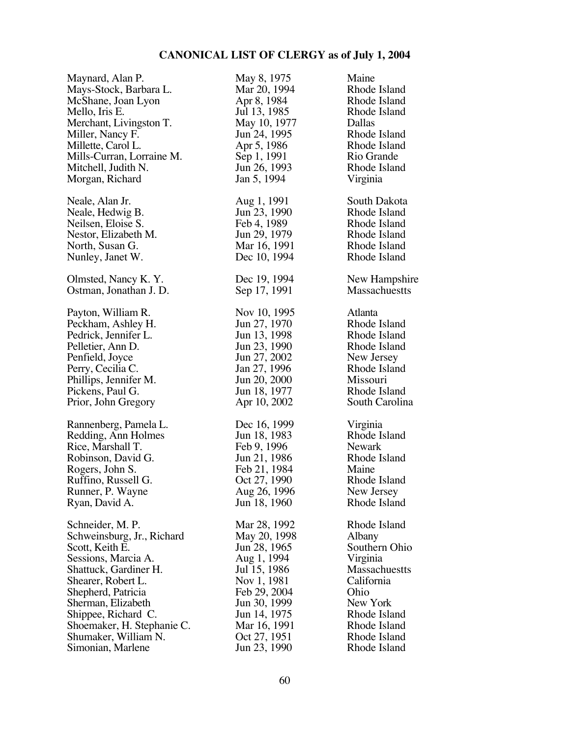| Maynard, Alan P.           | May 8, 1975  | Maine                |
|----------------------------|--------------|----------------------|
| Mays-Stock, Barbara L.     | Mar 20, 1994 | Rhode Island         |
| McShane, Joan Lyon         | Apr 8, 1984  | Rhode Island         |
| Mello, Iris E.             | Jul 13, 1985 | Rhode Island         |
| Merchant, Livingston T.    | May 10, 1977 | Dallas               |
| Miller, Nancy F.           | Jun 24, 1995 | Rhode Island         |
| Millette, Carol L.         | Apr 5, 1986  | Rhode Island         |
| Mills-Curran, Lorraine M.  | Sep 1, 1991  | Rio Grande           |
| Mitchell, Judith N.        | Jun 26, 1993 | Rhode Island         |
| Morgan, Richard            | Jan 5, 1994  | Virginia             |
| Neale, Alan Jr.            | Aug 1, 1991  | South Dakota         |
| Neale, Hedwig B.           | Jun 23, 1990 | Rhode Island         |
| Neilsen, Eloise S.         | Feb 4, 1989  | Rhode Island         |
| Nestor, Elizabeth M.       | Jun 29, 1979 | Rhode Island         |
| North, Susan G.            | Mar 16, 1991 | Rhode Island         |
| Nunley, Janet W.           | Dec 10, 1994 | Rhode Island         |
| Olmsted, Nancy K. Y.       | Dec 19, 1994 | New Hampshire        |
| Ostman, Jonathan J. D.     | Sep 17, 1991 | <b>Massachuestts</b> |
| Payton, William R.         | Nov 10, 1995 | Atlanta              |
| Peckham, Ashley H.         | Jun 27, 1970 | Rhode Island         |
| Pedrick, Jennifer L.       | Jun 13, 1998 | Rhode Island         |
| Pelletier, Ann D.          | Jun 23, 1990 | Rhode Island         |
| Penfield, Joyce            | Jun 27, 2002 | New Jersey           |
| Perry, Cecilia C.          | Jan 27, 1996 | Rhode Island         |
| Phillips, Jennifer M.      | Jun 20, 2000 | Missouri             |
| Pickens, Paul G.           | Jun 18, 1977 | Rhode Island         |
| Prior, John Gregory        | Apr 10, 2002 | South Carolina       |
| Rannenberg, Pamela L.      | Dec 16, 1999 | Virginia             |
| Redding, Ann Holmes        | Jun 18, 1983 | Rhode Island         |
| Rice, Marshall T.          | Feb 9, 1996  | Newark               |
| Robinson, David G.         | Jun 21, 1986 | Rhode Island         |
| Rogers, John S.            | Feb 21, 1984 | Maine                |
| Ruffino, Russell G.        | Oct 27, 1990 | Rhode Island         |
| Runner, P. Wayne           | Aug 26, 1996 | New Jersey           |
| Ryan, David A.             | Jun 18, 1960 | Rhode Island         |
| Schneider, M. P.           | Mar 28, 1992 | Rhode Island         |
| Schweinsburg, Jr., Richard | May 20, 1998 | Albany               |
| Scott, Keith E.            | Jun 28, 1965 | Southern Ohio        |
| Sessions, Marcia A.        | Aug 1, 1994  | Virginia             |
| Shattuck, Gardiner H.      | Jul 15, 1986 | <b>Massachuestts</b> |
| Shearer, Robert L.         | Nov 1, 1981  | California           |
| Shepherd, Patricia         | Feb 29, 2004 | Ohio                 |
| Sherman, Elizabeth         | Jun 30, 1999 | New York             |
| Shippee, Richard C.        | Jun 14, 1975 | Rhode Island         |
| Shoemaker, H. Stephanie C. | Mar 16, 1991 | Rhode Island         |
| Shumaker, William N.       | Oct 27, 1951 | Rhode Island         |
| Simonian, Marlene          | Jun 23, 1990 | Rhode Island         |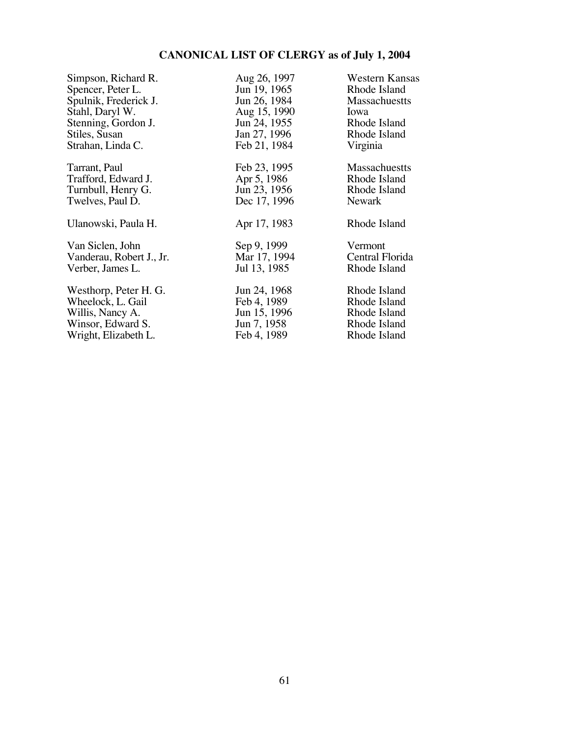| Simpson, Richard R.      | Aug 26, 1997 | Western Kansas  |
|--------------------------|--------------|-----------------|
| Spencer, Peter L.        | Jun 19, 1965 | Rhode Island    |
| Spulnik, Frederick J.    | Jun 26, 1984 | Massachuestts   |
| Stahl, Daryl W.          | Aug 15, 1990 | Iowa            |
| Stenning, Gordon J.      | Jun 24, 1955 | Rhode Island    |
| Stiles, Susan            | Jan 27, 1996 | Rhode Island    |
| Strahan, Linda C.        | Feb 21, 1984 | Virginia        |
| Tarrant, Paul            | Feb 23, 1995 | Massachuestts   |
| Trafford, Edward J.      | Apr 5, 1986  | Rhode Island    |
| Turnbull, Henry G.       | Jun 23, 1956 | Rhode Island    |
| Twelves, Paul D.         | Dec 17, 1996 | <b>Newark</b>   |
| Ulanowski, Paula H.      | Apr 17, 1983 | Rhode Island    |
| Van Siclen, John         | Sep 9, 1999  | Vermont         |
| Vanderau, Robert J., Jr. | Mar 17, 1994 | Central Florida |
| Verber, James L.         | Jul 13, 1985 | Rhode Island    |
| Westhorp, Peter H. G.    | Jun 24, 1968 | Rhode Island    |
| Wheelock, L. Gail        | Feb 4, 1989  | Rhode Island    |
| Willis, Nancy A.         | Jun 15, 1996 | Rhode Island    |
| Winsor, Edward S.        | Jun 7, 1958  | Rhode Island    |
| Wright, Elizabeth L.     | Feb 4, 1989  | Rhode Island    |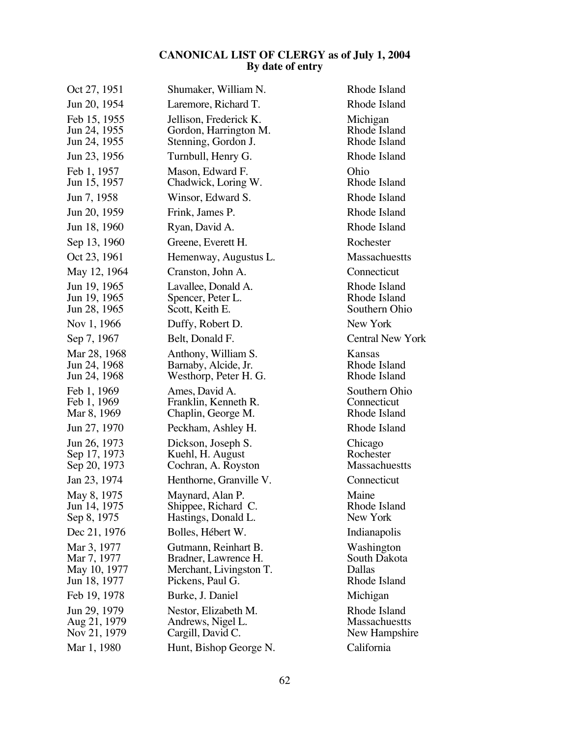| Oct 27, 1951                                               | Shumaker, William N.                                                                        | Rhode Island                                          |
|------------------------------------------------------------|---------------------------------------------------------------------------------------------|-------------------------------------------------------|
| Jun 20, 1954                                               | Laremore, Richard T.                                                                        | Rhode Island                                          |
| Feb 15, 1955<br>Jun 24, 1955<br>Jun 24, 1955               | Jellison, Frederick K.<br>Gordon, Harrington M.<br>Stenning, Gordon J.                      | Michigan<br>Rhode Island<br>Rhode Island              |
| Jun 23, 1956                                               | Turnbull, Henry G.                                                                          | Rhode Island                                          |
| Feb 1, 1957<br>Jun 15, 1957                                | Mason, Edward F.<br>Chadwick, Loring W.                                                     | Ohio<br>Rhode Island                                  |
| Jun 7, 1958                                                | Winsor, Edward S.                                                                           | Rhode Island                                          |
| Jun 20, 1959                                               | Frink, James P.                                                                             | Rhode Island                                          |
| Jun 18, 1960                                               | Ryan, David A.                                                                              | Rhode Island                                          |
| Sep 13, 1960                                               | Greene, Everett H.                                                                          | Rochester                                             |
| Oct 23, 1961                                               | Hemenway, Augustus L.                                                                       | <b>Massachuestts</b>                                  |
| May 12, 1964                                               | Cranston, John A.                                                                           | Connecticut                                           |
| Jun 19, 1965<br>Jun 19, 1965<br>Jun 28, 1965               | Lavallee, Donald A.<br>Spencer, Peter L.<br>Scott, Keith E.                                 | Rhode Island<br>Rhode Island<br>Southern Ohio         |
| Nov 1, 1966                                                | Duffy, Robert D.                                                                            | New York                                              |
| Sep 7, 1967                                                | Belt, Donald F.                                                                             | <b>Central New York</b>                               |
| Mar 28, 1968<br>Jun 24, 1968<br>Jun 24, 1968               | Anthony, William S.<br>Barnaby, Alcide, Jr.<br>Westhorp, Peter H. G.                        | Kansas<br>Rhode Island<br>Rhode Island                |
| Feb 1, 1969<br>Feb 1, 1969<br>Mar 8, 1969                  | Ames, David A.<br>Franklin, Kenneth R.<br>Chaplin, George M.                                | Southern Ohio<br>Connecticut<br>Rhode Island          |
| Jun 27, 1970                                               | Peckham, Ashley H.                                                                          | Rhode Island                                          |
| Jun 26, 1973<br>Sep 17, 1973<br>Sep 20, 1973               | Dickson, Joseph S.<br>Kuehl, H. August<br>Cochran, A. Royston                               | Chicago<br>Rochester<br><b>Massachuestts</b>          |
| Jan 23, 1974                                               | Henthorne, Granville V.                                                                     | Connecticut                                           |
| May 8, 1975<br>Jun 14, 1975<br>Sep 8, 1975                 | Maynard, Alan P.<br>Shippee, Richard C.<br>Hastings, Donald L.                              | Maine<br>Rhode Island<br>New York                     |
| Dec 21, 1976                                               | Bolles, Hébert W.                                                                           | Indianapolis                                          |
| Mar 3, 1977<br>Mar 7, 1977<br>May 10, 1977<br>Jun 18, 1977 | Gutmann, Reinhart B.<br>Bradner, Lawrence H.<br>Merchant, Livingston T.<br>Pickens, Paul G. | Washington<br>South Dakota<br>Dallas<br>Rhode Island  |
| Feb 19, 1978                                               | Burke, J. Daniel                                                                            | Michigan                                              |
| Jun 29, 1979<br>Aug 21, 1979<br>Nov 21, 1979               | Nestor, Elizabeth M.<br>Andrews, Nigel L.<br>Cargill, David C.                              | Rhode Island<br><b>Massachuestts</b><br>New Hampshire |
| Mar 1, 1980                                                | Hunt, Bishop George N.                                                                      | California                                            |
|                                                            |                                                                                             |                                                       |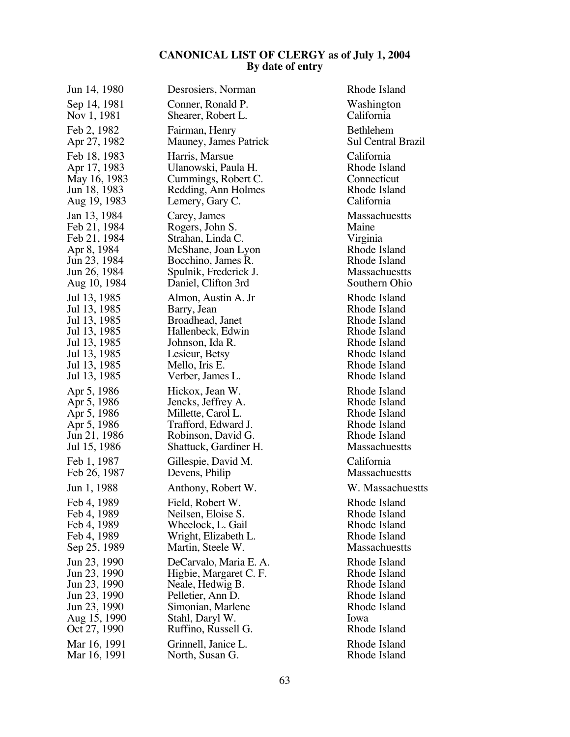| Jun 14, 1980 | Desrosiers, Norman     | Rhode Island              |
|--------------|------------------------|---------------------------|
| Sep 14, 1981 | Conner, Ronald P.      | Washington                |
| Nov 1, 1981  | Shearer, Robert L.     | California                |
| Feb 2, 1982  | Fairman, Henry         | Bethlehem                 |
| Apr 27, 1982 | Mauney, James Patrick  | <b>Sul Central Brazil</b> |
| Feb 18, 1983 | Harris, Marsue         | California                |
| Apr 17, 1983 | Ulanowski, Paula H.    | Rhode Island              |
| May 16, 1983 | Cummings, Robert C.    | Connecticut               |
| Jun 18, 1983 | Redding, Ann Holmes    | Rhode Island              |
| Aug 19, 1983 | Lemery, Gary C.        | California                |
| Jan 13, 1984 | Carey, James           | Massachuestts             |
| Feb 21, 1984 | Rogers, John S.        | Maine                     |
| Feb 21, 1984 | Strahan, Linda C.      | Virginia                  |
| Apr 8, 1984  | McShane, Joan Lyon     | Rhode Island              |
| Jun 23, 1984 | Bocchino, James R.     | Rhode Island              |
| Jun 26, 1984 | Spulnik, Frederick J.  | <b>Massachuestts</b>      |
| Aug 10, 1984 | Daniel, Clifton 3rd    | Southern Ohio             |
| Jul 13, 1985 | Almon, Austin A. Jr    | Rhode Island              |
| Jul 13, 1985 | Barry, Jean            | Rhode Island              |
| Jul 13, 1985 | Broadhead, Janet       | Rhode Island              |
| Jul 13, 1985 | Hallenbeck, Edwin      | Rhode Island              |
| Jul 13, 1985 | Johnson, Ida R.        | Rhode Island              |
| Jul 13, 1985 | Lesieur, Betsy         | Rhode Island              |
| Jul 13, 1985 | Mello, Iris E.         | Rhode Island              |
| Jul 13, 1985 | Verber, James L.       | Rhode Island              |
| Apr 5, 1986  | Hickox, Jean W.        | Rhode Island              |
| Apr 5, 1986  | Jencks, Jeffrey A.     | Rhode Island              |
| Apr 5, 1986  | Millette, Carol L.     | Rhode Island              |
| Apr 5, 1986  | Trafford, Edward J.    | Rhode Island              |
| Jun 21, 1986 | Robinson, David G.     | Rhode Island              |
| Jul 15, 1986 | Shattuck, Gardiner H.  | Massachuestts             |
| Feb 1, 1987  | Gillespie, David M.    | California                |
| Feb 26, 1987 | Devens, Philip         | Massachuestts             |
| Jun 1, 1988  | Anthony, Robert W.     | W. Massachuestts          |
| Feb 4, 1989  | Field, Robert W.       | Rhode Island              |
| Feb 4, 1989  | Neilsen, Eloise S.     | Rhode Island              |
| Feb 4, 1989  | Wheelock, L. Gail      | Rhode Island              |
| Feb 4, 1989  | Wright, Elizabeth L.   | Rhode Island              |
| Sep 25, 1989 | Martin, Steele W.      | <b>Massachuestts</b>      |
| Jun 23, 1990 | DeCarvalo, Maria E. A. | Rhode Island              |
| Jun 23, 1990 | Higbie, Margaret C. F. | Rhode Island              |
| Jun 23, 1990 | Neale, Hedwig B.       | Rhode Island              |
| Jun 23, 1990 | Pelletier, Ann D.      | Rhode Island              |
| Jun 23, 1990 | Simonian, Marlene      | Rhode Island              |
| Aug 15, 1990 | Stahl, Daryl W.        | Iowa                      |
| Oct 27, 1990 | Ruffino, Russell G.    | Rhode Island              |
| Mar 16, 1991 | Grinnell, Janice L.    | Rhode Island              |
| Mar 16, 1991 | North, Susan G.        | Rhode Island              |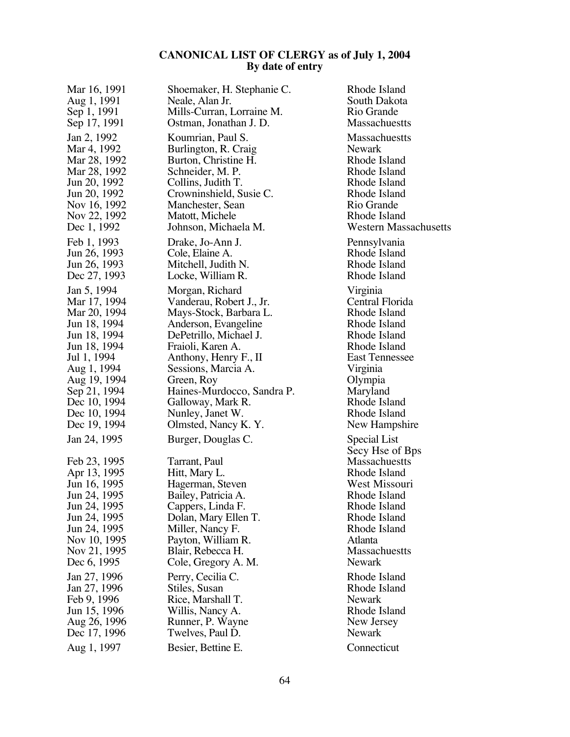| Mar 16, 1991                                                                                                                                                                | Shoemaker, H. Stephanie C.                                                                                                                                                                                                         | Rhode Island                                                                                                                                                                                   |
|-----------------------------------------------------------------------------------------------------------------------------------------------------------------------------|------------------------------------------------------------------------------------------------------------------------------------------------------------------------------------------------------------------------------------|------------------------------------------------------------------------------------------------------------------------------------------------------------------------------------------------|
| Aug 1, 1991                                                                                                                                                                 | Neale, Alan Jr.                                                                                                                                                                                                                    | South Dakota                                                                                                                                                                                   |
| Sep 1, 1991                                                                                                                                                                 | Mills-Curran, Lorraine M.                                                                                                                                                                                                          | Rio Grande                                                                                                                                                                                     |
| Sep 17, 1991                                                                                                                                                                | Ostman, Jonathan J. D.                                                                                                                                                                                                             | Massachuestts                                                                                                                                                                                  |
| Jan 2, 1992                                                                                                                                                                 | Koumrian, Paul S.                                                                                                                                                                                                                  | Massachuestts                                                                                                                                                                                  |
| Mar 4, 1992                                                                                                                                                                 | Burlington, R. Craig                                                                                                                                                                                                               | <b>Newark</b>                                                                                                                                                                                  |
| Mar 28, 1992                                                                                                                                                                | Burton, Christine H.                                                                                                                                                                                                               | Rhode Island                                                                                                                                                                                   |
| Mar 28, 1992                                                                                                                                                                | Schneider, M. P.                                                                                                                                                                                                                   | Rhode Island                                                                                                                                                                                   |
| Jun 20, 1992                                                                                                                                                                | Collins, Judith T.                                                                                                                                                                                                                 | Rhode Island                                                                                                                                                                                   |
| Jun 20, 1992                                                                                                                                                                | Crowninshield, Susie C.                                                                                                                                                                                                            | Rhode Island                                                                                                                                                                                   |
| Nov 16, 1992                                                                                                                                                                | Manchester, Sean                                                                                                                                                                                                                   | Rio Grande                                                                                                                                                                                     |
| Nov 22, 1992                                                                                                                                                                | Matott, Michele                                                                                                                                                                                                                    | Rhode Island                                                                                                                                                                                   |
| Dec 1, 1992                                                                                                                                                                 | Johnson, Michaela M.                                                                                                                                                                                                               | <b>Western Massachusetts</b>                                                                                                                                                                   |
| Feb 1, 1993                                                                                                                                                                 | Drake, Jo-Ann J.                                                                                                                                                                                                                   | Pennsylvania                                                                                                                                                                                   |
| Jun 26, 1993                                                                                                                                                                | Cole, Elaine A.                                                                                                                                                                                                                    | Rhode Island                                                                                                                                                                                   |
| Jun 26, 1993                                                                                                                                                                | Mitchell, Judith N.                                                                                                                                                                                                                | Rhode Island                                                                                                                                                                                   |
| Dec 27, 1993                                                                                                                                                                | Locke, William R.                                                                                                                                                                                                                  | Rhode Island                                                                                                                                                                                   |
| Jan 5, 1994                                                                                                                                                                 | Morgan, Richard                                                                                                                                                                                                                    | Virginia                                                                                                                                                                                       |
| Mar 17, 1994                                                                                                                                                                | Vanderau, Robert J., Jr.                                                                                                                                                                                                           | Central Florida                                                                                                                                                                                |
| Mar 20, 1994                                                                                                                                                                | Mays-Stock, Barbara L.                                                                                                                                                                                                             | Rhode Island                                                                                                                                                                                   |
| Jun 18, 1994                                                                                                                                                                | Anderson, Evangeline                                                                                                                                                                                                               | Rhode Island                                                                                                                                                                                   |
| Jun 18, 1994                                                                                                                                                                | DePetrillo, Michael J.                                                                                                                                                                                                             | Rhode Island                                                                                                                                                                                   |
| Jun 18, 1994                                                                                                                                                                | Fraioli, Karen A.                                                                                                                                                                                                                  | Rhode Island                                                                                                                                                                                   |
| Jul 1, 1994                                                                                                                                                                 | Anthony, Henry F., II                                                                                                                                                                                                              | <b>East Tennessee</b>                                                                                                                                                                          |
| Aug 1, 1994                                                                                                                                                                 | Sessions, Marcia A.                                                                                                                                                                                                                | Virginia                                                                                                                                                                                       |
| Aug 19, 1994                                                                                                                                                                | Green, Roy                                                                                                                                                                                                                         | Olympia                                                                                                                                                                                        |
| Sep 21, 1994                                                                                                                                                                | Haines-Murdocco, Sandra P.                                                                                                                                                                                                         | Maryland                                                                                                                                                                                       |
| Dec 10, 1994                                                                                                                                                                | Galloway, Mark R.                                                                                                                                                                                                                  | Rhode Island                                                                                                                                                                                   |
| Dec 10, 1994                                                                                                                                                                | Nunley, Janet W.                                                                                                                                                                                                                   | Rhode Island                                                                                                                                                                                   |
| Dec 19, 1994                                                                                                                                                                | Olmsted, Nancy K. Y.                                                                                                                                                                                                               | New Hampshire                                                                                                                                                                                  |
| Jan 24, 1995<br>Feb 23, 1995<br>Apr 13, 1995<br>Jun 16, 1995<br>Jun 24, 1995<br>Jun 24, 1995<br>Jun 24, 1995<br>Jun 24, 1995<br>Nov 10, 1995<br>Nov 21, 1995<br>Dec 6, 1995 | Burger, Douglas C.<br>Tarrant, Paul<br>Hitt, Mary L.<br>Hagerman, Steven<br>Bailey, Patricia A.<br>Cappers, Linda F.<br>Dolan, Mary Ellen T.<br>Miller, Nancy F.<br>Payton, William R.<br>Blair, Rebecca H.<br>Cole, Gregory A. M. | Special List<br>Secy Hse of Bps<br>Massachuestts<br>Rhode Island<br>West Missouri<br>Rhode Island<br>Rhode Island<br>Rhode Island<br>Rhode Island<br>Atlanta<br>Massachuestts<br><b>Newark</b> |
| Jan 27, 1996                                                                                                                                                                | Perry, Cecilia C.                                                                                                                                                                                                                  | Rhode Island                                                                                                                                                                                   |
| Jan 27, 1996                                                                                                                                                                | Stiles, Susan                                                                                                                                                                                                                      | Rhode Island                                                                                                                                                                                   |
| Feb 9, 1996                                                                                                                                                                 | Rice, Marshall T.                                                                                                                                                                                                                  | Newark                                                                                                                                                                                         |
| Jun 15, 1996                                                                                                                                                                | Willis, Nancy A.                                                                                                                                                                                                                   | Rhode Island                                                                                                                                                                                   |
| Aug 26, 1996                                                                                                                                                                | Runner, P. Wayne                                                                                                                                                                                                                   | New Jersey                                                                                                                                                                                     |
| Dec 17, 1996                                                                                                                                                                | Twelves, Paul D.                                                                                                                                                                                                                   | Newark                                                                                                                                                                                         |
| Aug 1, 1997                                                                                                                                                                 | Besier, Bettine E.                                                                                                                                                                                                                 | Connecticut                                                                                                                                                                                    |
|                                                                                                                                                                             |                                                                                                                                                                                                                                    |                                                                                                                                                                                                |